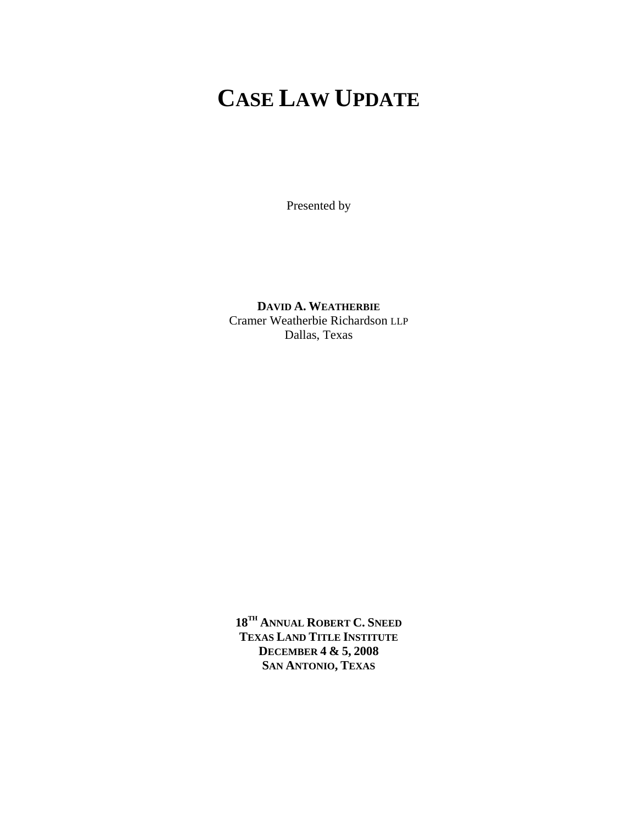# **CASE LAW UPDATE**

Presented by

**DAVID A. WEATHERBIE** Cramer Weatherbie Richardson LLP Dallas, Texas

**18TH ANNUAL ROBERT C. SNEED TEXAS LAND TITLE INSTITUTE DECEMBER 4 & 5, 2008 SAN ANTONIO, TEXAS**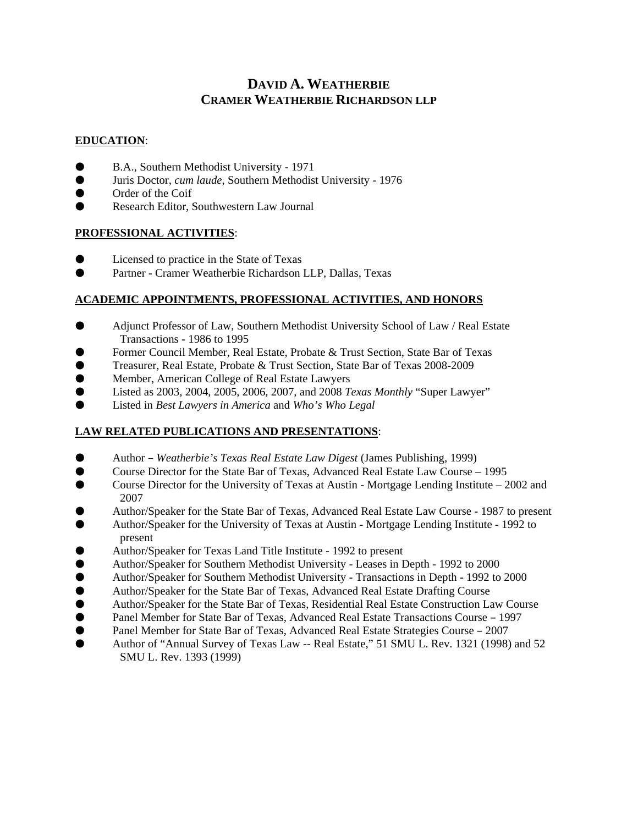## **DAVID A. WEATHERBIE CRAMER WEATHERBIE RICHARDSON LLP**

## **EDUCATION**:

- B.A., Southern Methodist University 1971
- M Juris Doctor, *cum laude*, Southern Methodist University 1976
- $\bullet$  Order of the Coif
- Research Editor, Southwestern Law Journal

## **PROFESSIONAL ACTIVITIES**:

- $\bullet$  Licensed to practice in the State of Texas
- **M Partner Cramer Weatherbie Richardson LLP, Dallas, Texas**

## **ACADEMIC APPOINTMENTS, PROFESSIONAL ACTIVITIES, AND HONORS**

- **M Adjunct Professor of Law, Southern Methodist University School of Law / Real Estate** Transactions - 1986 to 1995
- Former Council Member, Real Estate, Probate & Trust Section, State Bar of Texas
- Treasurer, Real Estate, Probate & Trust Section, State Bar of Texas 2008-2009
- M Member, American College of Real Estate Lawyers
- M Listed as 2003, 2004, 2005, 2006, 2007, and 2008 *Texas Monthly* "Super Lawyer"
- Listed in *Best Lawyers in America* and *Who's Who Legal*

## **LAW RELATED PUBLICATIONS AND PRESENTATIONS**:

- Author *Weatherbie's Texas Real Estate Law Digest* (James Publishing, 1999)
- Course Director for the State Bar of Texas, Advanced Real Estate Law Course 1995
- Course Director for the University of Texas at Austin Mortgage Lending Institute 2002 and 2007
- M Author/Speaker for the State Bar of Texas, Advanced Real Estate Law Course 1987 to present
- M Author/Speaker for the University of Texas at Austin Mortgage Lending Institute 1992 to present
- Author/Speaker for Texas Land Title Institute 1992 to present
- **Multiply Author/Speaker for Southern Methodist University Leases in Depth 1992 to 2000**
- **Muthor/Speaker for Southern Methodist University Transactions in Depth 1992 to 2000**
- Author/Speaker for the State Bar of Texas, Advanced Real Estate Drafting Course<br>● Author/Speaker for the State Bar of Texas. Residential Real Estate Construction La
- M Author/Speaker for the State Bar of Texas, Residential Real Estate Construction Law Course
- **O** Panel Member for State Bar of Texas, Advanced Real Estate Transactions Course 1997
- Panel Member for State Bar of Texas, Advanced Real Estate Strategies Course 2007
- Author of "Annual Survey of Texas Law -- Real Estate," 51 SMU L. Rev. 1321 (1998) and 52 SMU L. Rev. 1393 (1999)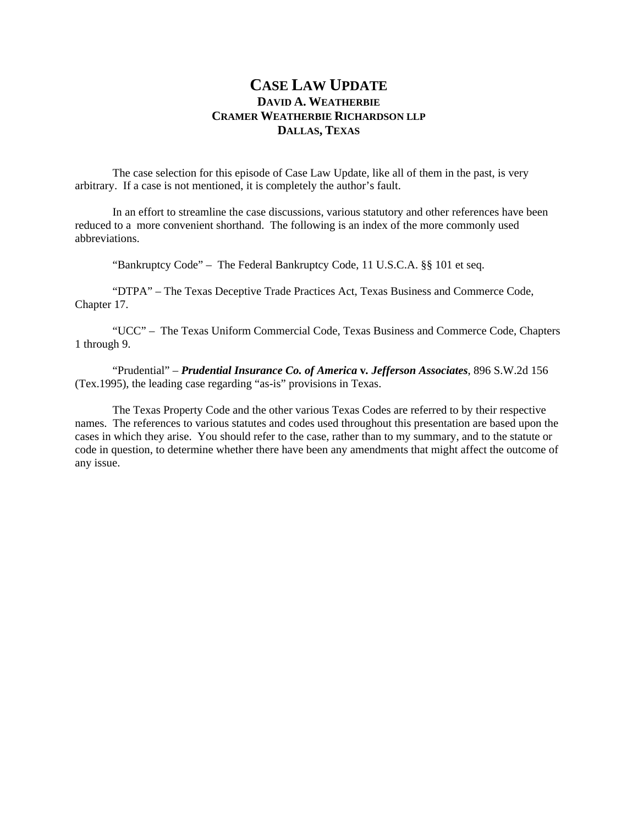## **CASE LAW UPDATE DAVID A. WEATHERBIE CRAMER WEATHERBIE RICHARDSON LLP DALLAS, TEXAS**

 The case selection for this episode of Case Law Update, like all of them in the past, is very arbitrary. If a case is not mentioned, it is completely the author's fault.

 In an effort to streamline the case discussions, various statutory and other references have been reduced to a more convenient shorthand. The following is an index of the more commonly used abbreviations.

"Bankruptcy Code" – The Federal Bankruptcy Code, 11 U.S.C.A. §§ 101 et seq.

 "DTPA" – The Texas Deceptive Trade Practices Act, Texas Business and Commerce Code, Chapter 17.

 "UCC" – The Texas Uniform Commercial Code, Texas Business and Commerce Code, Chapters 1 through 9.

"Prudential" – *Prudential Insurance Co. of America* **v***. Jefferson Associates*, 896 S.W.2d 156 (Tex.1995), the leading case regarding "as-is" provisions in Texas.

 The Texas Property Code and the other various Texas Codes are referred to by their respective names. The references to various statutes and codes used throughout this presentation are based upon the cases in which they arise. You should refer to the case, rather than to my summary, and to the statute or code in question, to determine whether there have been any amendments that might affect the outcome of any issue.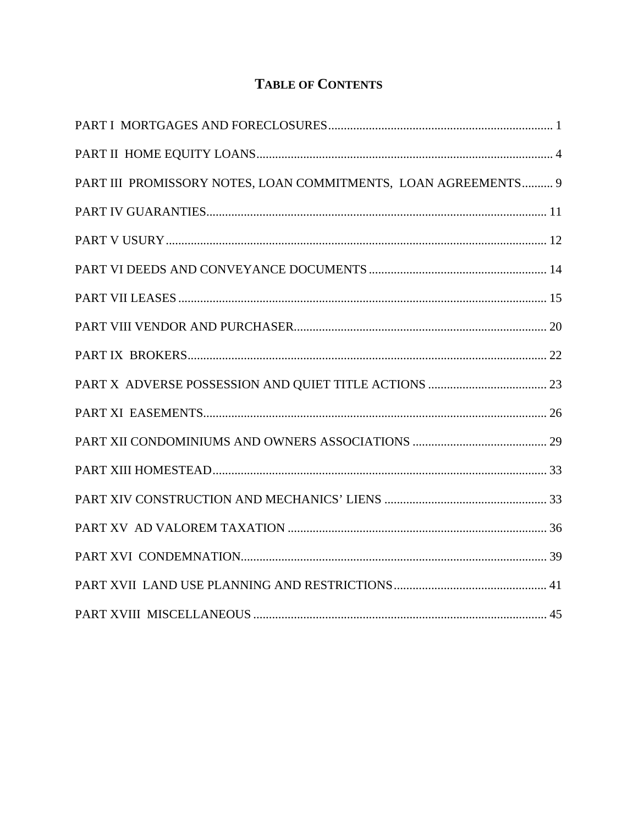# **TABLE OF CONTENTS**

| PART III PROMISSORY NOTES, LOAN COMMITMENTS, LOAN AGREEMENTS 9 |  |
|----------------------------------------------------------------|--|
|                                                                |  |
|                                                                |  |
|                                                                |  |
|                                                                |  |
|                                                                |  |
|                                                                |  |
|                                                                |  |
|                                                                |  |
|                                                                |  |
|                                                                |  |
|                                                                |  |
|                                                                |  |
|                                                                |  |
|                                                                |  |
|                                                                |  |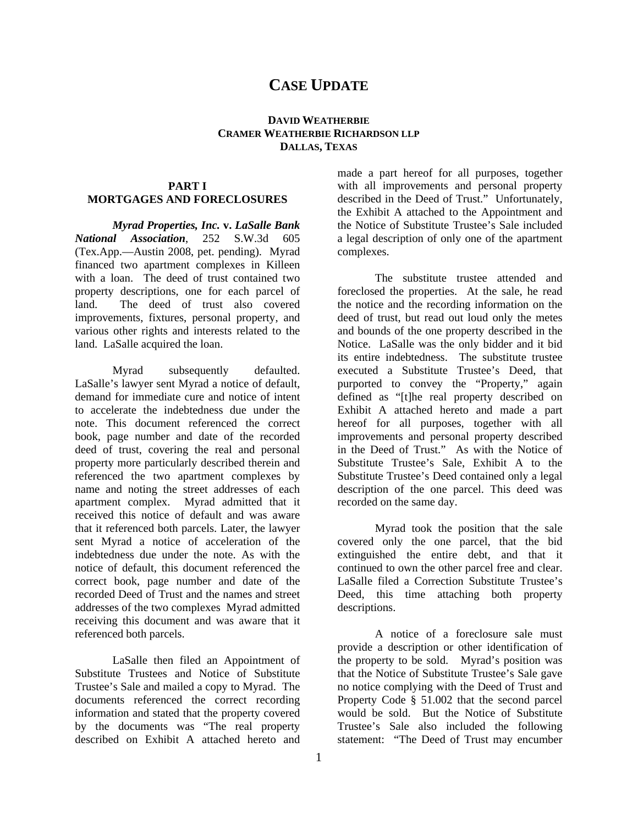## **CASE UPDATE**

#### **DAVID WEATHERBIE CRAMER WEATHERBIE RICHARDSON LLP DALLAS, TEXAS**

#### **PART I MORTGAGES AND FORECLOSURES**

*Myrad Properties, Inc.* **v.** *LaSalle Bank National Association*, 252 S.W.3d 605 (Tex.App.—Austin 2008, pet. pending). Myrad financed two apartment complexes in Killeen with a loan. The deed of trust contained two property descriptions, one for each parcel of land. The deed of trust also covered improvements, fixtures, personal property, and various other rights and interests related to the land. LaSalle acquired the loan.

Myrad subsequently defaulted. LaSalle's lawyer sent Myrad a notice of default, demand for immediate cure and notice of intent to accelerate the indebtedness due under the note. This document referenced the correct book, page number and date of the recorded deed of trust, covering the real and personal property more particularly described therein and referenced the two apartment complexes by name and noting the street addresses of each apartment complex. Myrad admitted that it received this notice of default and was aware that it referenced both parcels. Later, the lawyer sent Myrad a notice of acceleration of the indebtedness due under the note. As with the notice of default, this document referenced the correct book, page number and date of the recorded Deed of Trust and the names and street addresses of the two complexes Myrad admitted receiving this document and was aware that it referenced both parcels.

LaSalle then filed an Appointment of Substitute Trustees and Notice of Substitute Trustee's Sale and mailed a copy to Myrad. The documents referenced the correct recording information and stated that the property covered by the documents was "The real property described on Exhibit A attached hereto and

made a part hereof for all purposes, together with all improvements and personal property described in the Deed of Trust." Unfortunately, the Exhibit A attached to the Appointment and the Notice of Substitute Trustee's Sale included a legal description of only one of the apartment complexes.

The substitute trustee attended and foreclosed the properties. At the sale, he read the notice and the recording information on the deed of trust, but read out loud only the metes and bounds of the one property described in the Notice. LaSalle was the only bidder and it bid its entire indebtedness. The substitute trustee executed a Substitute Trustee's Deed, that purported to convey the "Property," again defined as "[t]he real property described on Exhibit A attached hereto and made a part hereof for all purposes, together with all improvements and personal property described in the Deed of Trust." As with the Notice of Substitute Trustee's Sale, Exhibit A to the Substitute Trustee's Deed contained only a legal description of the one parcel. This deed was recorded on the same day.

Myrad took the position that the sale covered only the one parcel, that the bid extinguished the entire debt, and that it continued to own the other parcel free and clear. LaSalle filed a Correction Substitute Trustee's Deed, this time attaching both property descriptions.

A notice of a foreclosure sale must provide a description or other identification of the property to be sold. Myrad's position was that the Notice of Substitute Trustee's Sale gave no notice complying with the Deed of Trust and Property Code § 51.002 that the second parcel would be sold. But the Notice of Substitute Trustee's Sale also included the following statement: "The Deed of Trust may encumber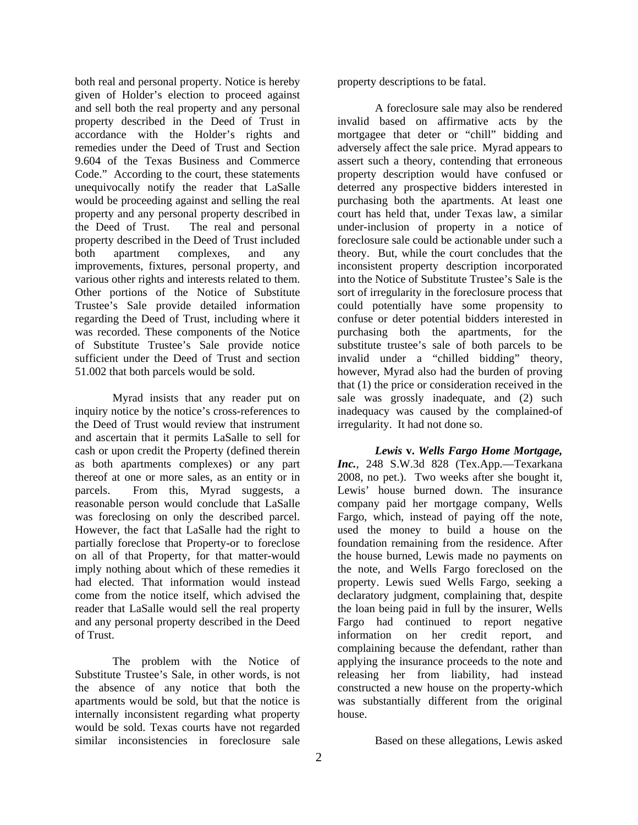both real and personal property. Notice is hereby given of Holder's election to proceed against and sell both the real property and any personal property described in the Deed of Trust in accordance with the Holder's rights and remedies under the Deed of Trust and Section 9.604 of the Texas Business and Commerce Code." According to the court, these statements unequivocally notify the reader that LaSalle would be proceeding against and selling the real property and any personal property described in the Deed of Trust. The real and personal property described in the Deed of Trust included both apartment complexes, and any improvements, fixtures, personal property, and various other rights and interests related to them. Other portions of the Notice of Substitute Trustee's Sale provide detailed information regarding the Deed of Trust, including where it was recorded. These components of the Notice of Substitute Trustee's Sale provide notice sufficient under the Deed of Trust and section 51.002 that both parcels would be sold.

Myrad insists that any reader put on inquiry notice by the notice's cross-references to the Deed of Trust would review that instrument and ascertain that it permits LaSalle to sell for cash or upon credit the Property (defined therein as both apartments complexes) or any part thereof at one or more sales, as an entity or in parcels. From this, Myrad suggests, a reasonable person would conclude that LaSalle was foreclosing on only the described parcel. However, the fact that LaSalle had the right to partially foreclose that Property-or to foreclose on all of that Property, for that matter-would imply nothing about which of these remedies it had elected. That information would instead come from the notice itself, which advised the reader that LaSalle would sell the real property and any personal property described in the Deed of Trust.

The problem with the Notice of Substitute Trustee's Sale, in other words, is not the absence of any notice that both the apartments would be sold, but that the notice is internally inconsistent regarding what property would be sold. Texas courts have not regarded similar inconsistencies in foreclosure sale

property descriptions to be fatal.

A foreclosure sale may also be rendered invalid based on affirmative acts by the mortgagee that deter or "chill" bidding and adversely affect the sale price. Myrad appears to assert such a theory, contending that erroneous property description would have confused or deterred any prospective bidders interested in purchasing both the apartments. At least one court has held that, under Texas law, a similar under-inclusion of property in a notice of foreclosure sale could be actionable under such a theory. But, while the court concludes that the inconsistent property description incorporated into the Notice of Substitute Trustee's Sale is the sort of irregularity in the foreclosure process that could potentially have some propensity to confuse or deter potential bidders interested in purchasing both the apartments, for the substitute trustee's sale of both parcels to be invalid under a "chilled bidding" theory, however, Myrad also had the burden of proving that (1) the price or consideration received in the sale was grossly inadequate, and (2) such inadequacy was caused by the complained-of irregularity. It had not done so.

*Lewis* **v.** *Wells Fargo Home Mortgage, Inc.*, 248 S.W.3d 828 (Tex.App.—Texarkana 2008, no pet.). Two weeks after she bought it, Lewis' house burned down. The insurance company paid her mortgage company, Wells Fargo, which, instead of paying off the note, used the money to build a house on the foundation remaining from the residence. After the house burned, Lewis made no payments on the note, and Wells Fargo foreclosed on the property. Lewis sued Wells Fargo, seeking a declaratory judgment, complaining that, despite the loan being paid in full by the insurer, Wells Fargo had continued to report negative information on her credit report, and complaining because the defendant, rather than applying the insurance proceeds to the note and releasing her from liability, had instead constructed a new house on the property-which was substantially different from the original house.

Based on these allegations, Lewis asked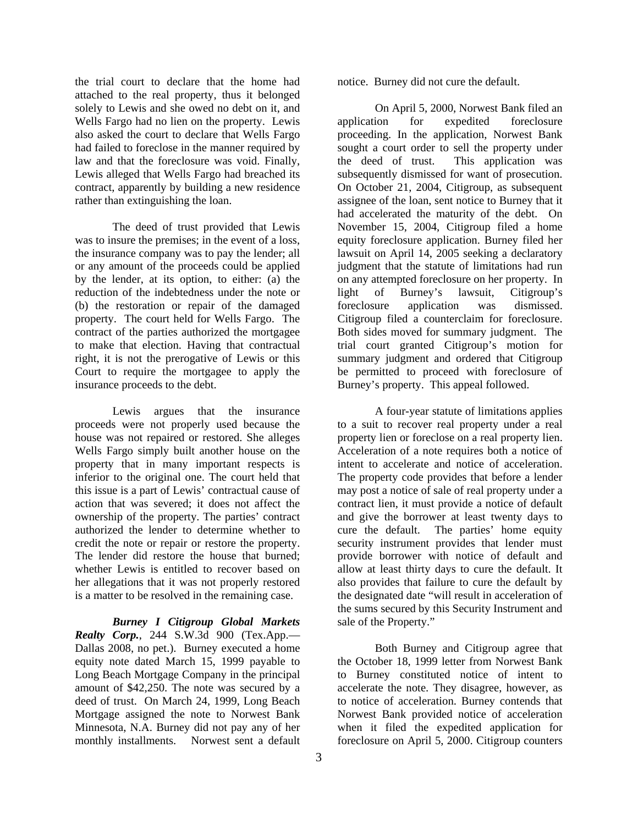the trial court to declare that the home had attached to the real property, thus it belonged solely to Lewis and she owed no debt on it, and Wells Fargo had no lien on the property. Lewis also asked the court to declare that Wells Fargo had failed to foreclose in the manner required by law and that the foreclosure was void. Finally, Lewis alleged that Wells Fargo had breached its contract, apparently by building a new residence rather than extinguishing the loan.

The deed of trust provided that Lewis was to insure the premises; in the event of a loss, the insurance company was to pay the lender; all or any amount of the proceeds could be applied by the lender, at its option, to either: (a) the reduction of the indebtedness under the note or (b) the restoration or repair of the damaged property. The court held for Wells Fargo. The contract of the parties authorized the mortgagee to make that election. Having that contractual right, it is not the prerogative of Lewis or this Court to require the mortgagee to apply the insurance proceeds to the debt.

Lewis argues that the insurance proceeds were not properly used because the house was not repaired or restored. She alleges Wells Fargo simply built another house on the property that in many important respects is inferior to the original one. The court held that this issue is a part of Lewis' contractual cause of action that was severed; it does not affect the ownership of the property. The parties' contract authorized the lender to determine whether to credit the note or repair or restore the property. The lender did restore the house that burned; whether Lewis is entitled to recover based on her allegations that it was not properly restored is a matter to be resolved in the remaining case.

*Burney I Citigroup Global Markets Realty Corp.*, 244 S.W.3d 900 (Tex.App.— Dallas 2008, no pet.). Burney executed a home equity note dated March 15, 1999 payable to Long Beach Mortgage Company in the principal amount of \$42,250. The note was secured by a deed of trust. On March 24, 1999, Long Beach Mortgage assigned the note to Norwest Bank Minnesota, N.A. Burney did not pay any of her monthly installments. Norwest sent a default

notice. Burney did not cure the default.

On April 5, 2000, Norwest Bank filed an application for expedited foreclosure proceeding. In the application, Norwest Bank sought a court order to sell the property under the deed of trust. This application was subsequently dismissed for want of prosecution. On October 21, 2004, Citigroup, as subsequent assignee of the loan, sent notice to Burney that it had accelerated the maturity of the debt. On November 15, 2004, Citigroup filed a home equity foreclosure application. Burney filed her lawsuit on April 14, 2005 seeking a declaratory judgment that the statute of limitations had run on any attempted foreclosure on her property. In light of Burney's lawsuit, Citigroup's foreclosure application was dismissed. Citigroup filed a counterclaim for foreclosure. Both sides moved for summary judgment. The trial court granted Citigroup's motion for summary judgment and ordered that Citigroup be permitted to proceed with foreclosure of Burney's property. This appeal followed.

A four-year statute of limitations applies to a suit to recover real property under a real property lien or foreclose on a real property lien. Acceleration of a note requires both a notice of intent to accelerate and notice of acceleration. The property code provides that before a lender may post a notice of sale of real property under a contract lien, it must provide a notice of default and give the borrower at least twenty days to cure the default. The parties' home equity security instrument provides that lender must provide borrower with notice of default and allow at least thirty days to cure the default. It also provides that failure to cure the default by the designated date "will result in acceleration of the sums secured by this Security Instrument and sale of the Property."

Both Burney and Citigroup agree that the October 18, 1999 letter from Norwest Bank to Burney constituted notice of intent to accelerate the note. They disagree, however, as to notice of acceleration. Burney contends that Norwest Bank provided notice of acceleration when it filed the expedited application for foreclosure on April 5, 2000. Citigroup counters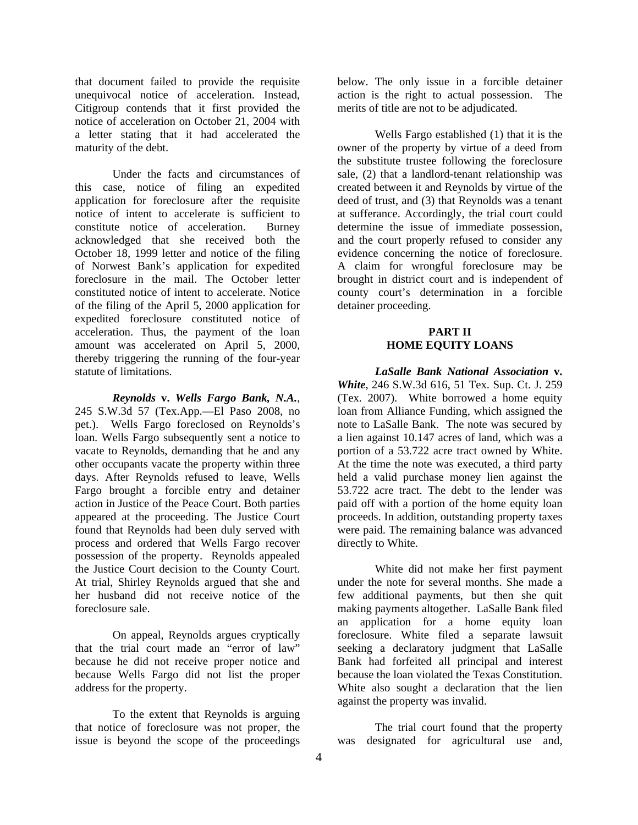that document failed to provide the requisite unequivocal notice of acceleration. Instead, Citigroup contends that it first provided the notice of acceleration on October 21, 2004 with a letter stating that it had accelerated the maturity of the debt.

Under the facts and circumstances of this case, notice of filing an expedited application for foreclosure after the requisite notice of intent to accelerate is sufficient to constitute notice of acceleration. Burney acknowledged that she received both the October 18, 1999 letter and notice of the filing of Norwest Bank's application for expedited foreclosure in the mail. The October letter constituted notice of intent to accelerate. Notice of the filing of the April 5, 2000 application for expedited foreclosure constituted notice of acceleration. Thus, the payment of the loan amount was accelerated on April 5, 2000, thereby triggering the running of the four-year statute of limitations.

*Reynolds* **v.** *Wells Fargo Bank, N.A.*, 245 S.W.3d 57 (Tex.App.—El Paso 2008, no pet.). Wells Fargo foreclosed on Reynolds's loan. Wells Fargo subsequently sent a notice to vacate to Reynolds, demanding that he and any other occupants vacate the property within three days. After Reynolds refused to leave, Wells Fargo brought a forcible entry and detainer action in Justice of the Peace Court. Both parties appeared at the proceeding. The Justice Court found that Reynolds had been duly served with process and ordered that Wells Fargo recover possession of the property. Reynolds appealed the Justice Court decision to the County Court. At trial, Shirley Reynolds argued that she and her husband did not receive notice of the foreclosure sale.

On appeal, Reynolds argues cryptically that the trial court made an "error of law" because he did not receive proper notice and because Wells Fargo did not list the proper address for the property.

To the extent that Reynolds is arguing that notice of foreclosure was not proper, the issue is beyond the scope of the proceedings

below. The only issue in a forcible detainer action is the right to actual possession. The merits of title are not to be adjudicated.

Wells Fargo established (1) that it is the owner of the property by virtue of a deed from the substitute trustee following the foreclosure sale, (2) that a landlord-tenant relationship was created between it and Reynolds by virtue of the deed of trust, and (3) that Reynolds was a tenant at sufferance. Accordingly, the trial court could determine the issue of immediate possession, and the court properly refused to consider any evidence concerning the notice of foreclosure. A claim for wrongful foreclosure may be brought in district court and is independent of county court's determination in a forcible detainer proceeding.

#### **PART II HOME EQUITY LOANS**

 *LaSalle Bank National Association* **v.** *White*, 246 S.W.3d 616, 51 Tex. Sup. Ct. J. 259 (Tex. 2007). White borrowed a home equity loan from Alliance Funding, which assigned the note to LaSalle Bank. The note was secured by a lien against 10.147 acres of land, which was a portion of a 53.722 acre tract owned by White. At the time the note was executed, a third party held a valid purchase money lien against the 53.722 acre tract. The debt to the lender was paid off with a portion of the home equity loan proceeds. In addition, outstanding property taxes were paid. The remaining balance was advanced directly to White.

 White did not make her first payment under the note for several months. She made a few additional payments, but then she quit making payments altogether. LaSalle Bank filed an application for a home equity loan foreclosure. White filed a separate lawsuit seeking a declaratory judgment that LaSalle Bank had forfeited all principal and interest because the loan violated the Texas Constitution. White also sought a declaration that the lien against the property was invalid.

 The trial court found that the property was designated for agricultural use and,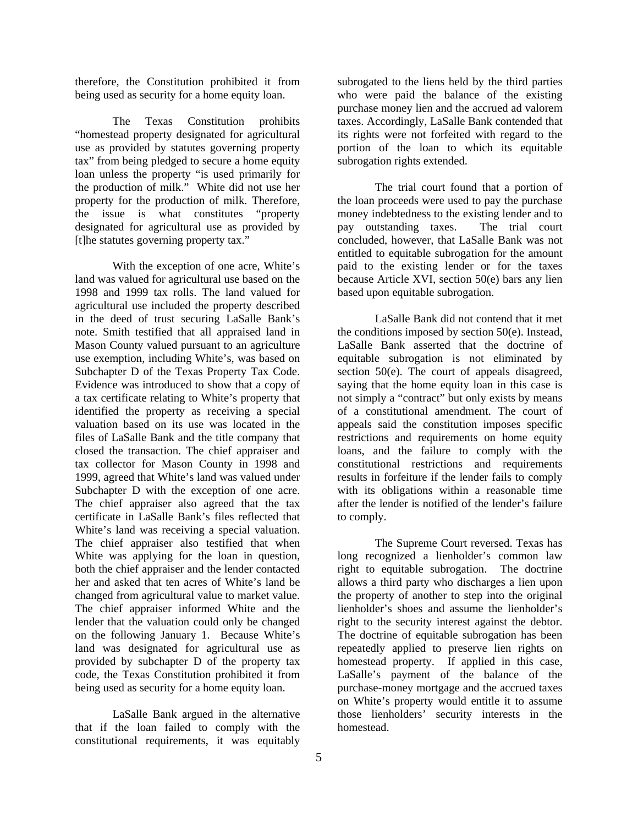therefore, the Constitution prohibited it from being used as security for a home equity loan.

 The Texas Constitution prohibits "homestead property designated for agricultural use as provided by statutes governing property tax" from being pledged to secure a home equity loan unless the property "is used primarily for the production of milk." White did not use her property for the production of milk. Therefore, the issue is what constitutes "property designated for agricultural use as provided by [t]he statutes governing property tax."

 With the exception of one acre, White's land was valued for agricultural use based on the 1998 and 1999 tax rolls. The land valued for agricultural use included the property described in the deed of trust securing LaSalle Bank's note. Smith testified that all appraised land in Mason County valued pursuant to an agriculture use exemption, including White's, was based on Subchapter D of the Texas Property Tax Code. Evidence was introduced to show that a copy of a tax certificate relating to White's property that identified the property as receiving a special valuation based on its use was located in the files of LaSalle Bank and the title company that closed the transaction. The chief appraiser and tax collector for Mason County in 1998 and 1999, agreed that White's land was valued under Subchapter D with the exception of one acre. The chief appraiser also agreed that the tax certificate in LaSalle Bank's files reflected that White's land was receiving a special valuation. The chief appraiser also testified that when White was applying for the loan in question, both the chief appraiser and the lender contacted her and asked that ten acres of White's land be changed from agricultural value to market value. The chief appraiser informed White and the lender that the valuation could only be changed on the following January 1. Because White's land was designated for agricultural use as provided by subchapter D of the property tax code, the Texas Constitution prohibited it from being used as security for a home equity loan.

 LaSalle Bank argued in the alternative that if the loan failed to comply with the constitutional requirements, it was equitably

subrogated to the liens held by the third parties who were paid the balance of the existing purchase money lien and the accrued ad valorem taxes. Accordingly, LaSalle Bank contended that its rights were not forfeited with regard to the portion of the loan to which its equitable subrogation rights extended.

 The trial court found that a portion of the loan proceeds were used to pay the purchase money indebtedness to the existing lender and to pay outstanding taxes. The trial court concluded, however, that LaSalle Bank was not entitled to equitable subrogation for the amount paid to the existing lender or for the taxes because Article XVI, section 50(e) bars any lien based upon equitable subrogation.

 LaSalle Bank did not contend that it met the conditions imposed by section 50(e). Instead, LaSalle Bank asserted that the doctrine of equitable subrogation is not eliminated by section 50(e). The court of appeals disagreed, saying that the home equity loan in this case is not simply a "contract" but only exists by means of a constitutional amendment. The court of appeals said the constitution imposes specific restrictions and requirements on home equity loans, and the failure to comply with the constitutional restrictions and requirements results in forfeiture if the lender fails to comply with its obligations within a reasonable time after the lender is notified of the lender's failure to comply.

 The Supreme Court reversed. Texas has long recognized a lienholder's common law right to equitable subrogation. The doctrine allows a third party who discharges a lien upon the property of another to step into the original lienholder's shoes and assume the lienholder's right to the security interest against the debtor. The doctrine of equitable subrogation has been repeatedly applied to preserve lien rights on homestead property. If applied in this case, LaSalle's payment of the balance of the purchase-money mortgage and the accrued taxes on White's property would entitle it to assume those lienholders' security interests in the homestead.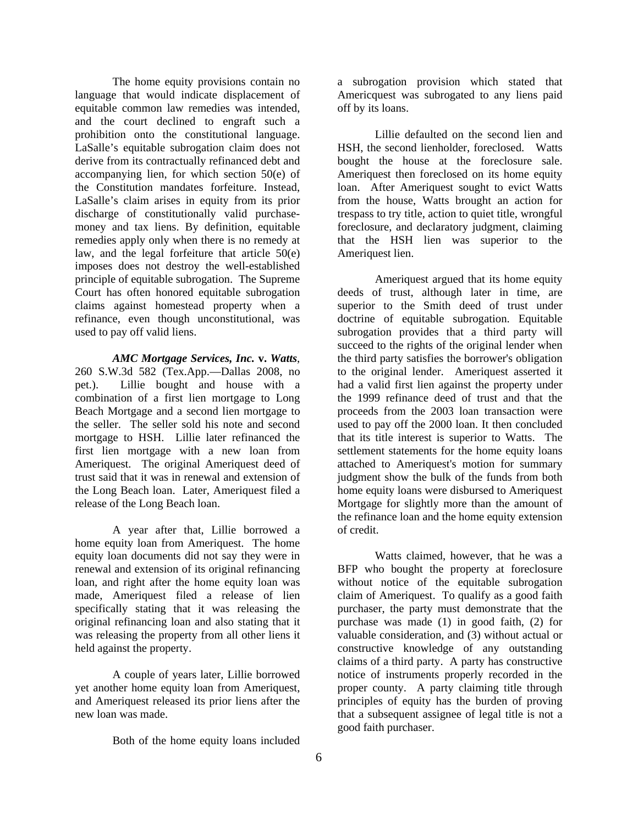The home equity provisions contain no language that would indicate displacement of equitable common law remedies was intended, and the court declined to engraft such a prohibition onto the constitutional language. LaSalle's equitable subrogation claim does not derive from its contractually refinanced debt and accompanying lien, for which section 50(e) of the Constitution mandates forfeiture. Instead, LaSalle's claim arises in equity from its prior discharge of constitutionally valid purchasemoney and tax liens. By definition, equitable remedies apply only when there is no remedy at law, and the legal forfeiture that article 50(e) imposes does not destroy the well-established principle of equitable subrogation. The Supreme Court has often honored equitable subrogation claims against homestead property when a refinance, even though unconstitutional, was used to pay off valid liens.

*AMC Mortgage Services, Inc.* **v.** *Watts*, 260 S.W.3d 582 (Tex.App.—Dallas 2008, no pet.). Lillie bought and house with a combination of a first lien mortgage to Long Beach Mortgage and a second lien mortgage to the seller. The seller sold his note and second mortgage to HSH. Lillie later refinanced the first lien mortgage with a new loan from Ameriquest. The original Ameriquest deed of trust said that it was in renewal and extension of the Long Beach loan. Later, Ameriquest filed a release of the Long Beach loan.

 A year after that, Lillie borrowed a home equity loan from Ameriquest. The home equity loan documents did not say they were in renewal and extension of its original refinancing loan, and right after the home equity loan was made, Ameriquest filed a release of lien specifically stating that it was releasing the original refinancing loan and also stating that it was releasing the property from all other liens it held against the property.

 A couple of years later, Lillie borrowed yet another home equity loan from Ameriquest, and Ameriquest released its prior liens after the new loan was made.

Both of the home equity loans included

a subrogation provision which stated that Americquest was subrogated to any liens paid off by its loans.

 Lillie defaulted on the second lien and HSH, the second lienholder, foreclosed. Watts bought the house at the foreclosure sale. Ameriquest then foreclosed on its home equity loan. After Ameriquest sought to evict Watts from the house, Watts brought an action for trespass to try title, action to quiet title, wrongful foreclosure, and declaratory judgment, claiming that the HSH lien was superior to the Ameriquest lien.

 Ameriquest argued that its home equity deeds of trust, although later in time, are superior to the Smith deed of trust under doctrine of equitable subrogation. Equitable subrogation provides that a third party will succeed to the rights of the original lender when the third party satisfies the borrower's obligation to the original lender. Ameriquest asserted it had a valid first lien against the property under the 1999 refinance deed of trust and that the proceeds from the 2003 loan transaction were used to pay off the 2000 loan. It then concluded that its title interest is superior to Watts. The settlement statements for the home equity loans attached to Ameriquest's motion for summary judgment show the bulk of the funds from both home equity loans were disbursed to Ameriquest Mortgage for slightly more than the amount of the refinance loan and the home equity extension of credit.

 Watts claimed, however, that he was a BFP who bought the property at foreclosure without notice of the equitable subrogation claim of Ameriquest. To qualify as a good faith purchaser, the party must demonstrate that the purchase was made (1) in good faith, (2) for valuable consideration, and (3) without actual or constructive knowledge of any outstanding claims of a third party. A party has constructive notice of instruments properly recorded in the proper county. A party claiming title through principles of equity has the burden of proving that a subsequent assignee of legal title is not a good faith purchaser.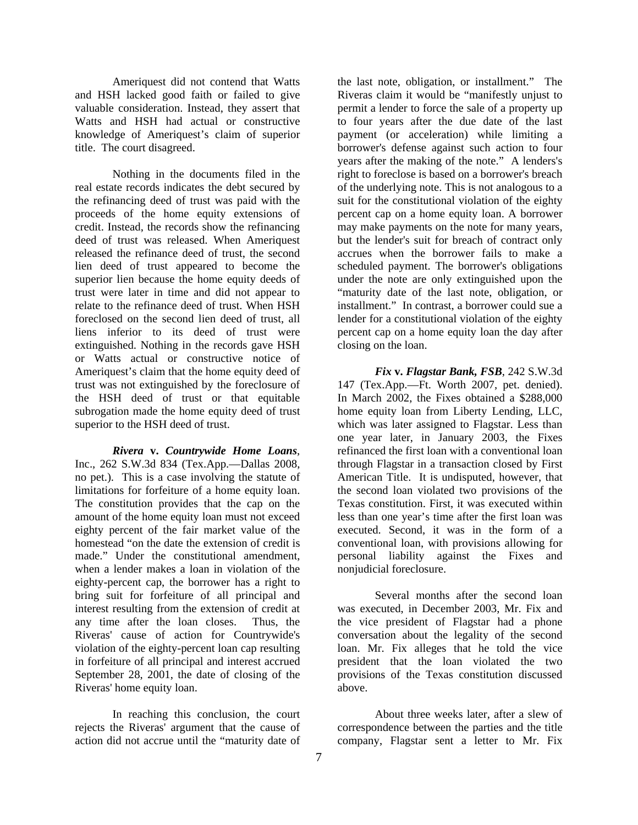Ameriquest did not contend that Watts and HSH lacked good faith or failed to give valuable consideration. Instead, they assert that Watts and HSH had actual or constructive knowledge of Ameriquest's claim of superior title. The court disagreed.

 Nothing in the documents filed in the real estate records indicates the debt secured by the refinancing deed of trust was paid with the proceeds of the home equity extensions of credit. Instead, the records show the refinancing deed of trust was released. When Ameriquest released the refinance deed of trust, the second lien deed of trust appeared to become the superior lien because the home equity deeds of trust were later in time and did not appear to relate to the refinance deed of trust. When HSH foreclosed on the second lien deed of trust, all liens inferior to its deed of trust were extinguished. Nothing in the records gave HSH or Watts actual or constructive notice of Ameriquest's claim that the home equity deed of trust was not extinguished by the foreclosure of the HSH deed of trust or that equitable subrogation made the home equity deed of trust superior to the HSH deed of trust.

*Rivera* **v.** *Countrywide Home Loans*, Inc., 262 S.W.3d 834 (Tex.App.—Dallas 2008, no pet.). This is a case involving the statute of limitations for forfeiture of a home equity loan. The constitution provides that the cap on the amount of the home equity loan must not exceed eighty percent of the fair market value of the homestead "on the date the extension of credit is made." Under the constitutional amendment, when a lender makes a loan in violation of the eighty-percent cap, the borrower has a right to bring suit for forfeiture of all principal and interest resulting from the extension of credit at any time after the loan closes. Thus, the Riveras' cause of action for Countrywide's violation of the eighty-percent loan cap resulting in forfeiture of all principal and interest accrued September 28, 2001, the date of closing of the Riveras' home equity loan.

 In reaching this conclusion, the court rejects the Riveras' argument that the cause of action did not accrue until the "maturity date of

the last note, obligation, or installment." The Riveras claim it would be "manifestly unjust to permit a lender to force the sale of a property up to four years after the due date of the last payment (or acceleration) while limiting a borrower's defense against such action to four years after the making of the note." A lenders's right to foreclose is based on a borrower's breach of the underlying note. This is not analogous to a suit for the constitutional violation of the eighty percent cap on a home equity loan. A borrower may make payments on the note for many years, but the lender's suit for breach of contract only accrues when the borrower fails to make a scheduled payment. The borrower's obligations under the note are only extinguished upon the "maturity date of the last note, obligation, or installment." In contrast, a borrower could sue a lender for a constitutional violation of the eighty percent cap on a home equity loan the day after closing on the loan.

*Fix* **v.** *Flagstar Bank, FSB*, 242 S.W.3d 147 (Tex.App.—Ft. Worth 2007, pet. denied). In March 2002, the Fixes obtained a \$288,000 home equity loan from Liberty Lending, LLC, which was later assigned to Flagstar. Less than one year later, in January 2003, the Fixes refinanced the first loan with a conventional loan through Flagstar in a transaction closed by First American Title. It is undisputed, however, that the second loan violated two provisions of the Texas constitution. First, it was executed within less than one year's time after the first loan was executed. Second, it was in the form of a conventional loan, with provisions allowing for personal liability against the Fixes and nonjudicial foreclosure.

 Several months after the second loan was executed, in December 2003, Mr. Fix and the vice president of Flagstar had a phone conversation about the legality of the second loan. Mr. Fix alleges that he told the vice president that the loan violated the two provisions of the Texas constitution discussed above.

 About three weeks later, after a slew of correspondence between the parties and the title company, Flagstar sent a letter to Mr. Fix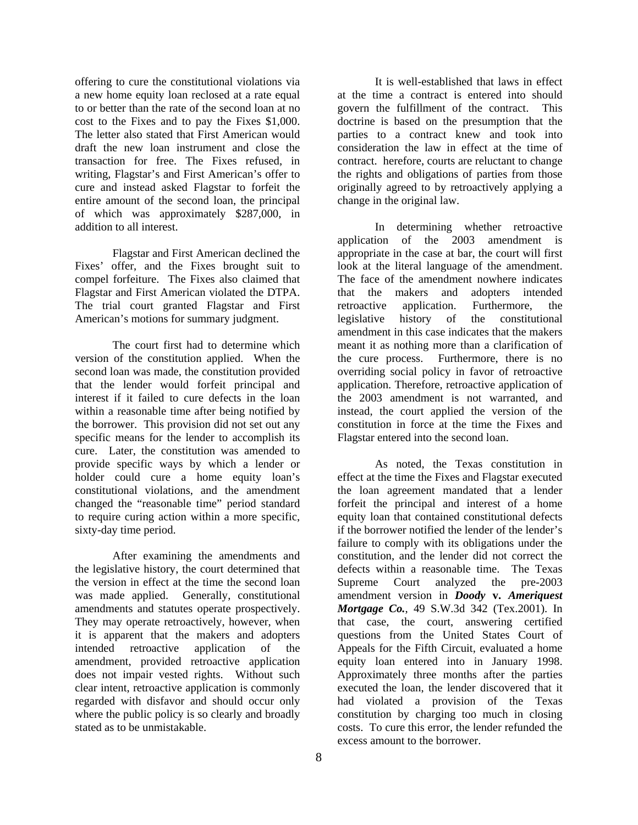offering to cure the constitutional violations via a new home equity loan reclosed at a rate equal to or better than the rate of the second loan at no cost to the Fixes and to pay the Fixes \$1,000. The letter also stated that First American would draft the new loan instrument and close the transaction for free. The Fixes refused, in writing, Flagstar's and First American's offer to cure and instead asked Flagstar to forfeit the entire amount of the second loan, the principal of which was approximately \$287,000, in addition to all interest.

 Flagstar and First American declined the Fixes' offer, and the Fixes brought suit to compel forfeiture. The Fixes also claimed that Flagstar and First American violated the DTPA. The trial court granted Flagstar and First American's motions for summary judgment.

 The court first had to determine which version of the constitution applied. When the second loan was made, the constitution provided that the lender would forfeit principal and interest if it failed to cure defects in the loan within a reasonable time after being notified by the borrower. This provision did not set out any specific means for the lender to accomplish its cure. Later, the constitution was amended to provide specific ways by which a lender or holder could cure a home equity loan's constitutional violations, and the amendment changed the "reasonable time" period standard to require curing action within a more specific, sixty-day time period.

 After examining the amendments and the legislative history, the court determined that the version in effect at the time the second loan was made applied. Generally, constitutional amendments and statutes operate prospectively. They may operate retroactively, however, when it is apparent that the makers and adopters intended retroactive application of the amendment, provided retroactive application does not impair vested rights. Without such clear intent, retroactive application is commonly regarded with disfavor and should occur only where the public policy is so clearly and broadly stated as to be unmistakable.

 It is well-established that laws in effect at the time a contract is entered into should govern the fulfillment of the contract. This doctrine is based on the presumption that the parties to a contract knew and took into consideration the law in effect at the time of contract. herefore, courts are reluctant to change the rights and obligations of parties from those originally agreed to by retroactively applying a change in the original law.

 In determining whether retroactive application of the 2003 amendment is appropriate in the case at bar, the court will first look at the literal language of the amendment. The face of the amendment nowhere indicates that the makers and adopters intended retroactive application. Furthermore, the legislative history of the constitutional amendment in this case indicates that the makers meant it as nothing more than a clarification of the cure process. Furthermore, there is no overriding social policy in favor of retroactive application. Therefore, retroactive application of the 2003 amendment is not warranted, and instead, the court applied the version of the constitution in force at the time the Fixes and Flagstar entered into the second loan.

 As noted, the Texas constitution in effect at the time the Fixes and Flagstar executed the loan agreement mandated that a lender forfeit the principal and interest of a home equity loan that contained constitutional defects if the borrower notified the lender of the lender's failure to comply with its obligations under the constitution, and the lender did not correct the defects within a reasonable time. The Texas Supreme Court analyzed the pre-2003 amendment version in *Doody* **v.** *Ameriquest Mortgage Co.*, 49 S.W.3d 342 (Tex.2001). In that case, the court, answering certified questions from the United States Court of Appeals for the Fifth Circuit, evaluated a home equity loan entered into in January 1998. Approximately three months after the parties executed the loan, the lender discovered that it had violated a provision of the Texas constitution by charging too much in closing costs. To cure this error, the lender refunded the excess amount to the borrower.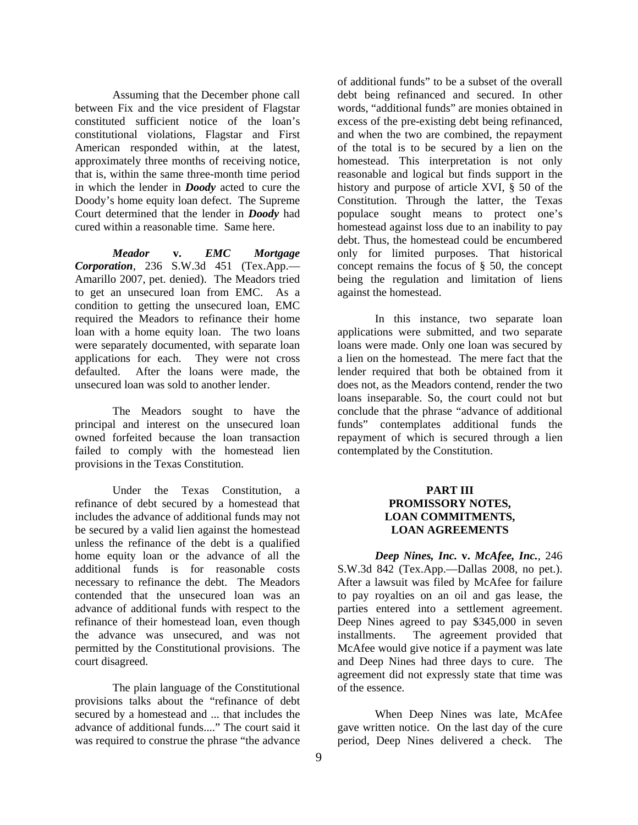Assuming that the December phone call between Fix and the vice president of Flagstar constituted sufficient notice of the loan's constitutional violations, Flagstar and First American responded within, at the latest, approximately three months of receiving notice, that is, within the same three-month time period in which the lender in *Doody* acted to cure the Doody's home equity loan defect. The Supreme Court determined that the lender in *Doody* had cured within a reasonable time. Same here.

*Meador* **v.** *EMC Mortgage Corporation*, 236 S.W.3d 451 (Tex.App.— Amarillo 2007, pet. denied). The Meadors tried to get an unsecured loan from EMC. As a condition to getting the unsecured loan, EMC required the Meadors to refinance their home loan with a home equity loan. The two loans were separately documented, with separate loan applications for each. They were not cross defaulted. After the loans were made, the unsecured loan was sold to another lender.

 The Meadors sought to have the principal and interest on the unsecured loan owned forfeited because the loan transaction failed to comply with the homestead lien provisions in the Texas Constitution.

Under the Texas Constitution a refinance of debt secured by a homestead that includes the advance of additional funds may not be secured by a valid lien against the homestead unless the refinance of the debt is a qualified home equity loan or the advance of all the additional funds is for reasonable costs necessary to refinance the debt. The Meadors contended that the unsecured loan was an advance of additional funds with respect to the refinance of their homestead loan, even though the advance was unsecured, and was not permitted by the Constitutional provisions. The court disagreed.

 The plain language of the Constitutional provisions talks about the "refinance of debt secured by a homestead and ... that includes the advance of additional funds...." The court said it was required to construe the phrase "the advance

of additional funds" to be a subset of the overall debt being refinanced and secured. In other words, "additional funds" are monies obtained in excess of the pre-existing debt being refinanced, and when the two are combined, the repayment of the total is to be secured by a lien on the homestead. This interpretation is not only reasonable and logical but finds support in the history and purpose of article XVI, § 50 of the Constitution. Through the latter, the Texas populace sought means to protect one's homestead against loss due to an inability to pay debt. Thus, the homestead could be encumbered only for limited purposes. That historical concept remains the focus of § 50, the concept being the regulation and limitation of liens against the homestead.

 In this instance, two separate loan applications were submitted, and two separate loans were made. Only one loan was secured by a lien on the homestead. The mere fact that the lender required that both be obtained from it does not, as the Meadors contend, render the two loans inseparable. So, the court could not but conclude that the phrase "advance of additional funds" contemplates additional funds the repayment of which is secured through a lien contemplated by the Constitution.

#### **PART III PROMISSORY NOTES, LOAN COMMITMENTS, LOAN AGREEMENTS**

*Deep Nines, Inc.* **v.** *McAfee, Inc.*, 246 S.W.3d 842 (Tex.App.—Dallas 2008, no pet.). After a lawsuit was filed by McAfee for failure to pay royalties on an oil and gas lease, the parties entered into a settlement agreement. Deep Nines agreed to pay \$345,000 in seven installments. The agreement provided that McAfee would give notice if a payment was late and Deep Nines had three days to cure. The agreement did not expressly state that time was of the essence.

 When Deep Nines was late, McAfee gave written notice. On the last day of the cure period, Deep Nines delivered a check. The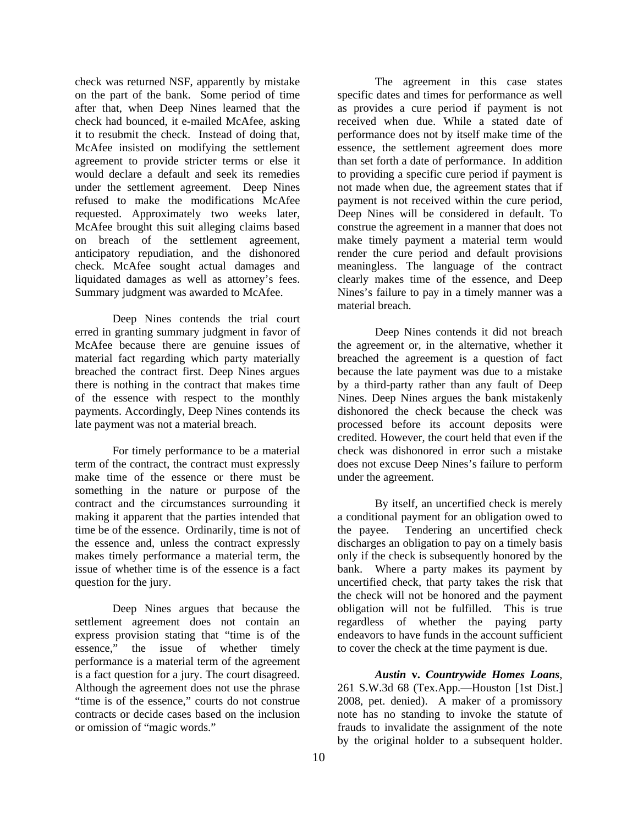check was returned NSF, apparently by mistake on the part of the bank. Some period of time after that, when Deep Nines learned that the check had bounced, it e-mailed McAfee, asking it to resubmit the check. Instead of doing that, McAfee insisted on modifying the settlement agreement to provide stricter terms or else it would declare a default and seek its remedies under the settlement agreement. Deep Nines refused to make the modifications McAfee requested. Approximately two weeks later, McAfee brought this suit alleging claims based on breach of the settlement agreement, anticipatory repudiation, and the dishonored check. McAfee sought actual damages and liquidated damages as well as attorney's fees. Summary judgment was awarded to McAfee.

 Deep Nines contends the trial court erred in granting summary judgment in favor of McAfee because there are genuine issues of material fact regarding which party materially breached the contract first. Deep Nines argues there is nothing in the contract that makes time of the essence with respect to the monthly payments. Accordingly, Deep Nines contends its late payment was not a material breach.

 For timely performance to be a material term of the contract, the contract must expressly make time of the essence or there must be something in the nature or purpose of the contract and the circumstances surrounding it making it apparent that the parties intended that time be of the essence. Ordinarily, time is not of the essence and, unless the contract expressly makes timely performance a material term, the issue of whether time is of the essence is a fact question for the jury.

 Deep Nines argues that because the settlement agreement does not contain an express provision stating that "time is of the essence," the issue of whether timely performance is a material term of the agreement is a fact question for a jury. The court disagreed. Although the agreement does not use the phrase "time is of the essence," courts do not construe contracts or decide cases based on the inclusion or omission of "magic words."

 The agreement in this case states specific dates and times for performance as well as provides a cure period if payment is not received when due. While a stated date of performance does not by itself make time of the essence, the settlement agreement does more than set forth a date of performance. In addition to providing a specific cure period if payment is not made when due, the agreement states that if payment is not received within the cure period, Deep Nines will be considered in default. To construe the agreement in a manner that does not make timely payment a material term would render the cure period and default provisions meaningless. The language of the contract clearly makes time of the essence, and Deep Nines's failure to pay in a timely manner was a material breach.

 Deep Nines contends it did not breach the agreement or, in the alternative, whether it breached the agreement is a question of fact because the late payment was due to a mistake by a third-party rather than any fault of Deep Nines. Deep Nines argues the bank mistakenly dishonored the check because the check was processed before its account deposits were credited. However, the court held that even if the check was dishonored in error such a mistake does not excuse Deep Nines's failure to perform under the agreement.

 By itself, an uncertified check is merely a conditional payment for an obligation owed to the payee. Tendering an uncertified check discharges an obligation to pay on a timely basis only if the check is subsequently honored by the bank. Where a party makes its payment by uncertified check, that party takes the risk that the check will not be honored and the payment obligation will not be fulfilled. This is true regardless of whether the paying party endeavors to have funds in the account sufficient to cover the check at the time payment is due.

 *Austin* **v.** *Countrywide Homes Loans*, 261 S.W.3d 68 (Tex.App.—Houston [1st Dist.] 2008, pet. denied). A maker of a promissory note has no standing to invoke the statute of frauds to invalidate the assignment of the note by the original holder to a subsequent holder.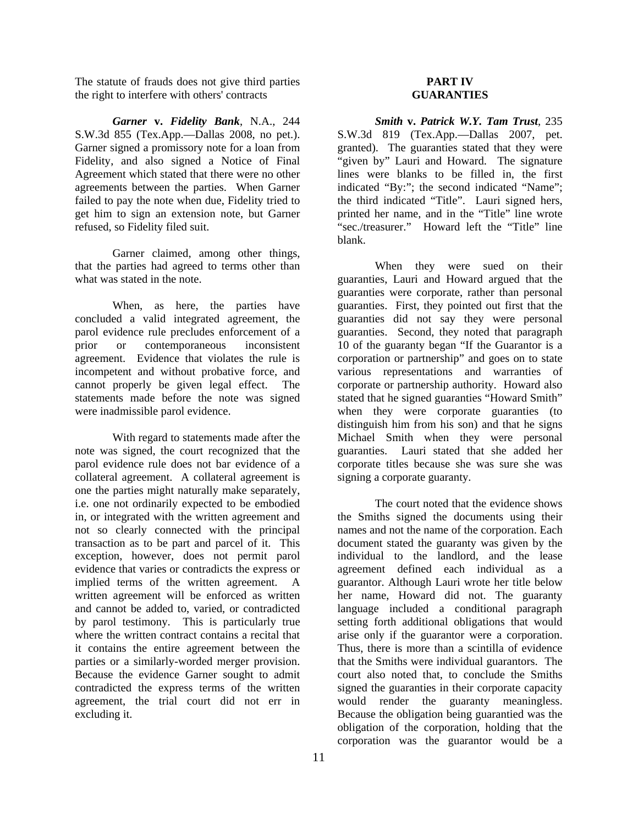The statute of frauds does not give third parties the right to interfere with others' contracts

*Garner* **v.** *Fidelity Bank*, N.A., 244 S.W.3d 855 (Tex.App.—Dallas 2008, no pet.). Garner signed a promissory note for a loan from Fidelity, and also signed a Notice of Final Agreement which stated that there were no other agreements between the parties. When Garner failed to pay the note when due, Fidelity tried to get him to sign an extension note, but Garner refused, so Fidelity filed suit.

 Garner claimed, among other things, that the parties had agreed to terms other than what was stated in the note.

 When, as here, the parties have concluded a valid integrated agreement, the parol evidence rule precludes enforcement of a prior or contemporaneous inconsistent agreement. Evidence that violates the rule is incompetent and without probative force, and cannot properly be given legal effect. The statements made before the note was signed were inadmissible parol evidence.

 With regard to statements made after the note was signed, the court recognized that the parol evidence rule does not bar evidence of a collateral agreement. A collateral agreement is one the parties might naturally make separately, i.e. one not ordinarily expected to be embodied in, or integrated with the written agreement and not so clearly connected with the principal transaction as to be part and parcel of it. This exception, however, does not permit parol evidence that varies or contradicts the express or implied terms of the written agreement. A written agreement will be enforced as written and cannot be added to, varied, or contradicted by parol testimony. This is particularly true where the written contract contains a recital that it contains the entire agreement between the parties or a similarly-worded merger provision. Because the evidence Garner sought to admit contradicted the express terms of the written agreement, the trial court did not err in excluding it.

#### **PART IV GUARANTIES**

*Smith* **v.** *Patrick W.Y. Tam Trust*, 235 S.W.3d 819 (Tex.App.—Dallas 2007, pet. granted). The guaranties stated that they were "given by" Lauri and Howard. The signature lines were blanks to be filled in, the first indicated "By:"; the second indicated "Name"; the third indicated "Title". Lauri signed hers, printed her name, and in the "Title" line wrote "sec./treasurer." Howard left the "Title" line blank.

 When they were sued on their guaranties, Lauri and Howard argued that the guaranties were corporate, rather than personal guaranties. First, they pointed out first that the guaranties did not say they were personal guaranties. Second, they noted that paragraph 10 of the guaranty began "If the Guarantor is a corporation or partnership" and goes on to state various representations and warranties of corporate or partnership authority. Howard also stated that he signed guaranties "Howard Smith" when they were corporate guaranties (to distinguish him from his son) and that he signs Michael Smith when they were personal guaranties. Lauri stated that she added her corporate titles because she was sure she was signing a corporate guaranty.

 The court noted that the evidence shows the Smiths signed the documents using their names and not the name of the corporation. Each document stated the guaranty was given by the individual to the landlord, and the lease agreement defined each individual as a guarantor. Although Lauri wrote her title below her name, Howard did not. The guaranty language included a conditional paragraph setting forth additional obligations that would arise only if the guarantor were a corporation. Thus, there is more than a scintilla of evidence that the Smiths were individual guarantors. The court also noted that, to conclude the Smiths signed the guaranties in their corporate capacity would render the guaranty meaningless. Because the obligation being guarantied was the obligation of the corporation, holding that the corporation was the guarantor would be a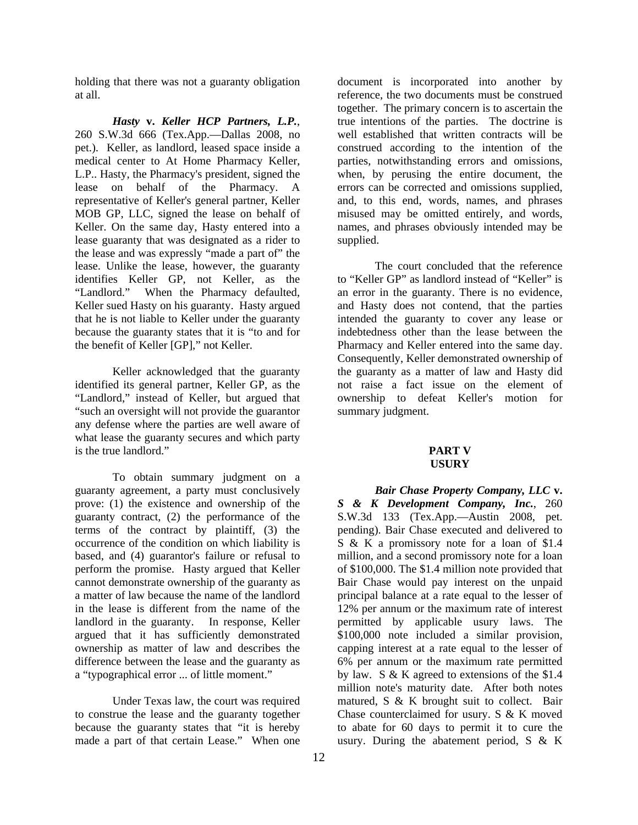holding that there was not a guaranty obligation at all.

 *Hasty* **v.** *Keller HCP Partners, L.P.*, 260 S.W.3d 666 (Tex.App.—Dallas 2008, no pet.). Keller, as landlord, leased space inside a medical center to At Home Pharmacy Keller, L.P.. Hasty, the Pharmacy's president, signed the lease on behalf of the Pharmacy. A representative of Keller's general partner, Keller MOB GP, LLC, signed the lease on behalf of Keller. On the same day, Hasty entered into a lease guaranty that was designated as a rider to the lease and was expressly "made a part of" the lease. Unlike the lease, however, the guaranty identifies Keller GP, not Keller, as the "Landlord." When the Pharmacy defaulted, Keller sued Hasty on his guaranty. Hasty argued that he is not liable to Keller under the guaranty because the guaranty states that it is "to and for the benefit of Keller [GP]," not Keller.

 Keller acknowledged that the guaranty identified its general partner, Keller GP, as the "Landlord," instead of Keller, but argued that "such an oversight will not provide the guarantor any defense where the parties are well aware of what lease the guaranty secures and which party is the true landlord."

 To obtain summary judgment on a guaranty agreement, a party must conclusively prove: (1) the existence and ownership of the guaranty contract, (2) the performance of the terms of the contract by plaintiff, (3) the occurrence of the condition on which liability is based, and (4) guarantor's failure or refusal to perform the promise. Hasty argued that Keller cannot demonstrate ownership of the guaranty as a matter of law because the name of the landlord in the lease is different from the name of the landlord in the guaranty. In response, Keller argued that it has sufficiently demonstrated ownership as matter of law and describes the difference between the lease and the guaranty as a "typographical error ... of little moment."

 Under Texas law, the court was required to construe the lease and the guaranty together because the guaranty states that "it is hereby made a part of that certain Lease." When one

document is incorporated into another by reference, the two documents must be construed together. The primary concern is to ascertain the true intentions of the parties. The doctrine is well established that written contracts will be construed according to the intention of the parties, notwithstanding errors and omissions, when, by perusing the entire document, the errors can be corrected and omissions supplied, and, to this end, words, names, and phrases misused may be omitted entirely, and words, names, and phrases obviously intended may be supplied.

 The court concluded that the reference to "Keller GP" as landlord instead of "Keller" is an error in the guaranty. There is no evidence, and Hasty does not contend, that the parties intended the guaranty to cover any lease or indebtedness other than the lease between the Pharmacy and Keller entered into the same day. Consequently, Keller demonstrated ownership of the guaranty as a matter of law and Hasty did not raise a fact issue on the element of ownership to defeat Keller's motion for summary judgment.

#### **PART V USURY**

*Bair Chase Property Company, LLC* **v.**  *S & K Development Company, Inc.*, 260 S.W.3d 133 (Tex.App.—Austin 2008, pet. pending). Bair Chase executed and delivered to S & K a promissory note for a loan of \$1.4 million, and a second promissory note for a loan of \$100,000. The \$1.4 million note provided that Bair Chase would pay interest on the unpaid principal balance at a rate equal to the lesser of 12% per annum or the maximum rate of interest permitted by applicable usury laws. The \$100,000 note included a similar provision, capping interest at a rate equal to the lesser of 6% per annum or the maximum rate permitted by law. S & K agreed to extensions of the \$1.4 million note's maturity date. After both notes matured, S & K brought suit to collect. Bair Chase counterclaimed for usury. S & K moved to abate for 60 days to permit it to cure the usury. During the abatement period, S & K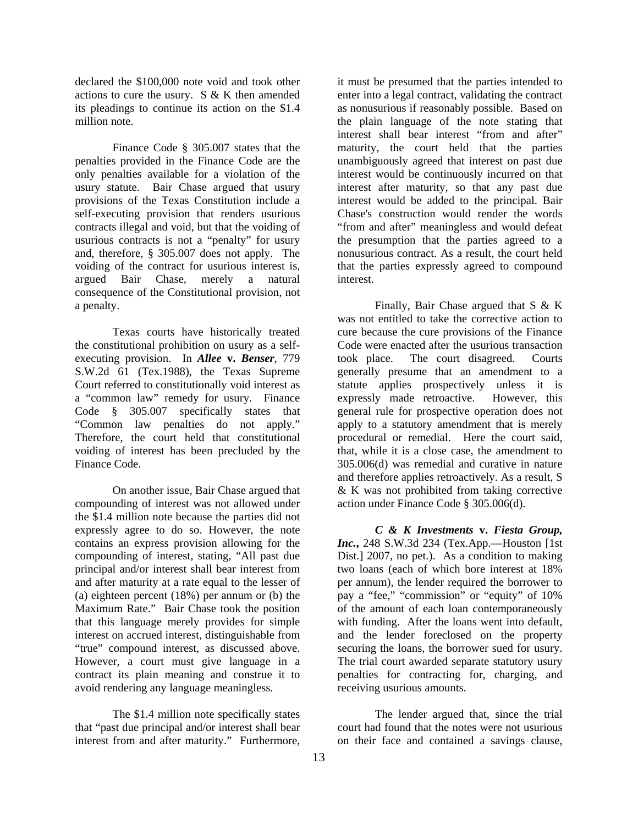declared the \$100,000 note void and took other actions to cure the usury. S & K then amended its pleadings to continue its action on the \$1.4 million note.

 Finance Code § 305.007 states that the penalties provided in the Finance Code are the only penalties available for a violation of the usury statute. Bair Chase argued that usury provisions of the Texas Constitution include a self-executing provision that renders usurious contracts illegal and void, but that the voiding of usurious contracts is not a "penalty" for usury and, therefore, § 305.007 does not apply. The voiding of the contract for usurious interest is, argued Bair Chase, merely a natural consequence of the Constitutional provision, not a penalty.

 Texas courts have historically treated the constitutional prohibition on usury as a selfexecuting provision. In *Allee* **v.** *Benser*, 779 S.W.2d 61 (Tex.1988), the Texas Supreme Court referred to constitutionally void interest as a "common law" remedy for usury. Finance Code § 305.007 specifically states that "Common law penalties do not apply." Therefore, the court held that constitutional voiding of interest has been precluded by the Finance Code.

 On another issue, Bair Chase argued that compounding of interest was not allowed under the \$1.4 million note because the parties did not expressly agree to do so. However, the note contains an express provision allowing for the compounding of interest, stating, "All past due principal and/or interest shall bear interest from and after maturity at a rate equal to the lesser of (a) eighteen percent (18%) per annum or (b) the Maximum Rate." Bair Chase took the position that this language merely provides for simple interest on accrued interest, distinguishable from "true" compound interest, as discussed above. However, a court must give language in a contract its plain meaning and construe it to avoid rendering any language meaningless.

 The \$1.4 million note specifically states that "past due principal and/or interest shall bear interest from and after maturity." Furthermore,

it must be presumed that the parties intended to enter into a legal contract, validating the contract as nonusurious if reasonably possible. Based on the plain language of the note stating that interest shall bear interest "from and after" maturity, the court held that the parties unambiguously agreed that interest on past due interest would be continuously incurred on that interest after maturity, so that any past due interest would be added to the principal. Bair Chase's construction would render the words "from and after" meaningless and would defeat the presumption that the parties agreed to a nonusurious contract. As a result, the court held that the parties expressly agreed to compound interest.

 Finally, Bair Chase argued that S & K was not entitled to take the corrective action to cure because the cure provisions of the Finance Code were enacted after the usurious transaction took place. The court disagreed. Courts generally presume that an amendment to a statute applies prospectively unless it is expressly made retroactive. However, this general rule for prospective operation does not apply to a statutory amendment that is merely procedural or remedial. Here the court said, that, while it is a close case, the amendment to 305.006(d) was remedial and curative in nature and therefore applies retroactively. As a result, S & K was not prohibited from taking corrective action under Finance Code § 305.006(d).

*C & K Investments* **v.** *Fiesta Group, Inc.***,** 248 S.W.3d 234 (Tex.App.—Houston [1st Dist.] 2007, no pet.). As a condition to making two loans (each of which bore interest at 18% per annum), the lender required the borrower to pay a "fee," "commission" or "equity" of 10% of the amount of each loan contemporaneously with funding. After the loans went into default, and the lender foreclosed on the property securing the loans, the borrower sued for usury. The trial court awarded separate statutory usury penalties for contracting for, charging, and receiving usurious amounts.

 The lender argued that, since the trial court had found that the notes were not usurious on their face and contained a savings clause,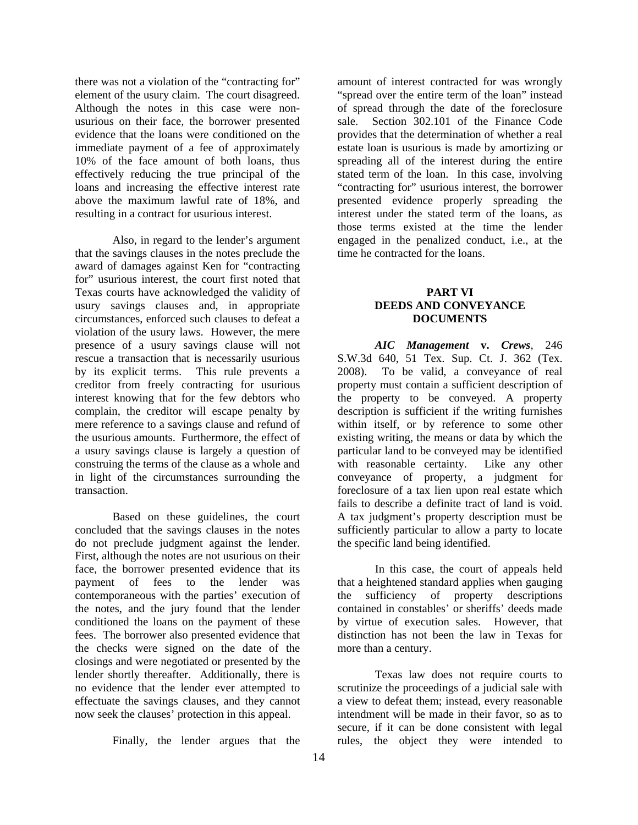there was not a violation of the "contracting for" element of the usury claim. The court disagreed. Although the notes in this case were nonusurious on their face, the borrower presented evidence that the loans were conditioned on the immediate payment of a fee of approximately 10% of the face amount of both loans, thus effectively reducing the true principal of the loans and increasing the effective interest rate above the maximum lawful rate of 18%, and resulting in a contract for usurious interest.

 Also, in regard to the lender's argument that the savings clauses in the notes preclude the award of damages against Ken for "contracting for" usurious interest, the court first noted that Texas courts have acknowledged the validity of usury savings clauses and, in appropriate circumstances, enforced such clauses to defeat a violation of the usury laws. However, the mere presence of a usury savings clause will not rescue a transaction that is necessarily usurious by its explicit terms. This rule prevents a creditor from freely contracting for usurious interest knowing that for the few debtors who complain, the creditor will escape penalty by mere reference to a savings clause and refund of the usurious amounts. Furthermore, the effect of a usury savings clause is largely a question of construing the terms of the clause as a whole and in light of the circumstances surrounding the transaction.

 Based on these guidelines, the court concluded that the savings clauses in the notes do not preclude judgment against the lender. First, although the notes are not usurious on their face, the borrower presented evidence that its payment of fees to the lender was contemporaneous with the parties' execution of the notes, and the jury found that the lender conditioned the loans on the payment of these fees. The borrower also presented evidence that the checks were signed on the date of the closings and were negotiated or presented by the lender shortly thereafter. Additionally, there is no evidence that the lender ever attempted to effectuate the savings clauses, and they cannot now seek the clauses' protection in this appeal.

Finally, the lender argues that the

amount of interest contracted for was wrongly "spread over the entire term of the loan" instead of spread through the date of the foreclosure sale. Section 302.101 of the Finance Code provides that the determination of whether a real estate loan is usurious is made by amortizing or spreading all of the interest during the entire stated term of the loan. In this case, involving "contracting for" usurious interest, the borrower presented evidence properly spreading the interest under the stated term of the loans, as those terms existed at the time the lender engaged in the penalized conduct, i.e., at the time he contracted for the loans.

#### **PART VI DEEDS AND CONVEYANCE DOCUMENTS**

*AIC Management* **v.** *Crews*, 246 S.W.3d 640, 51 Tex. Sup. Ct. J. 362 (Tex. 2008). To be valid, a conveyance of real property must contain a sufficient description of the property to be conveyed. A property description is sufficient if the writing furnishes within itself, or by reference to some other existing writing, the means or data by which the particular land to be conveyed may be identified with reasonable certainty. Like any other conveyance of property, a judgment for foreclosure of a tax lien upon real estate which fails to describe a definite tract of land is void. A tax judgment's property description must be sufficiently particular to allow a party to locate the specific land being identified.

 In this case, the court of appeals held that a heightened standard applies when gauging the sufficiency of property descriptions contained in constables' or sheriffs' deeds made by virtue of execution sales. However, that distinction has not been the law in Texas for more than a century.

 Texas law does not require courts to scrutinize the proceedings of a judicial sale with a view to defeat them; instead, every reasonable intendment will be made in their favor, so as to secure, if it can be done consistent with legal rules, the object they were intended to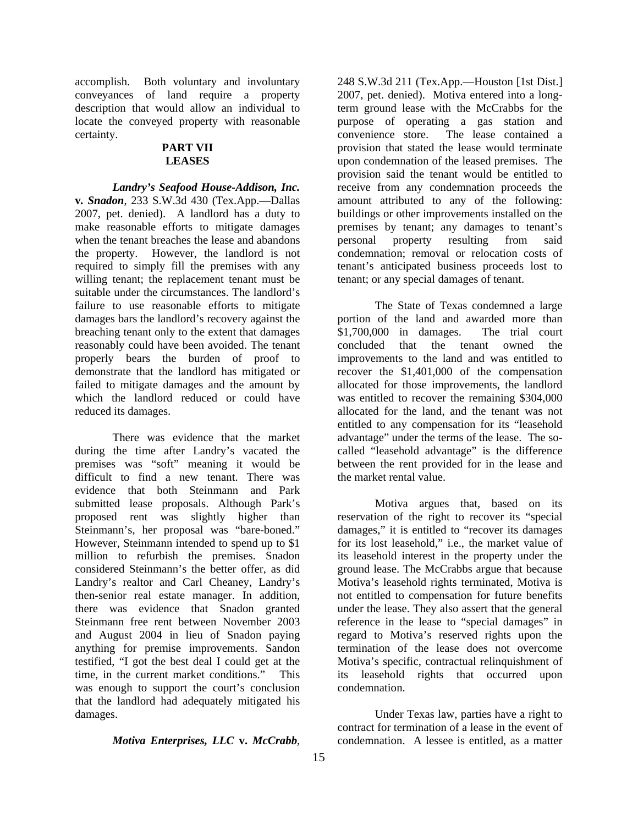accomplish. Both voluntary and involuntary conveyances of land require a property description that would allow an individual to locate the conveyed property with reasonable certainty.

#### **PART VII LEASES**

*Landry's Seafood House-Addison, Inc.*  **v***. Snadon*, 233 S.W.3d 430 (Tex.App.—Dallas 2007, pet. denied). A landlord has a duty to make reasonable efforts to mitigate damages when the tenant breaches the lease and abandons the property. However, the landlord is not required to simply fill the premises with any willing tenant; the replacement tenant must be suitable under the circumstances. The landlord's failure to use reasonable efforts to mitigate damages bars the landlord's recovery against the breaching tenant only to the extent that damages reasonably could have been avoided. The tenant properly bears the burden of proof to demonstrate that the landlord has mitigated or failed to mitigate damages and the amount by which the landlord reduced or could have reduced its damages.

 There was evidence that the market during the time after Landry's vacated the premises was "soft" meaning it would be difficult to find a new tenant. There was evidence that both Steinmann and Park submitted lease proposals. Although Park's proposed rent was slightly higher than Steinmann's, her proposal was "bare-boned." However, Steinmann intended to spend up to \$1 million to refurbish the premises. Snadon considered Steinmann's the better offer, as did Landry's realtor and Carl Cheaney, Landry's then-senior real estate manager. In addition, there was evidence that Snadon granted Steinmann free rent between November 2003 and August 2004 in lieu of Snadon paying anything for premise improvements. Sandon testified, "I got the best deal I could get at the time, in the current market conditions." This was enough to support the court's conclusion that the landlord had adequately mitigated his damages.

#### *Motiva Enterprises, LLC* **v.** *McCrabb*,

purpose of operating a gas station and convenience store. The lease contained a provision that stated the lease would terminate upon condemnation of the leased premises. The provision said the tenant would be entitled to receive from any condemnation proceeds the amount attributed to any of the following: buildings or other improvements installed on the premises by tenant; any damages to tenant's personal property resulting from said condemnation; removal or relocation costs of tenant's anticipated business proceeds lost to tenant; or any special damages of tenant. The State of Texas condemned a large portion of the land and awarded more than

248 S.W.3d 211 (Tex.App.—Houston [1st Dist.] 2007, pet. denied). Motiva entered into a longterm ground lease with the McCrabbs for the

\$1,700,000 in damages. The trial court concluded that the tenant owned the improvements to the land and was entitled to recover the \$1,401,000 of the compensation allocated for those improvements, the landlord was entitled to recover the remaining \$304,000 allocated for the land, and the tenant was not entitled to any compensation for its "leasehold advantage" under the terms of the lease. The socalled "leasehold advantage" is the difference between the rent provided for in the lease and the market rental value.

 Motiva argues that, based on its reservation of the right to recover its "special damages," it is entitled to "recover its damages for its lost leasehold," i.e., the market value of its leasehold interest in the property under the ground lease. The McCrabbs argue that because Motiva's leasehold rights terminated, Motiva is not entitled to compensation for future benefits under the lease. They also assert that the general reference in the lease to "special damages" in regard to Motiva's reserved rights upon the termination of the lease does not overcome Motiva's specific, contractual relinquishment of its leasehold rights that occurred upon condemnation.

 Under Texas law, parties have a right to contract for termination of a lease in the event of condemnation. A lessee is entitled, as a matter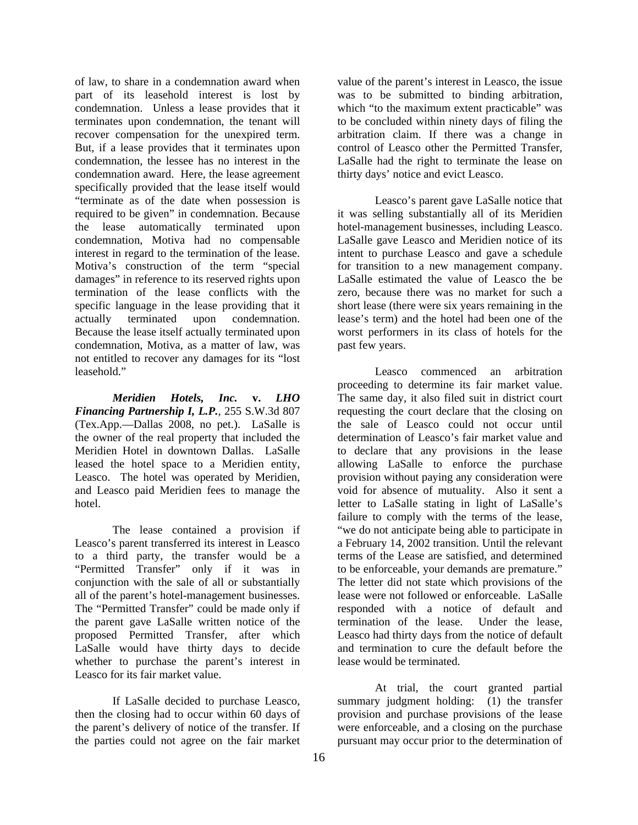of law, to share in a condemnation award when part of its leasehold interest is lost by condemnation. Unless a lease provides that it terminates upon condemnation, the tenant will recover compensation for the unexpired term. But, if a lease provides that it terminates upon condemnation, the lessee has no interest in the condemnation award. Here, the lease agreement specifically provided that the lease itself would "terminate as of the date when possession is required to be given" in condemnation. Because the lease automatically terminated upon condemnation, Motiva had no compensable interest in regard to the termination of the lease. Motiva's construction of the term "special damages" in reference to its reserved rights upon termination of the lease conflicts with the specific language in the lease providing that it actually terminated upon condemnation. Because the lease itself actually terminated upon condemnation, Motiva, as a matter of law, was not entitled to recover any damages for its "lost leasehold."

*Meridien Hotels, Inc.* **v.** *LHO Financing Partnership I, L.P.*, 255 S.W.3d 807 (Tex.App.—Dallas 2008, no pet.). LaSalle is the owner of the real property that included the Meridien Hotel in downtown Dallas. LaSalle leased the hotel space to a Meridien entity, Leasco. The hotel was operated by Meridien, and Leasco paid Meridien fees to manage the hotel.

 The lease contained a provision if Leasco's parent transferred its interest in Leasco to a third party, the transfer would be a "Permitted Transfer" only if it was in conjunction with the sale of all or substantially all of the parent's hotel-management businesses. The "Permitted Transfer" could be made only if the parent gave LaSalle written notice of the proposed Permitted Transfer, after which LaSalle would have thirty days to decide whether to purchase the parent's interest in Leasco for its fair market value.

 If LaSalle decided to purchase Leasco, then the closing had to occur within 60 days of the parent's delivery of notice of the transfer. If the parties could not agree on the fair market

value of the parent's interest in Leasco, the issue was to be submitted to binding arbitration, which "to the maximum extent practicable" was to be concluded within ninety days of filing the arbitration claim. If there was a change in control of Leasco other the Permitted Transfer, LaSalle had the right to terminate the lease on thirty days' notice and evict Leasco.

 Leasco's parent gave LaSalle notice that it was selling substantially all of its Meridien hotel-management businesses, including Leasco. LaSalle gave Leasco and Meridien notice of its intent to purchase Leasco and gave a schedule for transition to a new management company. LaSalle estimated the value of Leasco the be zero, because there was no market for such a short lease (there were six years remaining in the lease's term) and the hotel had been one of the worst performers in its class of hotels for the past few years.

 Leasco commenced an arbitration proceeding to determine its fair market value. The same day, it also filed suit in district court requesting the court declare that the closing on the sale of Leasco could not occur until determination of Leasco's fair market value and to declare that any provisions in the lease allowing LaSalle to enforce the purchase provision without paying any consideration were void for absence of mutuality. Also it sent a letter to LaSalle stating in light of LaSalle's failure to comply with the terms of the lease, "we do not anticipate being able to participate in a February 14, 2002 transition. Until the relevant terms of the Lease are satisfied, and determined to be enforceable, your demands are premature." The letter did not state which provisions of the lease were not followed or enforceable. LaSalle responded with a notice of default and termination of the lease. Under the lease, Leasco had thirty days from the notice of default and termination to cure the default before the lease would be terminated.

 At trial, the court granted partial summary judgment holding: (1) the transfer provision and purchase provisions of the lease were enforceable, and a closing on the purchase pursuant may occur prior to the determination of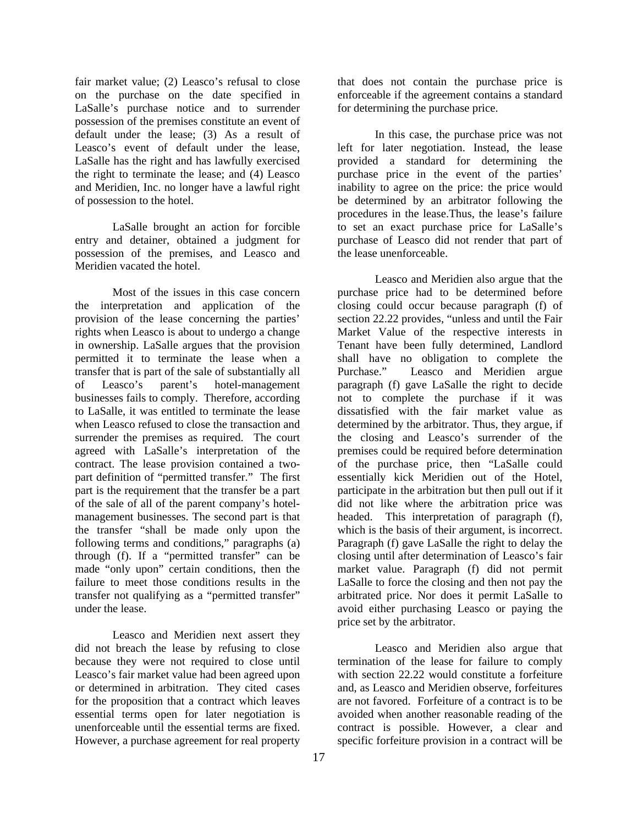fair market value; (2) Leasco's refusal to close on the purchase on the date specified in LaSalle's purchase notice and to surrender possession of the premises constitute an event of default under the lease; (3) As a result of Leasco's event of default under the lease, LaSalle has the right and has lawfully exercised the right to terminate the lease; and (4) Leasco and Meridien, Inc. no longer have a lawful right of possession to the hotel.

 LaSalle brought an action for forcible entry and detainer, obtained a judgment for possession of the premises, and Leasco and Meridien vacated the hotel.

 Most of the issues in this case concern the interpretation and application of the provision of the lease concerning the parties' rights when Leasco is about to undergo a change in ownership. LaSalle argues that the provision permitted it to terminate the lease when a transfer that is part of the sale of substantially all of Leasco's parent's hotel-management businesses fails to comply. Therefore, according to LaSalle, it was entitled to terminate the lease when Leasco refused to close the transaction and surrender the premises as required. The court agreed with LaSalle's interpretation of the contract. The lease provision contained a twopart definition of "permitted transfer." The first part is the requirement that the transfer be a part of the sale of all of the parent company's hotelmanagement businesses. The second part is that the transfer "shall be made only upon the following terms and conditions," paragraphs (a) through (f). If a "permitted transfer" can be made "only upon" certain conditions, then the failure to meet those conditions results in the transfer not qualifying as a "permitted transfer" under the lease.

 Leasco and Meridien next assert they did not breach the lease by refusing to close because they were not required to close until Leasco's fair market value had been agreed upon or determined in arbitration. They cited cases for the proposition that a contract which leaves essential terms open for later negotiation is unenforceable until the essential terms are fixed. However, a purchase agreement for real property

that does not contain the purchase price is enforceable if the agreement contains a standard for determining the purchase price.

 In this case, the purchase price was not left for later negotiation. Instead, the lease provided a standard for determining the purchase price in the event of the parties' inability to agree on the price: the price would be determined by an arbitrator following the procedures in the lease.Thus, the lease's failure to set an exact purchase price for LaSalle's purchase of Leasco did not render that part of the lease unenforceable.

 Leasco and Meridien also argue that the purchase price had to be determined before closing could occur because paragraph (f) of section 22.22 provides, "unless and until the Fair Market Value of the respective interests in Tenant have been fully determined, Landlord shall have no obligation to complete the Purchase." Leasco and Meridien argue paragraph (f) gave LaSalle the right to decide not to complete the purchase if it was dissatisfied with the fair market value as determined by the arbitrator. Thus, they argue, if the closing and Leasco's surrender of the premises could be required before determination of the purchase price, then "LaSalle could essentially kick Meridien out of the Hotel, participate in the arbitration but then pull out if it did not like where the arbitration price was headed. This interpretation of paragraph (f), which is the basis of their argument, is incorrect. Paragraph (f) gave LaSalle the right to delay the closing until after determination of Leasco's fair market value. Paragraph (f) did not permit LaSalle to force the closing and then not pay the arbitrated price. Nor does it permit LaSalle to avoid either purchasing Leasco or paying the price set by the arbitrator.

 Leasco and Meridien also argue that termination of the lease for failure to comply with section 22.22 would constitute a forfeiture and, as Leasco and Meridien observe, forfeitures are not favored. Forfeiture of a contract is to be avoided when another reasonable reading of the contract is possible. However, a clear and specific forfeiture provision in a contract will be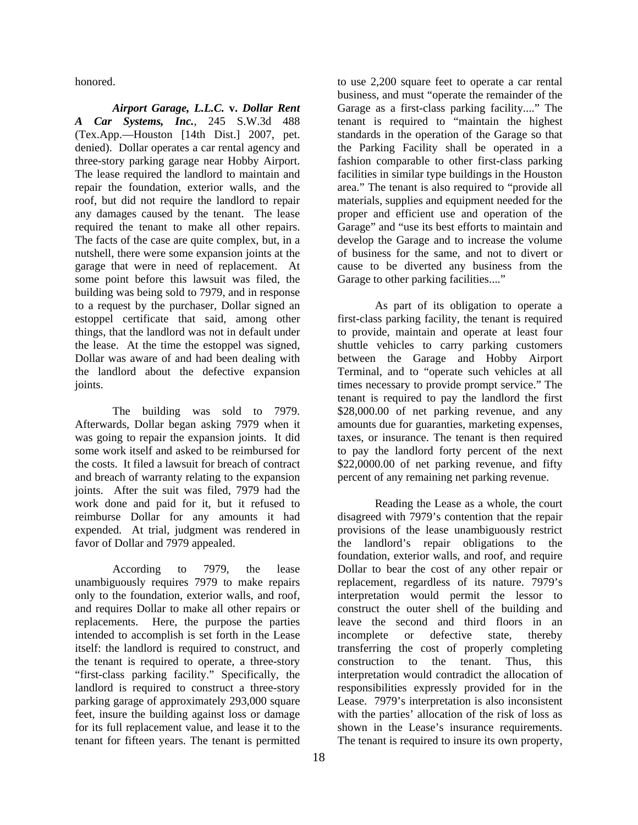honored.

*Airport Garage, L.L.C.* **v.** *Dollar Rent A Car Systems, Inc.*, 245 S.W.3d 488 (Tex.App.—Houston [14th Dist.] 2007, pet. denied). Dollar operates a car rental agency and three-story parking garage near Hobby Airport. The lease required the landlord to maintain and repair the foundation, exterior walls, and the roof, but did not require the landlord to repair any damages caused by the tenant. The lease required the tenant to make all other repairs. The facts of the case are quite complex, but, in a nutshell, there were some expansion joints at the garage that were in need of replacement. At some point before this lawsuit was filed, the building was being sold to 7979, and in response to a request by the purchaser, Dollar signed an estoppel certificate that said, among other things, that the landlord was not in default under the lease. At the time the estoppel was signed, Dollar was aware of and had been dealing with the landlord about the defective expansion joints.

 The building was sold to 7979. Afterwards, Dollar began asking 7979 when it was going to repair the expansion joints. It did some work itself and asked to be reimbursed for the costs. It filed a lawsuit for breach of contract and breach of warranty relating to the expansion joints. After the suit was filed, 7979 had the work done and paid for it, but it refused to reimburse Dollar for any amounts it had expended. At trial, judgment was rendered in favor of Dollar and 7979 appealed.

 According to 7979, the lease unambiguously requires 7979 to make repairs only to the foundation, exterior walls, and roof, and requires Dollar to make all other repairs or replacements. Here, the purpose the parties intended to accomplish is set forth in the Lease itself: the landlord is required to construct, and the tenant is required to operate, a three-story "first-class parking facility." Specifically, the landlord is required to construct a three-story parking garage of approximately 293,000 square feet, insure the building against loss or damage for its full replacement value, and lease it to the tenant for fifteen years. The tenant is permitted

to use 2,200 square feet to operate a car rental business, and must "operate the remainder of the Garage as a first-class parking facility...." The tenant is required to "maintain the highest standards in the operation of the Garage so that the Parking Facility shall be operated in a fashion comparable to other first-class parking facilities in similar type buildings in the Houston area." The tenant is also required to "provide all materials, supplies and equipment needed for the proper and efficient use and operation of the Garage" and "use its best efforts to maintain and develop the Garage and to increase the volume of business for the same, and not to divert or cause to be diverted any business from the Garage to other parking facilities...."

 As part of its obligation to operate a first-class parking facility, the tenant is required to provide, maintain and operate at least four shuttle vehicles to carry parking customers between the Garage and Hobby Airport Terminal, and to "operate such vehicles at all times necessary to provide prompt service." The tenant is required to pay the landlord the first \$28,000.00 of net parking revenue, and any amounts due for guaranties, marketing expenses, taxes, or insurance. The tenant is then required to pay the landlord forty percent of the next \$22,0000.00 of net parking revenue, and fifty percent of any remaining net parking revenue.

 Reading the Lease as a whole, the court disagreed with 7979's contention that the repair provisions of the lease unambiguously restrict the landlord's repair obligations to the foundation, exterior walls, and roof, and require Dollar to bear the cost of any other repair or replacement, regardless of its nature. 7979's interpretation would permit the lessor to construct the outer shell of the building and leave the second and third floors in an incomplete or defective state, thereby transferring the cost of properly completing construction to the tenant. Thus, this interpretation would contradict the allocation of responsibilities expressly provided for in the Lease. 7979's interpretation is also inconsistent with the parties' allocation of the risk of loss as shown in the Lease's insurance requirements. The tenant is required to insure its own property,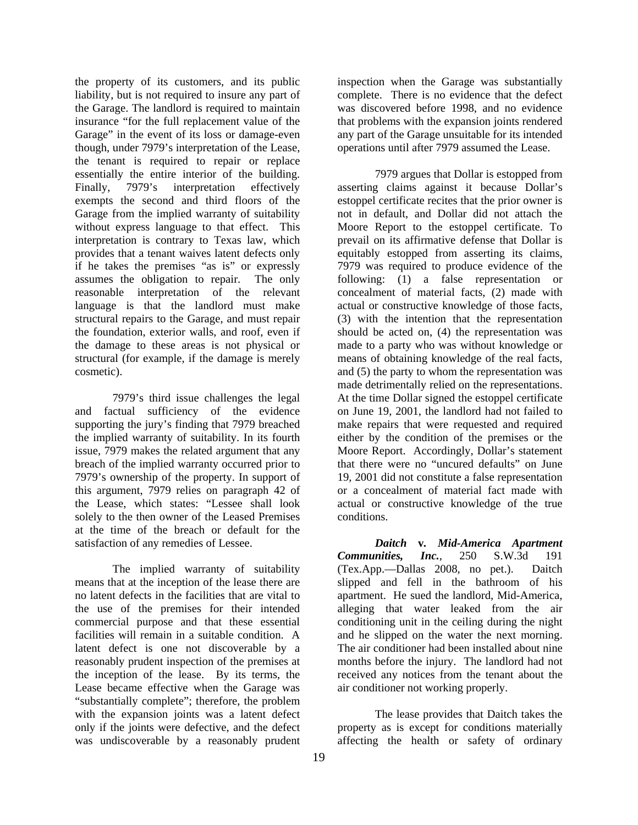the property of its customers, and its public liability, but is not required to insure any part of the Garage. The landlord is required to maintain insurance "for the full replacement value of the Garage" in the event of its loss or damage-even though, under 7979's interpretation of the Lease, the tenant is required to repair or replace essentially the entire interior of the building. Finally, 7979's interpretation effectively exempts the second and third floors of the Garage from the implied warranty of suitability without express language to that effect. This interpretation is contrary to Texas law, which provides that a tenant waives latent defects only if he takes the premises "as is" or expressly assumes the obligation to repair. The only reasonable interpretation of the relevant language is that the landlord must make structural repairs to the Garage, and must repair the foundation, exterior walls, and roof, even if the damage to these areas is not physical or structural (for example, if the damage is merely cosmetic).

 7979's third issue challenges the legal and factual sufficiency of the evidence supporting the jury's finding that 7979 breached the implied warranty of suitability. In its fourth issue, 7979 makes the related argument that any breach of the implied warranty occurred prior to 7979's ownership of the property. In support of this argument, 7979 relies on paragraph 42 of the Lease, which states: "Lessee shall look solely to the then owner of the Leased Premises at the time of the breach or default for the satisfaction of any remedies of Lessee.

 The implied warranty of suitability means that at the inception of the lease there are no latent defects in the facilities that are vital to the use of the premises for their intended commercial purpose and that these essential facilities will remain in a suitable condition. A latent defect is one not discoverable by a reasonably prudent inspection of the premises at the inception of the lease. By its terms, the Lease became effective when the Garage was "substantially complete"; therefore, the problem with the expansion joints was a latent defect only if the joints were defective, and the defect was undiscoverable by a reasonably prudent

inspection when the Garage was substantially complete. There is no evidence that the defect was discovered before 1998, and no evidence that problems with the expansion joints rendered any part of the Garage unsuitable for its intended operations until after 7979 assumed the Lease.

 7979 argues that Dollar is estopped from asserting claims against it because Dollar's estoppel certificate recites that the prior owner is not in default, and Dollar did not attach the Moore Report to the estoppel certificate. To prevail on its affirmative defense that Dollar is equitably estopped from asserting its claims, 7979 was required to produce evidence of the following: (1) a false representation or concealment of material facts, (2) made with actual or constructive knowledge of those facts, (3) with the intention that the representation should be acted on, (4) the representation was made to a party who was without knowledge or means of obtaining knowledge of the real facts, and (5) the party to whom the representation was made detrimentally relied on the representations. At the time Dollar signed the estoppel certificate on June 19, 2001, the landlord had not failed to make repairs that were requested and required either by the condition of the premises or the Moore Report. Accordingly, Dollar's statement that there were no "uncured defaults" on June 19, 2001 did not constitute a false representation or a concealment of material fact made with actual or constructive knowledge of the true conditions.

*Daitch* **v***. Mid-America Apartment Communities, Inc.*, 250 S.W.3d 191 (Tex.App.—Dallas 2008, no pet.). Daitch slipped and fell in the bathroom of his apartment. He sued the landlord, Mid-America, alleging that water leaked from the air conditioning unit in the ceiling during the night and he slipped on the water the next morning. The air conditioner had been installed about nine months before the injury. The landlord had not received any notices from the tenant about the air conditioner not working properly.

 The lease provides that Daitch takes the property as is except for conditions materially affecting the health or safety of ordinary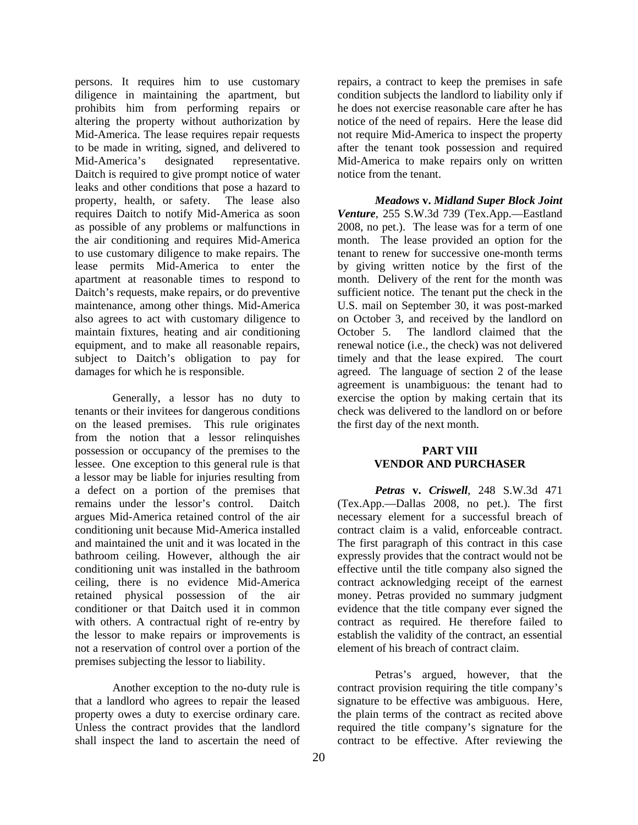persons. It requires him to use customary diligence in maintaining the apartment, but prohibits him from performing repairs or altering the property without authorization by Mid-America. The lease requires repair requests to be made in writing, signed, and delivered to Mid-America's designated representative. Daitch is required to give prompt notice of water leaks and other conditions that pose a hazard to property, health, or safety. The lease also requires Daitch to notify Mid-America as soon as possible of any problems or malfunctions in the air conditioning and requires Mid-America to use customary diligence to make repairs. The lease permits Mid-America to enter the apartment at reasonable times to respond to Daitch's requests, make repairs, or do preventive maintenance, among other things. Mid-America also agrees to act with customary diligence to maintain fixtures, heating and air conditioning equipment, and to make all reasonable repairs, subject to Daitch's obligation to pay for damages for which he is responsible.

 Generally, a lessor has no duty to tenants or their invitees for dangerous conditions on the leased premises. This rule originates from the notion that a lessor relinquishes possession or occupancy of the premises to the lessee. One exception to this general rule is that a lessor may be liable for injuries resulting from a defect on a portion of the premises that remains under the lessor's control. Daitch argues Mid-America retained control of the air conditioning unit because Mid-America installed and maintained the unit and it was located in the bathroom ceiling. However, although the air conditioning unit was installed in the bathroom ceiling, there is no evidence Mid-America retained physical possession of the air conditioner or that Daitch used it in common with others. A contractual right of re-entry by the lessor to make repairs or improvements is not a reservation of control over a portion of the premises subjecting the lessor to liability.

 Another exception to the no-duty rule is that a landlord who agrees to repair the leased property owes a duty to exercise ordinary care. Unless the contract provides that the landlord shall inspect the land to ascertain the need of

repairs, a contract to keep the premises in safe condition subjects the landlord to liability only if he does not exercise reasonable care after he has notice of the need of repairs. Here the lease did not require Mid-America to inspect the property after the tenant took possession and required Mid-America to make repairs only on written notice from the tenant.

*Meadows* **v.** *Midland Super Block Joint Venture*, 255 S.W.3d 739 (Tex.App.—Eastland 2008, no pet.). The lease was for a term of one month. The lease provided an option for the tenant to renew for successive one-month terms by giving written notice by the first of the month. Delivery of the rent for the month was sufficient notice. The tenant put the check in the U.S. mail on September 30, it was post-marked on October 3, and received by the landlord on October 5. The landlord claimed that the renewal notice (i.e., the check) was not delivered timely and that the lease expired. The court agreed. The language of section 2 of the lease agreement is unambiguous: the tenant had to exercise the option by making certain that its check was delivered to the landlord on or before the first day of the next month.

#### **PART VIII VENDOR AND PURCHASER**

*Petras* **v.** *Criswell*, 248 S.W.3d 471 (Tex.App.—Dallas 2008, no pet.). The first necessary element for a successful breach of contract claim is a valid, enforceable contract. The first paragraph of this contract in this case expressly provides that the contract would not be effective until the title company also signed the contract acknowledging receipt of the earnest money. Petras provided no summary judgment evidence that the title company ever signed the contract as required. He therefore failed to establish the validity of the contract, an essential element of his breach of contract claim.

 Petras's argued, however, that the contract provision requiring the title company's signature to be effective was ambiguous. Here, the plain terms of the contract as recited above required the title company's signature for the contract to be effective. After reviewing the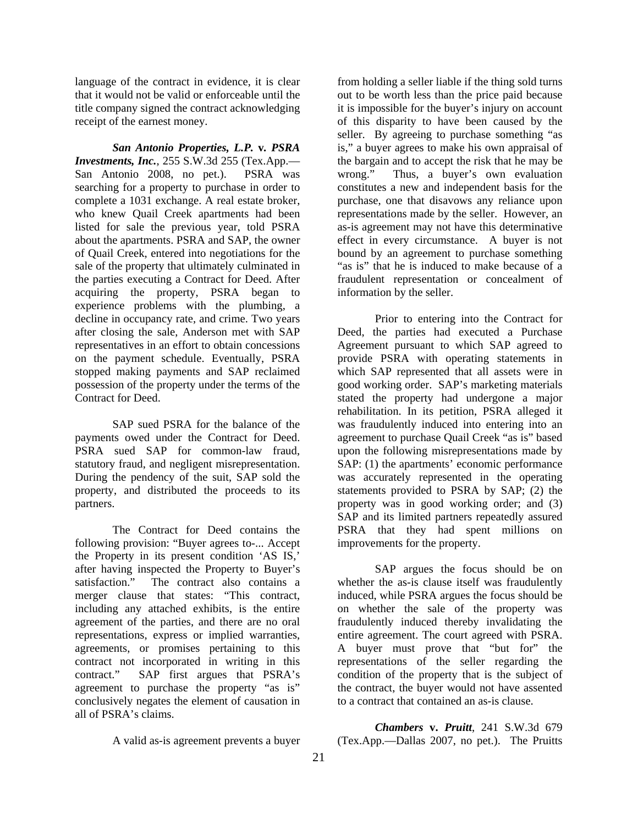language of the contract in evidence, it is clear that it would not be valid or enforceable until the title company signed the contract acknowledging receipt of the earnest money.

*San Antonio Properties, L.P.* **v***. PSRA Investments, Inc.*, 255 S.W.3d 255 (Tex.App.— San Antonio 2008, no pet.). PSRA was searching for a property to purchase in order to complete a 1031 exchange. A real estate broker, who knew Quail Creek apartments had been listed for sale the previous year, told PSRA about the apartments. PSRA and SAP, the owner of Quail Creek, entered into negotiations for the sale of the property that ultimately culminated in the parties executing a Contract for Deed. After acquiring the property, PSRA began to experience problems with the plumbing, a decline in occupancy rate, and crime. Two years after closing the sale, Anderson met with SAP representatives in an effort to obtain concessions on the payment schedule. Eventually, PSRA stopped making payments and SAP reclaimed possession of the property under the terms of the Contract for Deed.

 SAP sued PSRA for the balance of the payments owed under the Contract for Deed. PSRA sued SAP for common-law fraud, statutory fraud, and negligent misrepresentation. During the pendency of the suit, SAP sold the property, and distributed the proceeds to its partners.

 The Contract for Deed contains the following provision: "Buyer agrees to-... Accept the Property in its present condition 'AS IS,' after having inspected the Property to Buyer's satisfaction." The contract also contains a merger clause that states: "This contract, including any attached exhibits, is the entire agreement of the parties, and there are no oral representations, express or implied warranties, agreements, or promises pertaining to this contract not incorporated in writing in this contract." SAP first argues that PSRA's agreement to purchase the property "as is" conclusively negates the element of causation in all of PSRA's claims.

from holding a seller liable if the thing sold turns out to be worth less than the price paid because it is impossible for the buyer's injury on account of this disparity to have been caused by the seller. By agreeing to purchase something "as is," a buyer agrees to make his own appraisal of the bargain and to accept the risk that he may be wrong." Thus, a buyer's own evaluation constitutes a new and independent basis for the purchase, one that disavows any reliance upon representations made by the seller. However, an as-is agreement may not have this determinative effect in every circumstance. A buyer is not bound by an agreement to purchase something "as is" that he is induced to make because of a fraudulent representation or concealment of information by the seller.

 Prior to entering into the Contract for Deed, the parties had executed a Purchase Agreement pursuant to which SAP agreed to provide PSRA with operating statements in which SAP represented that all assets were in good working order. SAP's marketing materials stated the property had undergone a major rehabilitation. In its petition, PSRA alleged it was fraudulently induced into entering into an agreement to purchase Quail Creek "as is" based upon the following misrepresentations made by SAP: (1) the apartments' economic performance was accurately represented in the operating statements provided to PSRA by SAP; (2) the property was in good working order; and (3) SAP and its limited partners repeatedly assured PSRA that they had spent millions on improvements for the property.

 SAP argues the focus should be on whether the as-is clause itself was fraudulently induced, while PSRA argues the focus should be on whether the sale of the property was fraudulently induced thereby invalidating the entire agreement. The court agreed with PSRA. A buyer must prove that "but for" the representations of the seller regarding the condition of the property that is the subject of the contract, the buyer would not have assented to a contract that contained an as-is clause.

A valid as-is agreement prevents a buyer

*Chambers* **v.** *Pruitt*, 241 S.W.3d 679 (Tex.App.—Dallas 2007, no pet.). The Pruitts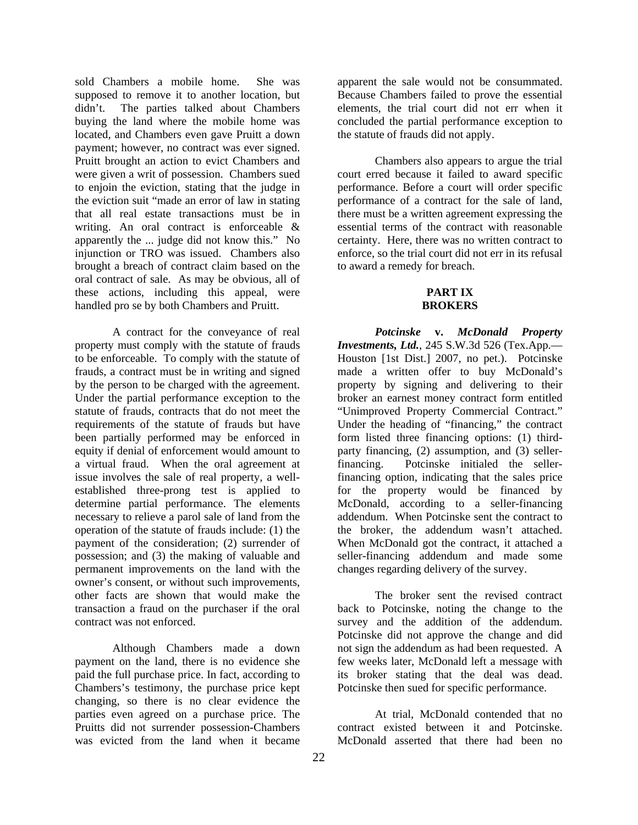sold Chambers a mobile home. She was supposed to remove it to another location, but didn't. The parties talked about Chambers buying the land where the mobile home was located, and Chambers even gave Pruitt a down payment; however, no contract was ever signed. Pruitt brought an action to evict Chambers and were given a writ of possession. Chambers sued to enjoin the eviction, stating that the judge in the eviction suit "made an error of law in stating that all real estate transactions must be in writing. An oral contract is enforceable & apparently the ... judge did not know this." No injunction or TRO was issued. Chambers also brought a breach of contract claim based on the oral contract of sale. As may be obvious, all of these actions, including this appeal, were handled pro se by both Chambers and Pruitt.

 A contract for the conveyance of real property must comply with the statute of frauds to be enforceable. To comply with the statute of frauds, a contract must be in writing and signed by the person to be charged with the agreement. Under the partial performance exception to the statute of frauds, contracts that do not meet the requirements of the statute of frauds but have been partially performed may be enforced in equity if denial of enforcement would amount to a virtual fraud. When the oral agreement at issue involves the sale of real property, a wellestablished three-prong test is applied to determine partial performance. The elements necessary to relieve a parol sale of land from the operation of the statute of frauds include: (1) the payment of the consideration; (2) surrender of possession; and (3) the making of valuable and permanent improvements on the land with the owner's consent, or without such improvements, other facts are shown that would make the transaction a fraud on the purchaser if the oral contract was not enforced.

 Although Chambers made a down payment on the land, there is no evidence she paid the full purchase price. In fact, according to Chambers's testimony, the purchase price kept changing, so there is no clear evidence the parties even agreed on a purchase price. The Pruitts did not surrender possession-Chambers was evicted from the land when it became

apparent the sale would not be consummated. Because Chambers failed to prove the essential elements, the trial court did not err when it concluded the partial performance exception to the statute of frauds did not apply.

 Chambers also appears to argue the trial court erred because it failed to award specific performance. Before a court will order specific performance of a contract for the sale of land, there must be a written agreement expressing the essential terms of the contract with reasonable certainty. Here, there was no written contract to enforce, so the trial court did not err in its refusal to award a remedy for breach.

#### **PART IX BROKERS**

*Potcinske* **v.** *McDonald Property Investments, Ltd.*, 245 S.W.3d 526 (Tex.App.— Houston [1st Dist.] 2007, no pet.). Potcinske made a written offer to buy McDonald's property by signing and delivering to their broker an earnest money contract form entitled "Unimproved Property Commercial Contract." Under the heading of "financing," the contract form listed three financing options: (1) thirdparty financing, (2) assumption, and (3) sellerfinancing. Potcinske initialed the sellerfinancing option, indicating that the sales price for the property would be financed by McDonald, according to a seller-financing addendum. When Potcinske sent the contract to the broker, the addendum wasn't attached. When McDonald got the contract, it attached a seller-financing addendum and made some changes regarding delivery of the survey.

 The broker sent the revised contract back to Potcinske, noting the change to the survey and the addition of the addendum. Potcinske did not approve the change and did not sign the addendum as had been requested. A few weeks later, McDonald left a message with its broker stating that the deal was dead. Potcinske then sued for specific performance.

 At trial, McDonald contended that no contract existed between it and Potcinske. McDonald asserted that there had been no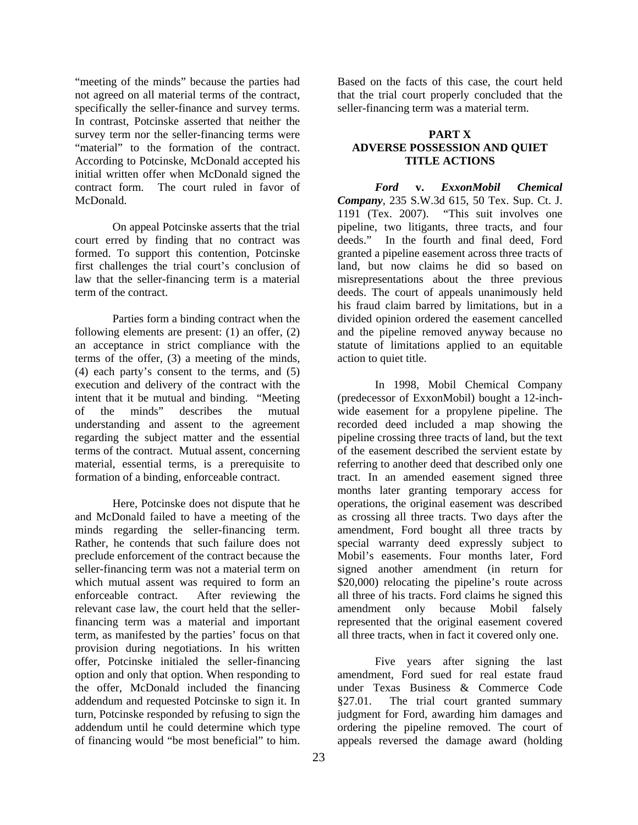"meeting of the minds" because the parties had not agreed on all material terms of the contract, specifically the seller-finance and survey terms. In contrast, Potcinske asserted that neither the survey term nor the seller-financing terms were "material" to the formation of the contract. According to Potcinske, McDonald accepted his initial written offer when McDonald signed the contract form. The court ruled in favor of **McDonald** 

 On appeal Potcinske asserts that the trial court erred by finding that no contract was formed. To support this contention, Potcinske first challenges the trial court's conclusion of law that the seller-financing term is a material term of the contract.

 Parties form a binding contract when the following elements are present: (1) an offer, (2) an acceptance in strict compliance with the terms of the offer, (3) a meeting of the minds, (4) each party's consent to the terms, and (5) execution and delivery of the contract with the intent that it be mutual and binding. "Meeting of the minds" describes the mutual understanding and assent to the agreement regarding the subject matter and the essential terms of the contract. Mutual assent, concerning material, essential terms, is a prerequisite to formation of a binding, enforceable contract.

 Here, Potcinske does not dispute that he and McDonald failed to have a meeting of the minds regarding the seller-financing term. Rather, he contends that such failure does not preclude enforcement of the contract because the seller-financing term was not a material term on which mutual assent was required to form an enforceable contract. After reviewing the relevant case law, the court held that the sellerfinancing term was a material and important term, as manifested by the parties' focus on that provision during negotiations. In his written offer, Potcinske initialed the seller-financing option and only that option. When responding to the offer, McDonald included the financing addendum and requested Potcinske to sign it. In turn, Potcinske responded by refusing to sign the addendum until he could determine which type of financing would "be most beneficial" to him.

Based on the facts of this case, the court held that the trial court properly concluded that the seller-financing term was a material term.

#### **PART X ADVERSE POSSESSION AND QUIET TITLE ACTIONS**

*Ford* **v.** *ExxonMobil Chemical Company*, 235 S.W.3d 615, 50 Tex. Sup. Ct. J. 1191 (Tex. 2007). "This suit involves one pipeline, two litigants, three tracts, and four deeds." In the fourth and final deed, Ford granted a pipeline easement across three tracts of land, but now claims he did so based on misrepresentations about the three previous deeds. The court of appeals unanimously held his fraud claim barred by limitations, but in a divided opinion ordered the easement cancelled and the pipeline removed anyway because no statute of limitations applied to an equitable action to quiet title.

 In 1998, Mobil Chemical Company (predecessor of ExxonMobil) bought a 12-inchwide easement for a propylene pipeline. The recorded deed included a map showing the pipeline crossing three tracts of land, but the text of the easement described the servient estate by referring to another deed that described only one tract. In an amended easement signed three months later granting temporary access for operations, the original easement was described as crossing all three tracts. Two days after the amendment, Ford bought all three tracts by special warranty deed expressly subject to Mobil's easements. Four months later, Ford signed another amendment (in return for \$20,000) relocating the pipeline's route across all three of his tracts. Ford claims he signed this amendment only because Mobil falsely represented that the original easement covered all three tracts, when in fact it covered only one.

 Five years after signing the last amendment, Ford sued for real estate fraud under Texas Business & Commerce Code §27.01. The trial court granted summary judgment for Ford, awarding him damages and ordering the pipeline removed. The court of appeals reversed the damage award (holding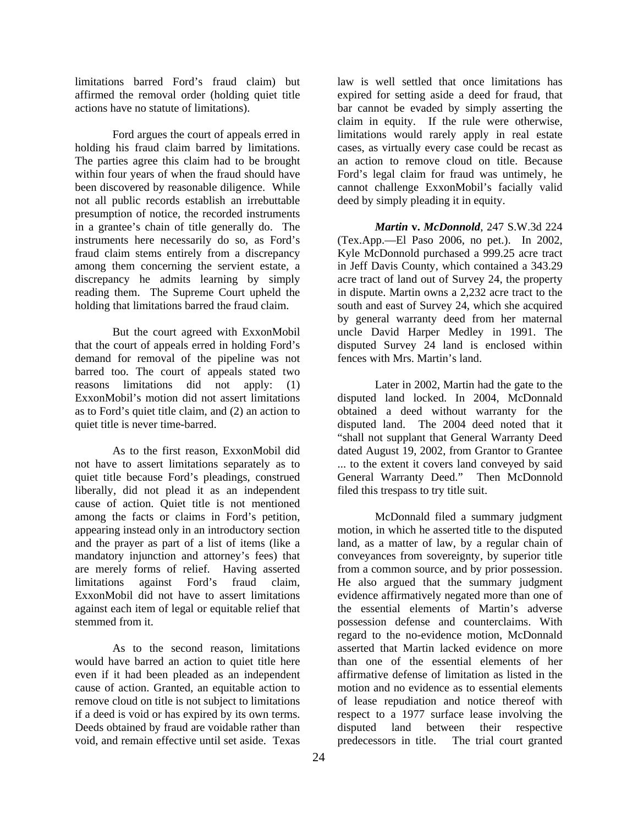limitations barred Ford's fraud claim) but affirmed the removal order (holding quiet title actions have no statute of limitations).

 Ford argues the court of appeals erred in holding his fraud claim barred by limitations. The parties agree this claim had to be brought within four years of when the fraud should have been discovered by reasonable diligence. While not all public records establish an irrebuttable presumption of notice, the recorded instruments in a grantee's chain of title generally do. The instruments here necessarily do so, as Ford's fraud claim stems entirely from a discrepancy among them concerning the servient estate, a discrepancy he admits learning by simply reading them. The Supreme Court upheld the holding that limitations barred the fraud claim.

 But the court agreed with ExxonMobil that the court of appeals erred in holding Ford's demand for removal of the pipeline was not barred too. The court of appeals stated two reasons limitations did not apply: (1) ExxonMobil's motion did not assert limitations as to Ford's quiet title claim, and (2) an action to quiet title is never time-barred.

 As to the first reason, ExxonMobil did not have to assert limitations separately as to quiet title because Ford's pleadings, construed liberally, did not plead it as an independent cause of action. Quiet title is not mentioned among the facts or claims in Ford's petition, appearing instead only in an introductory section and the prayer as part of a list of items (like a mandatory injunction and attorney's fees) that are merely forms of relief. Having asserted limitations against Ford's fraud claim, ExxonMobil did not have to assert limitations against each item of legal or equitable relief that stemmed from it.

 As to the second reason, limitations would have barred an action to quiet title here even if it had been pleaded as an independent cause of action. Granted, an equitable action to remove cloud on title is not subject to limitations if a deed is void or has expired by its own terms. Deeds obtained by fraud are voidable rather than void, and remain effective until set aside. Texas

law is well settled that once limitations has expired for setting aside a deed for fraud, that bar cannot be evaded by simply asserting the claim in equity. If the rule were otherwise, limitations would rarely apply in real estate cases, as virtually every case could be recast as an action to remove cloud on title. Because Ford's legal claim for fraud was untimely, he cannot challenge ExxonMobil's facially valid deed by simply pleading it in equity.

*Martin* **v.** *McDonnold*, 247 S.W.3d 224 (Tex.App.—El Paso 2006, no pet.). In 2002, Kyle McDonnold purchased a 999.25 acre tract in Jeff Davis County, which contained a 343.29 acre tract of land out of Survey 24, the property in dispute. Martin owns a 2,232 acre tract to the south and east of Survey 24, which she acquired by general warranty deed from her maternal uncle David Harper Medley in 1991. The disputed Survey 24 land is enclosed within fences with Mrs. Martin's land.

 Later in 2002, Martin had the gate to the disputed land locked. In 2004, McDonnald obtained a deed without warranty for the disputed land. The 2004 deed noted that it "shall not supplant that General Warranty Deed dated August 19, 2002, from Grantor to Grantee ... to the extent it covers land conveyed by said General Warranty Deed." Then McDonnold filed this trespass to try title suit.

 McDonnald filed a summary judgment motion, in which he asserted title to the disputed land, as a matter of law, by a regular chain of conveyances from sovereignty, by superior title from a common source, and by prior possession. He also argued that the summary judgment evidence affirmatively negated more than one of the essential elements of Martin's adverse possession defense and counterclaims. With regard to the no-evidence motion, McDonnald asserted that Martin lacked evidence on more than one of the essential elements of her affirmative defense of limitation as listed in the motion and no evidence as to essential elements of lease repudiation and notice thereof with respect to a 1977 surface lease involving the disputed land between their respective predecessors in title. The trial court granted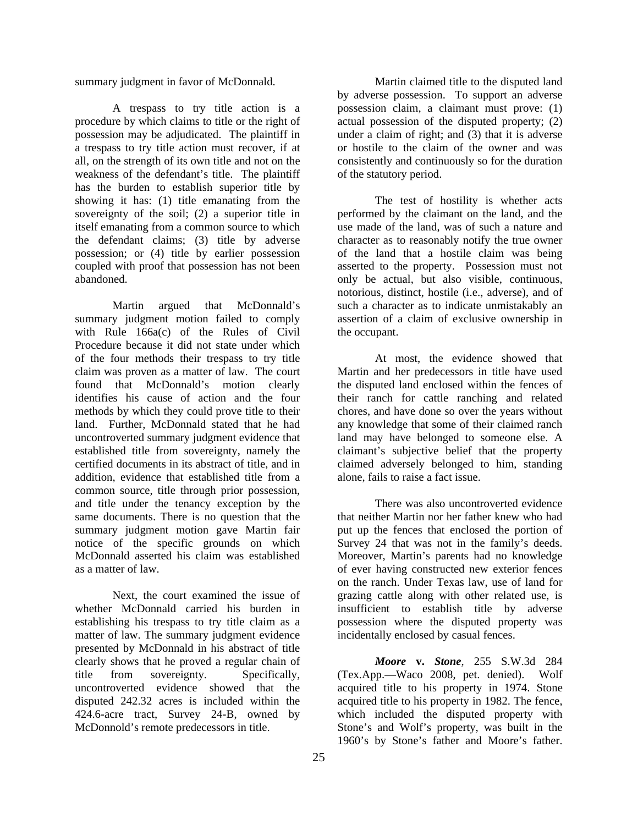summary judgment in favor of McDonnald.

 A trespass to try title action is a procedure by which claims to title or the right of possession may be adjudicated. The plaintiff in a trespass to try title action must recover, if at all, on the strength of its own title and not on the weakness of the defendant's title. The plaintiff has the burden to establish superior title by showing it has: (1) title emanating from the sovereignty of the soil; (2) a superior title in itself emanating from a common source to which the defendant claims; (3) title by adverse possession; or (4) title by earlier possession coupled with proof that possession has not been abandoned.

 Martin argued that McDonnald's summary judgment motion failed to comply with Rule 166a(c) of the Rules of Civil Procedure because it did not state under which of the four methods their trespass to try title claim was proven as a matter of law. The court found that McDonnald's motion clearly identifies his cause of action and the four methods by which they could prove title to their land. Further, McDonnald stated that he had uncontroverted summary judgment evidence that established title from sovereignty, namely the certified documents in its abstract of title, and in addition, evidence that established title from a common source, title through prior possession, and title under the tenancy exception by the same documents. There is no question that the summary judgment motion gave Martin fair notice of the specific grounds on which McDonnald asserted his claim was established as a matter of law.

 Next, the court examined the issue of whether McDonnald carried his burden in establishing his trespass to try title claim as a matter of law. The summary judgment evidence presented by McDonnald in his abstract of title clearly shows that he proved a regular chain of title from sovereignty. Specifically, uncontroverted evidence showed that the disputed 242.32 acres is included within the 424.6-acre tract, Survey 24-B, owned by McDonnold's remote predecessors in title.

 Martin claimed title to the disputed land by adverse possession. To support an adverse possession claim, a claimant must prove: (1) actual possession of the disputed property; (2) under a claim of right; and  $(3)$  that it is adverse or hostile to the claim of the owner and was consistently and continuously so for the duration of the statutory period.

 The test of hostility is whether acts performed by the claimant on the land, and the use made of the land, was of such a nature and character as to reasonably notify the true owner of the land that a hostile claim was being asserted to the property. Possession must not only be actual, but also visible, continuous, notorious, distinct, hostile (i.e., adverse), and of such a character as to indicate unmistakably an assertion of a claim of exclusive ownership in the occupant.

 At most, the evidence showed that Martin and her predecessors in title have used the disputed land enclosed within the fences of their ranch for cattle ranching and related chores, and have done so over the years without any knowledge that some of their claimed ranch land may have belonged to someone else. A claimant's subjective belief that the property claimed adversely belonged to him, standing alone, fails to raise a fact issue.

 There was also uncontroverted evidence that neither Martin nor her father knew who had put up the fences that enclosed the portion of Survey 24 that was not in the family's deeds. Moreover, Martin's parents had no knowledge of ever having constructed new exterior fences on the ranch. Under Texas law, use of land for grazing cattle along with other related use, is insufficient to establish title by adverse possession where the disputed property was incidentally enclosed by casual fences.

*Moore* **v.** *Stone*, 255 S.W.3d 284 (Tex.App.—Waco 2008, pet. denied). Wolf acquired title to his property in 1974. Stone acquired title to his property in 1982. The fence, which included the disputed property with Stone's and Wolf's property, was built in the 1960's by Stone's father and Moore's father.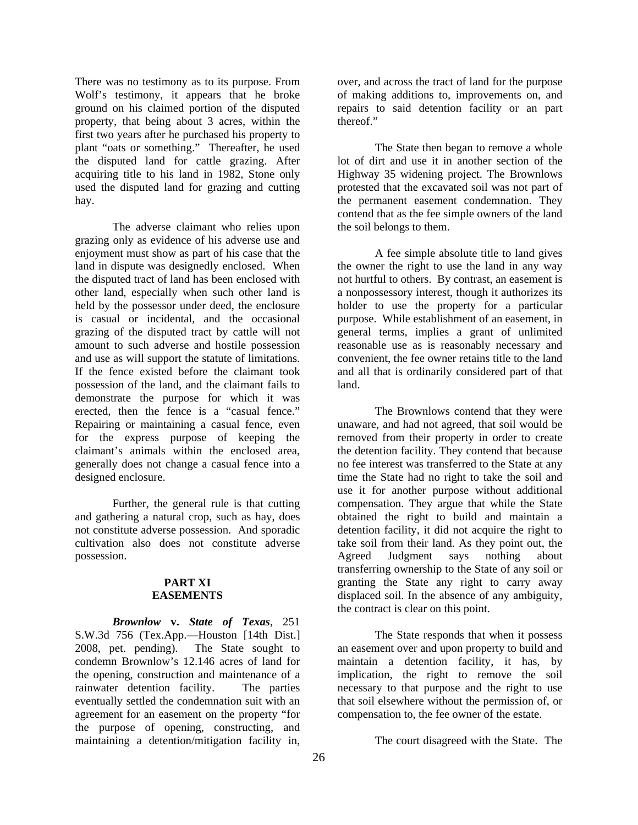There was no testimony as to its purpose. From Wolf's testimony, it appears that he broke ground on his claimed portion of the disputed property, that being about 3 acres, within the first two years after he purchased his property to plant "oats or something." Thereafter, he used the disputed land for cattle grazing. After acquiring title to his land in 1982, Stone only used the disputed land for grazing and cutting hay.

 The adverse claimant who relies upon grazing only as evidence of his adverse use and enjoyment must show as part of his case that the land in dispute was designedly enclosed. When the disputed tract of land has been enclosed with other land, especially when such other land is held by the possessor under deed, the enclosure is casual or incidental, and the occasional grazing of the disputed tract by cattle will not amount to such adverse and hostile possession and use as will support the statute of limitations. If the fence existed before the claimant took possession of the land, and the claimant fails to demonstrate the purpose for which it was erected, then the fence is a "casual fence." Repairing or maintaining a casual fence, even for the express purpose of keeping the claimant's animals within the enclosed area, generally does not change a casual fence into a designed enclosure.

 Further, the general rule is that cutting and gathering a natural crop, such as hay, does not constitute adverse possession. And sporadic cultivation also does not constitute adverse possession.

#### **PART XI EASEMENTS**

*Brownlow* **v.** *State of Texas*, 251 S.W.3d 756 (Tex.App.—Houston [14th Dist.] 2008, pet. pending). The State sought to condemn Brownlow's 12.146 acres of land for the opening, construction and maintenance of a rainwater detention facility. The parties eventually settled the condemnation suit with an agreement for an easement on the property "for the purpose of opening, constructing, and maintaining a detention/mitigation facility in,

over, and across the tract of land for the purpose of making additions to, improvements on, and repairs to said detention facility or an part thereof."

 The State then began to remove a whole lot of dirt and use it in another section of the Highway 35 widening project. The Brownlows protested that the excavated soil was not part of the permanent easement condemnation. They contend that as the fee simple owners of the land the soil belongs to them.

 A fee simple absolute title to land gives the owner the right to use the land in any way not hurtful to others. By contrast, an easement is a nonpossessory interest, though it authorizes its holder to use the property for a particular purpose. While establishment of an easement, in general terms, implies a grant of unlimited reasonable use as is reasonably necessary and convenient, the fee owner retains title to the land and all that is ordinarily considered part of that land.

 The Brownlows contend that they were unaware, and had not agreed, that soil would be removed from their property in order to create the detention facility. They contend that because no fee interest was transferred to the State at any time the State had no right to take the soil and use it for another purpose without additional compensation. They argue that while the State obtained the right to build and maintain a detention facility, it did not acquire the right to take soil from their land. As they point out, the Agreed Judgment says nothing about transferring ownership to the State of any soil or granting the State any right to carry away displaced soil. In the absence of any ambiguity, the contract is clear on this point.

 The State responds that when it possess an easement over and upon property to build and maintain a detention facility, it has, by implication, the right to remove the soil necessary to that purpose and the right to use that soil elsewhere without the permission of, or compensation to, the fee owner of the estate.

The court disagreed with the State. The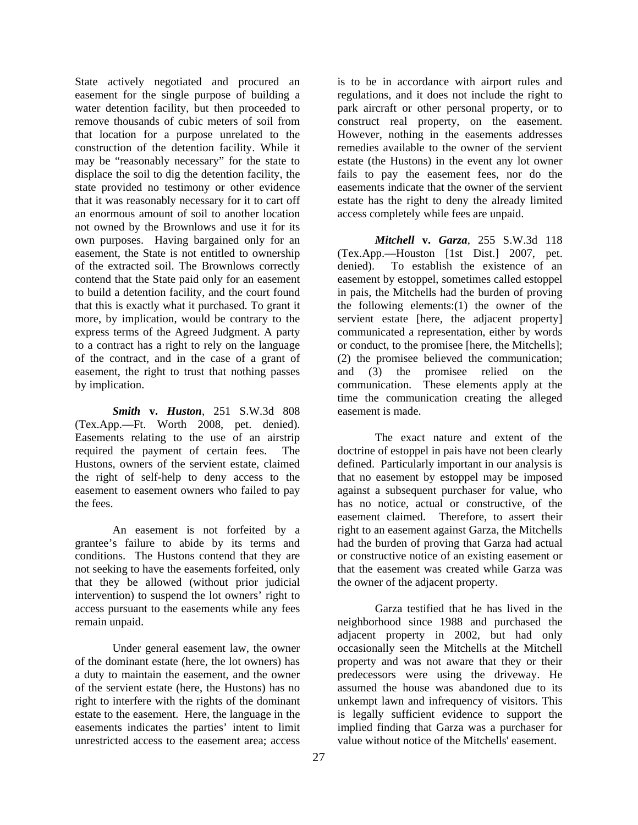State actively negotiated and procured an easement for the single purpose of building a water detention facility, but then proceeded to remove thousands of cubic meters of soil from that location for a purpose unrelated to the construction of the detention facility. While it may be "reasonably necessary" for the state to displace the soil to dig the detention facility, the state provided no testimony or other evidence that it was reasonably necessary for it to cart off an enormous amount of soil to another location not owned by the Brownlows and use it for its own purposes. Having bargained only for an easement, the State is not entitled to ownership of the extracted soil. The Brownlows correctly contend that the State paid only for an easement to build a detention facility, and the court found that this is exactly what it purchased. To grant it more, by implication, would be contrary to the express terms of the Agreed Judgment. A party to a contract has a right to rely on the language of the contract, and in the case of a grant of easement, the right to trust that nothing passes by implication.

*Smith* **v.** *Huston*, 251 S.W.3d 808 (Tex.App.—Ft. Worth 2008, pet. denied). Easements relating to the use of an airstrip required the payment of certain fees. The Hustons, owners of the servient estate, claimed the right of self-help to deny access to the easement to easement owners who failed to pay the fees.

 An easement is not forfeited by a grantee's failure to abide by its terms and conditions. The Hustons contend that they are not seeking to have the easements forfeited, only that they be allowed (without prior judicial intervention) to suspend the lot owners' right to access pursuant to the easements while any fees remain unpaid.

 Under general easement law, the owner of the dominant estate (here, the lot owners) has a duty to maintain the easement, and the owner of the servient estate (here, the Hustons) has no right to interfere with the rights of the dominant estate to the easement. Here, the language in the easements indicates the parties' intent to limit unrestricted access to the easement area; access

is to be in accordance with airport rules and regulations, and it does not include the right to park aircraft or other personal property, or to construct real property, on the easement. However, nothing in the easements addresses remedies available to the owner of the servient estate (the Hustons) in the event any lot owner fails to pay the easement fees, nor do the easements indicate that the owner of the servient estate has the right to deny the already limited access completely while fees are unpaid.

*Mitchell* **v.** *Garza*, 255 S.W.3d 118 (Tex.App.—Houston [1st Dist.] 2007, pet. denied). To establish the existence of an easement by estoppel, sometimes called estoppel in pais, the Mitchells had the burden of proving the following elements:(1) the owner of the servient estate [here, the adjacent property] communicated a representation, either by words or conduct, to the promisee [here, the Mitchells]; (2) the promisee believed the communication; and (3) the promisee relied on the communication. These elements apply at the time the communication creating the alleged easement is made.

 The exact nature and extent of the doctrine of estoppel in pais have not been clearly defined. Particularly important in our analysis is that no easement by estoppel may be imposed against a subsequent purchaser for value, who has no notice, actual or constructive, of the easement claimed. Therefore, to assert their right to an easement against Garza, the Mitchells had the burden of proving that Garza had actual or constructive notice of an existing easement or that the easement was created while Garza was the owner of the adjacent property.

 Garza testified that he has lived in the neighborhood since 1988 and purchased the adjacent property in 2002, but had only occasionally seen the Mitchells at the Mitchell property and was not aware that they or their predecessors were using the driveway. He assumed the house was abandoned due to its unkempt lawn and infrequency of visitors. This is legally sufficient evidence to support the implied finding that Garza was a purchaser for value without notice of the Mitchells' easement.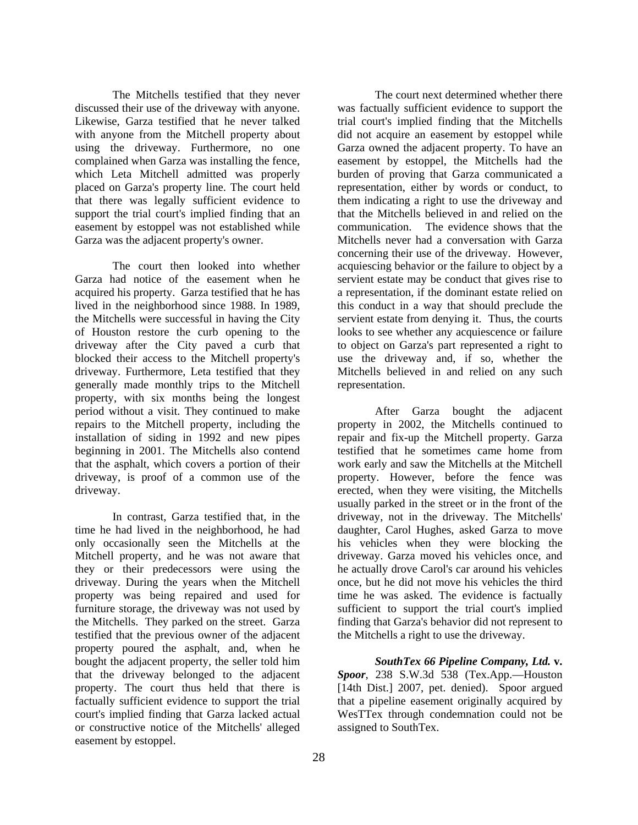The Mitchells testified that they never discussed their use of the driveway with anyone. Likewise, Garza testified that he never talked with anyone from the Mitchell property about using the driveway. Furthermore, no one complained when Garza was installing the fence, which Leta Mitchell admitted was properly placed on Garza's property line. The court held that there was legally sufficient evidence to support the trial court's implied finding that an easement by estoppel was not established while Garza was the adjacent property's owner.

 The court then looked into whether Garza had notice of the easement when he acquired his property. Garza testified that he has lived in the neighborhood since 1988. In 1989, the Mitchells were successful in having the City of Houston restore the curb opening to the driveway after the City paved a curb that blocked their access to the Mitchell property's driveway. Furthermore, Leta testified that they generally made monthly trips to the Mitchell property, with six months being the longest period without a visit. They continued to make repairs to the Mitchell property, including the installation of siding in 1992 and new pipes beginning in 2001. The Mitchells also contend that the asphalt, which covers a portion of their driveway, is proof of a common use of the driveway.

 In contrast, Garza testified that, in the time he had lived in the neighborhood, he had only occasionally seen the Mitchells at the Mitchell property, and he was not aware that they or their predecessors were using the driveway. During the years when the Mitchell property was being repaired and used for furniture storage, the driveway was not used by the Mitchells. They parked on the street. Garza testified that the previous owner of the adjacent property poured the asphalt, and, when he bought the adjacent property, the seller told him that the driveway belonged to the adjacent property. The court thus held that there is factually sufficient evidence to support the trial court's implied finding that Garza lacked actual or constructive notice of the Mitchells' alleged easement by estoppel.

 The court next determined whether there was factually sufficient evidence to support the trial court's implied finding that the Mitchells did not acquire an easement by estoppel while Garza owned the adjacent property. To have an easement by estoppel, the Mitchells had the burden of proving that Garza communicated a representation, either by words or conduct, to them indicating a right to use the driveway and that the Mitchells believed in and relied on the communication. The evidence shows that the Mitchells never had a conversation with Garza concerning their use of the driveway. However, acquiescing behavior or the failure to object by a servient estate may be conduct that gives rise to a representation, if the dominant estate relied on this conduct in a way that should preclude the servient estate from denying it. Thus, the courts looks to see whether any acquiescence or failure to object on Garza's part represented a right to use the driveway and, if so, whether the Mitchells believed in and relied on any such representation.

 After Garza bought the adjacent property in 2002, the Mitchells continued to repair and fix-up the Mitchell property. Garza testified that he sometimes came home from work early and saw the Mitchells at the Mitchell property. However, before the fence was erected, when they were visiting, the Mitchells usually parked in the street or in the front of the driveway, not in the driveway. The Mitchells' daughter, Carol Hughes, asked Garza to move his vehicles when they were blocking the driveway. Garza moved his vehicles once, and he actually drove Carol's car around his vehicles once, but he did not move his vehicles the third time he was asked. The evidence is factually sufficient to support the trial court's implied finding that Garza's behavior did not represent to the Mitchells a right to use the driveway.

*SouthTex 66 Pipeline Company, Ltd.* **v.** *Spoor*, 238 S.W.3d 538 (Tex.App.—Houston [14th Dist.] 2007, pet. denied). Spoor argued that a pipeline easement originally acquired by WesTTex through condemnation could not be assigned to SouthTex.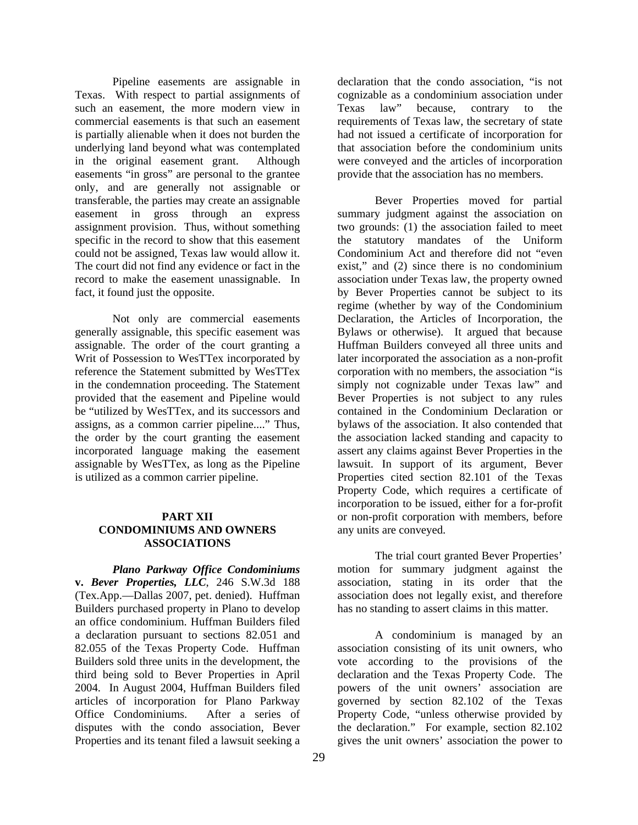Pipeline easements are assignable in Texas. With respect to partial assignments of such an easement, the more modern view in commercial easements is that such an easement is partially alienable when it does not burden the underlying land beyond what was contemplated in the original easement grant. Although easements "in gross" are personal to the grantee only, and are generally not assignable or transferable, the parties may create an assignable easement in gross through an express assignment provision. Thus, without something specific in the record to show that this easement could not be assigned, Texas law would allow it. The court did not find any evidence or fact in the record to make the easement unassignable. In fact, it found just the opposite.

 Not only are commercial easements generally assignable, this specific easement was assignable. The order of the court granting a Writ of Possession to WesTTex incorporated by reference the Statement submitted by WesTTex in the condemnation proceeding. The Statement provided that the easement and Pipeline would be "utilized by WesTTex, and its successors and assigns, as a common carrier pipeline...." Thus, the order by the court granting the easement incorporated language making the easement assignable by WesTTex, as long as the Pipeline is utilized as a common carrier pipeline.

#### **PART XII CONDOMINIUMS AND OWNERS ASSOCIATIONS**

*Plano Parkway Office Condominiums*  **v.** *Bever Properties, LLC*, 246 S.W.3d 188 (Tex.App.—Dallas 2007, pet. denied). Huffman Builders purchased property in Plano to develop an office condominium. Huffman Builders filed a declaration pursuant to sections 82.051 and 82.055 of the Texas Property Code. Huffman Builders sold three units in the development, the third being sold to Bever Properties in April 2004. In August 2004, Huffman Builders filed articles of incorporation for Plano Parkway Office Condominiums. After a series of disputes with the condo association, Bever Properties and its tenant filed a lawsuit seeking a

declaration that the condo association, "is not cognizable as a condominium association under Texas law" because, contrary to the requirements of Texas law, the secretary of state had not issued a certificate of incorporation for that association before the condominium units were conveyed and the articles of incorporation provide that the association has no members.

 Bever Properties moved for partial summary judgment against the association on two grounds: (1) the association failed to meet the statutory mandates of the Uniform Condominium Act and therefore did not "even exist," and (2) since there is no condominium association under Texas law, the property owned by Bever Properties cannot be subject to its regime (whether by way of the Condominium Declaration, the Articles of Incorporation, the Bylaws or otherwise). It argued that because Huffman Builders conveyed all three units and later incorporated the association as a non-profit corporation with no members, the association "is simply not cognizable under Texas law" and Bever Properties is not subject to any rules contained in the Condominium Declaration or bylaws of the association. It also contended that the association lacked standing and capacity to assert any claims against Bever Properties in the lawsuit. In support of its argument, Bever Properties cited section 82.101 of the Texas Property Code, which requires a certificate of incorporation to be issued, either for a for-profit or non-profit corporation with members, before any units are conveyed.

 The trial court granted Bever Properties' motion for summary judgment against the association, stating in its order that the association does not legally exist, and therefore has no standing to assert claims in this matter.

 A condominium is managed by an association consisting of its unit owners, who vote according to the provisions of the declaration and the Texas Property Code. The powers of the unit owners' association are governed by section 82.102 of the Texas Property Code, "unless otherwise provided by the declaration." For example, section 82.102 gives the unit owners' association the power to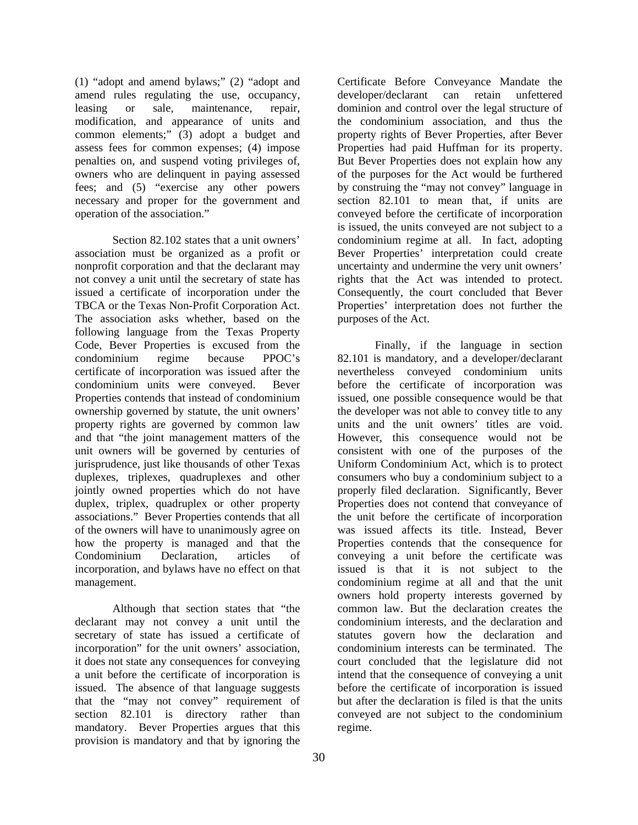(1) "adopt and amend bylaws;" (2) "adopt and amend rules regulating the use, occupancy, leasing or sale, maintenance, repair, modification, and appearance of units and common elements;" (3) adopt a budget and assess fees for common expenses; (4) impose penalties on, and suspend voting privileges of, owners who are delinquent in paying assessed fees; and (5) "exercise any other powers necessary and proper for the government and operation of the association."

 Section 82.102 states that a unit owners' association must be organized as a profit or nonprofit corporation and that the declarant may not convey a unit until the secretary of state has issued a certificate of incorporation under the TBCA or the Texas Non-Profit Corporation Act. The association asks whether, based on the following language from the Texas Property Code, Bever Properties is excused from the condominium regime because PPOC's certificate of incorporation was issued after the condominium units were conveyed. Bever Properties contends that instead of condominium ownership governed by statute, the unit owners' property rights are governed by common law and that "the joint management matters of the unit owners will be governed by centuries of jurisprudence, just like thousands of other Texas duplexes, triplexes, quadruplexes and other jointly owned properties which do not have duplex, triplex, quadruplex or other property associations." Bever Properties contends that all of the owners will have to unanimously agree on how the property is managed and that the Condominium Declaration, articles of incorporation, and bylaws have no effect on that management.

 Although that section states that "the declarant may not convey a unit until the secretary of state has issued a certificate of incorporation" for the unit owners' association, it does not state any consequences for conveying a unit before the certificate of incorporation is issued. The absence of that language suggests that the "may not convey" requirement of section 82.101 is directory rather than mandatory. Bever Properties argues that this provision is mandatory and that by ignoring the

Certificate Before Conveyance Mandate the developer/declarant can retain unfettered dominion and control over the legal structure of the condominium association, and thus the property rights of Bever Properties, after Bever Properties had paid Huffman for its property. But Bever Properties does not explain how any of the purposes for the Act would be furthered by construing the "may not convey" language in section 82.101 to mean that, if units are conveyed before the certificate of incorporation is issued, the units conveyed are not subject to a condominium regime at all. In fact, adopting Bever Properties' interpretation could create uncertainty and undermine the very unit owners' rights that the Act was intended to protect. Consequently, the court concluded that Bever Properties' interpretation does not further the purposes of the Act.

 Finally, if the language in section 82.101 is mandatory, and a developer/declarant nevertheless conveyed condominium units before the certificate of incorporation was issued, one possible consequence would be that the developer was not able to convey title to any units and the unit owners' titles are void. However, this consequence would not be consistent with one of the purposes of the Uniform Condominium Act, which is to protect consumers who buy a condominium subject to a properly filed declaration. Significantly, Bever Properties does not contend that conveyance of the unit before the certificate of incorporation was issued affects its title. Instead, Bever Properties contends that the consequence for conveying a unit before the certificate was issued is that it is not subject to the condominium regime at all and that the unit owners hold property interests governed by common law. But the declaration creates the condominium interests, and the declaration and statutes govern how the declaration and condominium interests can be terminated. The court concluded that the legislature did not intend that the consequence of conveying a unit before the certificate of incorporation is issued but after the declaration is filed is that the units conveyed are not subject to the condominium regime.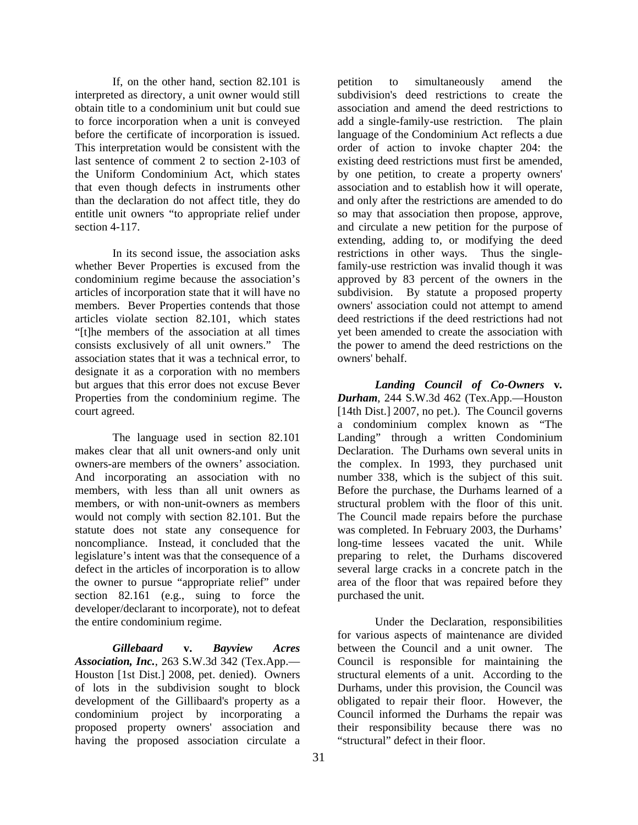If, on the other hand, section 82.101 is interpreted as directory, a unit owner would still obtain title to a condominium unit but could sue to force incorporation when a unit is conveyed before the certificate of incorporation is issued. This interpretation would be consistent with the last sentence of comment 2 to section 2-103 of the Uniform Condominium Act, which states that even though defects in instruments other than the declaration do not affect title, they do entitle unit owners "to appropriate relief under section 4-117.

 In its second issue, the association asks whether Bever Properties is excused from the condominium regime because the association's articles of incorporation state that it will have no members. Bever Properties contends that those articles violate section 82.101, which states "[t]he members of the association at all times consists exclusively of all unit owners." The association states that it was a technical error, to designate it as a corporation with no members but argues that this error does not excuse Bever Properties from the condominium regime. The court agreed.

 The language used in section 82.101 makes clear that all unit owners-and only unit owners-are members of the owners' association. And incorporating an association with no members, with less than all unit owners as members, or with non-unit-owners as members would not comply with section 82.101. But the statute does not state any consequence for noncompliance. Instead, it concluded that the legislature's intent was that the consequence of a defect in the articles of incorporation is to allow the owner to pursue "appropriate relief" under section 82.161 (e.g., suing to force the developer/declarant to incorporate), not to defeat the entire condominium regime.

*Gillebaard* **v.** *Bayview Acres Association, Inc.*, 263 S.W.3d 342 (Tex.App.— Houston [1st Dist.] 2008, pet. denied). Owners of lots in the subdivision sought to block development of the Gillibaard's property as a condominium project by incorporating a proposed property owners' association and having the proposed association circulate a

petition to simultaneously amend the subdivision's deed restrictions to create the association and amend the deed restrictions to add a single-family-use restriction. The plain language of the Condominium Act reflects a due order of action to invoke chapter 204: the existing deed restrictions must first be amended, by one petition, to create a property owners' association and to establish how it will operate, and only after the restrictions are amended to do so may that association then propose, approve, and circulate a new petition for the purpose of extending, adding to, or modifying the deed restrictions in other ways. Thus the singlefamily-use restriction was invalid though it was approved by 83 percent of the owners in the subdivision. By statute a proposed property owners' association could not attempt to amend deed restrictions if the deed restrictions had not yet been amended to create the association with the power to amend the deed restrictions on the owners' behalf.

*Landing Council of Co-Owners* **v***. Durham*, 244 S.W.3d 462 (Tex.App.—Houston [14th Dist.] 2007, no pet.). The Council governs a condominium complex known as "The Landing" through a written Condominium Declaration. The Durhams own several units in the complex. In 1993, they purchased unit number 338, which is the subject of this suit. Before the purchase, the Durhams learned of a structural problem with the floor of this unit. The Council made repairs before the purchase was completed. In February 2003, the Durhams' long-time lessees vacated the unit. While preparing to relet, the Durhams discovered several large cracks in a concrete patch in the area of the floor that was repaired before they purchased the unit.

 Under the Declaration, responsibilities for various aspects of maintenance are divided between the Council and a unit owner. The Council is responsible for maintaining the structural elements of a unit. According to the Durhams, under this provision, the Council was obligated to repair their floor. However, the Council informed the Durhams the repair was their responsibility because there was no "structural" defect in their floor.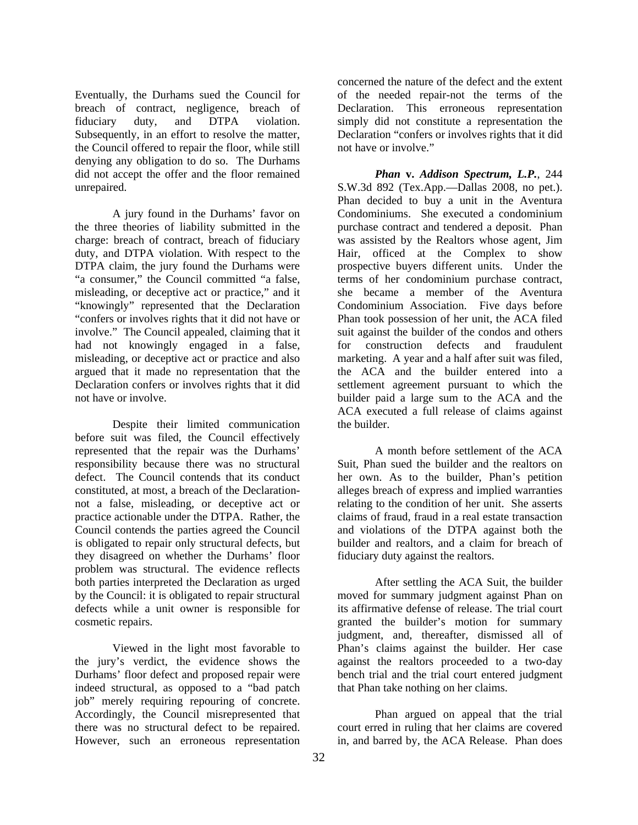Eventually, the Durhams sued the Council for breach of contract, negligence, breach of fiduciary duty, and DTPA violation. Subsequently, in an effort to resolve the matter, the Council offered to repair the floor, while still denying any obligation to do so. The Durhams did not accept the offer and the floor remained unrepaired.

 A jury found in the Durhams' favor on the three theories of liability submitted in the charge: breach of contract, breach of fiduciary duty, and DTPA violation. With respect to the DTPA claim, the jury found the Durhams were "a consumer," the Council committed "a false, misleading, or deceptive act or practice," and it "knowingly" represented that the Declaration "confers or involves rights that it did not have or involve." The Council appealed, claiming that it had not knowingly engaged in a false, misleading, or deceptive act or practice and also argued that it made no representation that the Declaration confers or involves rights that it did not have or involve.

 Despite their limited communication before suit was filed, the Council effectively represented that the repair was the Durhams' responsibility because there was no structural defect. The Council contends that its conduct constituted, at most, a breach of the Declarationnot a false, misleading, or deceptive act or practice actionable under the DTPA. Rather, the Council contends the parties agreed the Council is obligated to repair only structural defects, but they disagreed on whether the Durhams' floor problem was structural. The evidence reflects both parties interpreted the Declaration as urged by the Council: it is obligated to repair structural defects while a unit owner is responsible for cosmetic repairs.

 Viewed in the light most favorable to the jury's verdict, the evidence shows the Durhams' floor defect and proposed repair were indeed structural, as opposed to a "bad patch job" merely requiring repouring of concrete. Accordingly, the Council misrepresented that there was no structural defect to be repaired. However, such an erroneous representation

concerned the nature of the defect and the extent of the needed repair-not the terms of the Declaration. This erroneous representation simply did not constitute a representation the Declaration "confers or involves rights that it did not have or involve."

*Phan* **v.** *Addison Spectrum, L.P.*, 244 S.W.3d 892 (Tex.App.—Dallas 2008, no pet.). Phan decided to buy a unit in the Aventura Condominiums. She executed a condominium purchase contract and tendered a deposit. Phan was assisted by the Realtors whose agent, Jim Hair, officed at the Complex to show prospective buyers different units. Under the terms of her condominium purchase contract, she became a member of the Aventura Condominium Association. Five days before Phan took possession of her unit, the ACA filed suit against the builder of the condos and others for construction defects and fraudulent marketing. A year and a half after suit was filed, the ACA and the builder entered into a settlement agreement pursuant to which the builder paid a large sum to the ACA and the ACA executed a full release of claims against the builder.

 A month before settlement of the ACA Suit, Phan sued the builder and the realtors on her own. As to the builder, Phan's petition alleges breach of express and implied warranties relating to the condition of her unit. She asserts claims of fraud, fraud in a real estate transaction and violations of the DTPA against both the builder and realtors, and a claim for breach of fiduciary duty against the realtors.

 After settling the ACA Suit, the builder moved for summary judgment against Phan on its affirmative defense of release. The trial court granted the builder's motion for summary judgment, and, thereafter, dismissed all of Phan's claims against the builder. Her case against the realtors proceeded to a two-day bench trial and the trial court entered judgment that Phan take nothing on her claims.

 Phan argued on appeal that the trial court erred in ruling that her claims are covered in, and barred by, the ACA Release. Phan does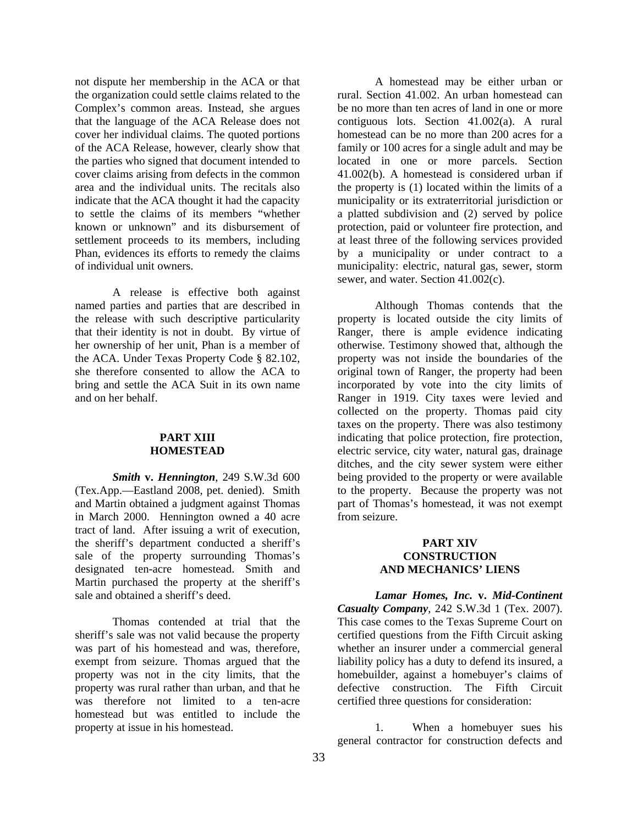not dispute her membership in the ACA or that the organization could settle claims related to the Complex's common areas. Instead, she argues that the language of the ACA Release does not cover her individual claims. The quoted portions of the ACA Release, however, clearly show that the parties who signed that document intended to cover claims arising from defects in the common area and the individual units. The recitals also indicate that the ACA thought it had the capacity to settle the claims of its members "whether known or unknown" and its disbursement of settlement proceeds to its members, including Phan, evidences its efforts to remedy the claims of individual unit owners.

 A release is effective both against named parties and parties that are described in the release with such descriptive particularity that their identity is not in doubt. By virtue of her ownership of her unit, Phan is a member of the ACA. Under Texas Property Code § 82.102, she therefore consented to allow the ACA to bring and settle the ACA Suit in its own name and on her behalf.

#### **PART XIII HOMESTEAD**

*Smith* **v.** *Hennington*, 249 S.W.3d 600 (Tex.App.—Eastland 2008, pet. denied). Smith and Martin obtained a judgment against Thomas in March 2000. Hennington owned a 40 acre tract of land. After issuing a writ of execution, the sheriff's department conducted a sheriff's sale of the property surrounding Thomas's designated ten-acre homestead. Smith and Martin purchased the property at the sheriff's sale and obtained a sheriff's deed.

 Thomas contended at trial that the sheriff's sale was not valid because the property was part of his homestead and was, therefore, exempt from seizure. Thomas argued that the property was not in the city limits, that the property was rural rather than urban, and that he was therefore not limited to a ten-acre homestead but was entitled to include the property at issue in his homestead.

 A homestead may be either urban or rural. Section 41.002. An urban homestead can be no more than ten acres of land in one or more contiguous lots. Section 41.002(a). A rural homestead can be no more than 200 acres for a family or 100 acres for a single adult and may be located in one or more parcels. Section 41.002(b). A homestead is considered urban if the property is (1) located within the limits of a municipality or its extraterritorial jurisdiction or a platted subdivision and (2) served by police protection, paid or volunteer fire protection, and at least three of the following services provided by a municipality or under contract to a municipality: electric, natural gas, sewer, storm sewer, and water. Section 41.002(c).

 Although Thomas contends that the property is located outside the city limits of Ranger, there is ample evidence indicating otherwise. Testimony showed that, although the property was not inside the boundaries of the original town of Ranger, the property had been incorporated by vote into the city limits of Ranger in 1919. City taxes were levied and collected on the property. Thomas paid city taxes on the property. There was also testimony indicating that police protection, fire protection, electric service, city water, natural gas, drainage ditches, and the city sewer system were either being provided to the property or were available to the property. Because the property was not part of Thomas's homestead, it was not exempt from seizure.

#### **PART XIV CONSTRUCTION AND MECHANICS' LIENS**

*Lamar Homes, Inc.* **v.** *Mid-Continent Casualty Company*, 242 S.W.3d 1 (Tex. 2007). This case comes to the Texas Supreme Court on certified questions from the Fifth Circuit asking whether an insurer under a commercial general liability policy has a duty to defend its insured, a homebuilder, against a homebuyer's claims of defective construction. The Fifth Circuit certified three questions for consideration:

 1. When a homebuyer sues his general contractor for construction defects and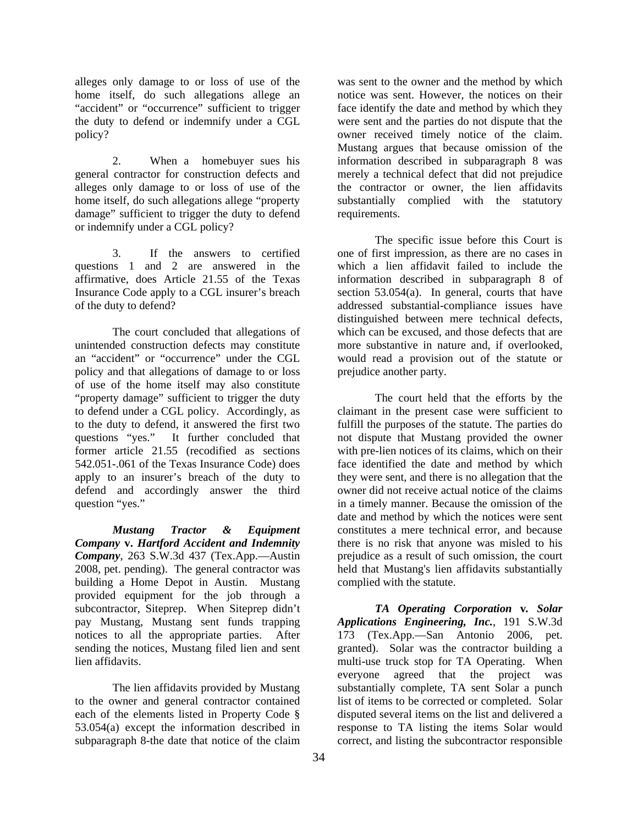alleges only damage to or loss of use of the home itself, do such allegations allege an "accident" or "occurrence" sufficient to trigger the duty to defend or indemnify under a CGL policy?

 2. When a homebuyer sues his general contractor for construction defects and alleges only damage to or loss of use of the home itself, do such allegations allege "property damage" sufficient to trigger the duty to defend or indemnify under a CGL policy?

 3. If the answers to certified questions 1 and 2 are answered in the affirmative, does Article 21.55 of the Texas Insurance Code apply to a CGL insurer's breach of the duty to defend?

 The court concluded that allegations of unintended construction defects may constitute an "accident" or "occurrence" under the CGL policy and that allegations of damage to or loss of use of the home itself may also constitute "property damage" sufficient to trigger the duty to defend under a CGL policy. Accordingly, as to the duty to defend, it answered the first two questions "yes." It further concluded that former article 21.55 (recodified as sections 542.051-.061 of the Texas Insurance Code) does apply to an insurer's breach of the duty to defend and accordingly answer the third question "yes."

*Mustang Tractor & Equipment Company* **v.** *Hartford Accident and Indemnity Company*, 263 S.W.3d 437 (Tex.App.—Austin 2008, pet. pending). The general contractor was building a Home Depot in Austin. Mustang provided equipment for the job through a subcontractor, Siteprep. When Siteprep didn't pay Mustang, Mustang sent funds trapping notices to all the appropriate parties. After sending the notices, Mustang filed lien and sent lien affidavits.

 The lien affidavits provided by Mustang to the owner and general contractor contained each of the elements listed in Property Code § 53.054(a) except the information described in subparagraph 8-the date that notice of the claim

was sent to the owner and the method by which notice was sent. However, the notices on their face identify the date and method by which they were sent and the parties do not dispute that the owner received timely notice of the claim. Mustang argues that because omission of the information described in subparagraph 8 was merely a technical defect that did not prejudice the contractor or owner, the lien affidavits substantially complied with the statutory requirements.

 The specific issue before this Court is one of first impression, as there are no cases in which a lien affidavit failed to include the information described in subparagraph 8 of section 53.054(a). In general, courts that have addressed substantial-compliance issues have distinguished between mere technical defects, which can be excused, and those defects that are more substantive in nature and, if overlooked, would read a provision out of the statute or prejudice another party.

 The court held that the efforts by the claimant in the present case were sufficient to fulfill the purposes of the statute. The parties do not dispute that Mustang provided the owner with pre-lien notices of its claims, which on their face identified the date and method by which they were sent, and there is no allegation that the owner did not receive actual notice of the claims in a timely manner. Because the omission of the date and method by which the notices were sent constitutes a mere technical error, and because there is no risk that anyone was misled to his prejudice as a result of such omission, the court held that Mustang's lien affidavits substantially complied with the statute.

*TA Operating Corporation* **v***. Solar Applications Engineering, Inc.*, 191 S.W.3d 173 (Tex.App.—San Antonio 2006, pet. granted). Solar was the contractor building a multi-use truck stop for TA Operating. When everyone agreed that the project was substantially complete, TA sent Solar a punch list of items to be corrected or completed. Solar disputed several items on the list and delivered a response to TA listing the items Solar would correct, and listing the subcontractor responsible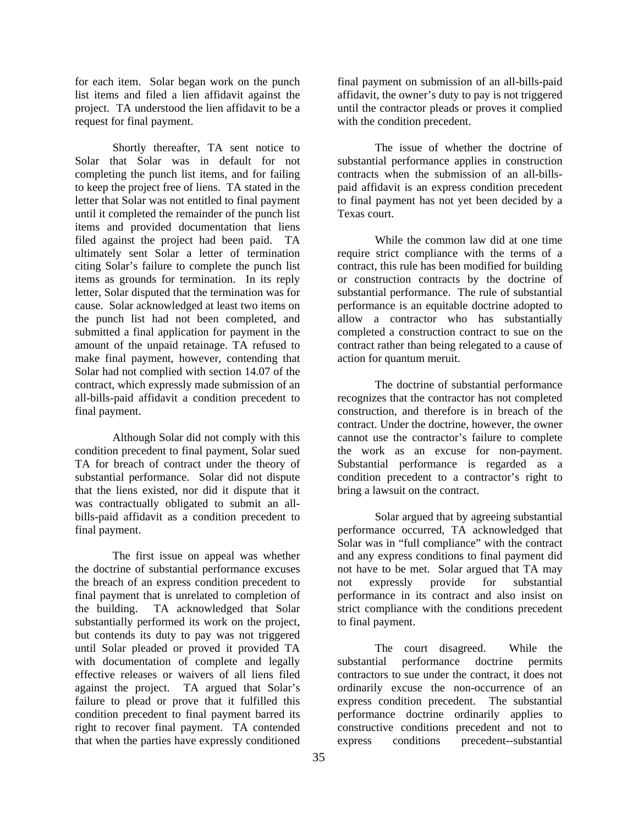for each item. Solar began work on the punch list items and filed a lien affidavit against the project. TA understood the lien affidavit to be a request for final payment.

 Shortly thereafter, TA sent notice to Solar that Solar was in default for not completing the punch list items, and for failing to keep the project free of liens. TA stated in the letter that Solar was not entitled to final payment until it completed the remainder of the punch list items and provided documentation that liens filed against the project had been paid. TA ultimately sent Solar a letter of termination citing Solar's failure to complete the punch list items as grounds for termination. In its reply letter, Solar disputed that the termination was for cause. Solar acknowledged at least two items on the punch list had not been completed, and submitted a final application for payment in the amount of the unpaid retainage. TA refused to make final payment, however, contending that Solar had not complied with section 14.07 of the contract, which expressly made submission of an all-bills-paid affidavit a condition precedent to final payment.

 Although Solar did not comply with this condition precedent to final payment, Solar sued TA for breach of contract under the theory of substantial performance. Solar did not dispute that the liens existed, nor did it dispute that it was contractually obligated to submit an allbills-paid affidavit as a condition precedent to final payment.

 The first issue on appeal was whether the doctrine of substantial performance excuses the breach of an express condition precedent to final payment that is unrelated to completion of the building. TA acknowledged that Solar substantially performed its work on the project, but contends its duty to pay was not triggered until Solar pleaded or proved it provided TA with documentation of complete and legally effective releases or waivers of all liens filed against the project. TA argued that Solar's failure to plead or prove that it fulfilled this condition precedent to final payment barred its right to recover final payment. TA contended that when the parties have expressly conditioned

final payment on submission of an all-bills-paid affidavit, the owner's duty to pay is not triggered until the contractor pleads or proves it complied with the condition precedent.

 The issue of whether the doctrine of substantial performance applies in construction contracts when the submission of an all-billspaid affidavit is an express condition precedent to final payment has not yet been decided by a Texas court.

 While the common law did at one time require strict compliance with the terms of a contract, this rule has been modified for building or construction contracts by the doctrine of substantial performance. The rule of substantial performance is an equitable doctrine adopted to allow a contractor who has substantially completed a construction contract to sue on the contract rather than being relegated to a cause of action for quantum meruit.

 The doctrine of substantial performance recognizes that the contractor has not completed construction, and therefore is in breach of the contract. Under the doctrine, however, the owner cannot use the contractor's failure to complete the work as an excuse for non-payment. Substantial performance is regarded as a condition precedent to a contractor's right to bring a lawsuit on the contract.

 Solar argued that by agreeing substantial performance occurred, TA acknowledged that Solar was in "full compliance" with the contract and any express conditions to final payment did not have to be met. Solar argued that TA may not expressly provide for substantial performance in its contract and also insist on strict compliance with the conditions precedent to final payment.

 The court disagreed. While the substantial performance doctrine permits contractors to sue under the contract, it does not ordinarily excuse the non-occurrence of an express condition precedent. The substantial performance doctrine ordinarily applies to constructive conditions precedent and not to express conditions precedent--substantial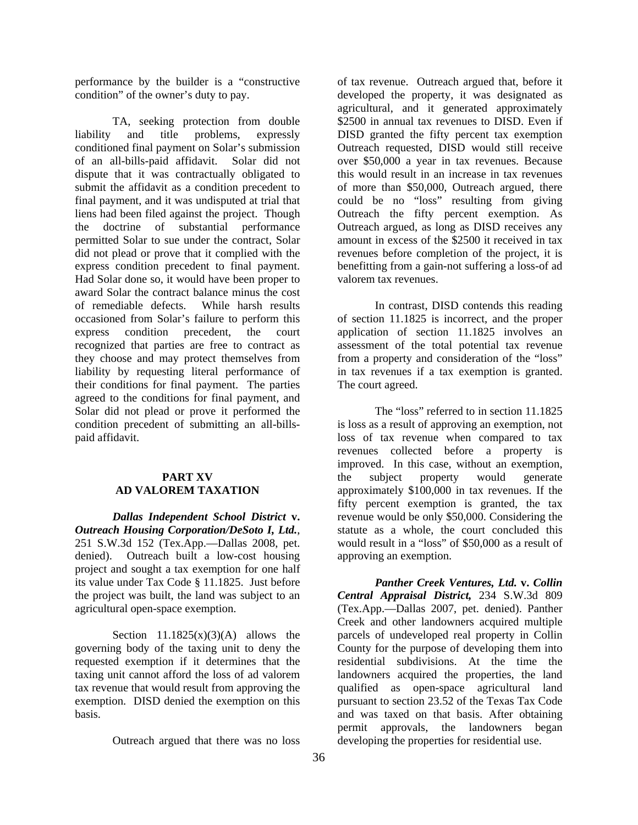performance by the builder is a "constructive condition" of the owner's duty to pay.

 TA, seeking protection from double liability and title problems, expressly conditioned final payment on Solar's submission of an all-bills-paid affidavit. Solar did not dispute that it was contractually obligated to submit the affidavit as a condition precedent to final payment, and it was undisputed at trial that liens had been filed against the project. Though the doctrine of substantial performance permitted Solar to sue under the contract, Solar did not plead or prove that it complied with the express condition precedent to final payment. Had Solar done so, it would have been proper to award Solar the contract balance minus the cost of remediable defects. While harsh results occasioned from Solar's failure to perform this express condition precedent, the court recognized that parties are free to contract as they choose and may protect themselves from liability by requesting literal performance of their conditions for final payment. The parties agreed to the conditions for final payment, and Solar did not plead or prove it performed the condition precedent of submitting an all-billspaid affidavit.

#### **PART XV AD VALOREM TAXATION**

*Dallas Independent School District* **v.**  *Outreach Housing Corporation/DeSoto I, Ltd.*, 251 S.W.3d 152 (Tex.App.—Dallas 2008, pet. denied). Outreach built a low-cost housing project and sought a tax exemption for one half its value under Tax Code § 11.1825. Just before the project was built, the land was subject to an agricultural open-space exemption.

Section  $11.1825(x)(3)(A)$  allows the governing body of the taxing unit to deny the requested exemption if it determines that the taxing unit cannot afford the loss of ad valorem tax revenue that would result from approving the exemption. DISD denied the exemption on this basis.

Outreach argued that there was no loss

of tax revenue. Outreach argued that, before it developed the property, it was designated as agricultural, and it generated approximately \$2500 in annual tax revenues to DISD. Even if DISD granted the fifty percent tax exemption Outreach requested, DISD would still receive over \$50,000 a year in tax revenues. Because this would result in an increase in tax revenues of more than \$50,000, Outreach argued, there could be no "loss" resulting from giving Outreach the fifty percent exemption. As Outreach argued, as long as DISD receives any amount in excess of the \$2500 it received in tax revenues before completion of the project, it is benefitting from a gain-not suffering a loss-of ad valorem tax revenues.

 In contrast, DISD contends this reading of section 11.1825 is incorrect, and the proper application of section 11.1825 involves an assessment of the total potential tax revenue from a property and consideration of the "loss" in tax revenues if a tax exemption is granted. The court agreed.

 The "loss" referred to in section 11.1825 is loss as a result of approving an exemption, not loss of tax revenue when compared to tax revenues collected before a property is improved. In this case, without an exemption, the subject property would generate approximately \$100,000 in tax revenues. If the fifty percent exemption is granted, the tax revenue would be only \$50,000. Considering the statute as a whole, the court concluded this would result in a "loss" of \$50,000 as a result of approving an exemption.

*Panther Creek Ventures, Ltd.* **v.** *Collin Central Appraisal District,* 234 S.W.3d 809 (Tex.App.—Dallas 2007, pet. denied). Panther Creek and other landowners acquired multiple parcels of undeveloped real property in Collin County for the purpose of developing them into residential subdivisions. At the time the landowners acquired the properties, the land qualified as open-space agricultural land pursuant to section 23.52 of the Texas Tax Code and was taxed on that basis. After obtaining permit approvals, the landowners began developing the properties for residential use.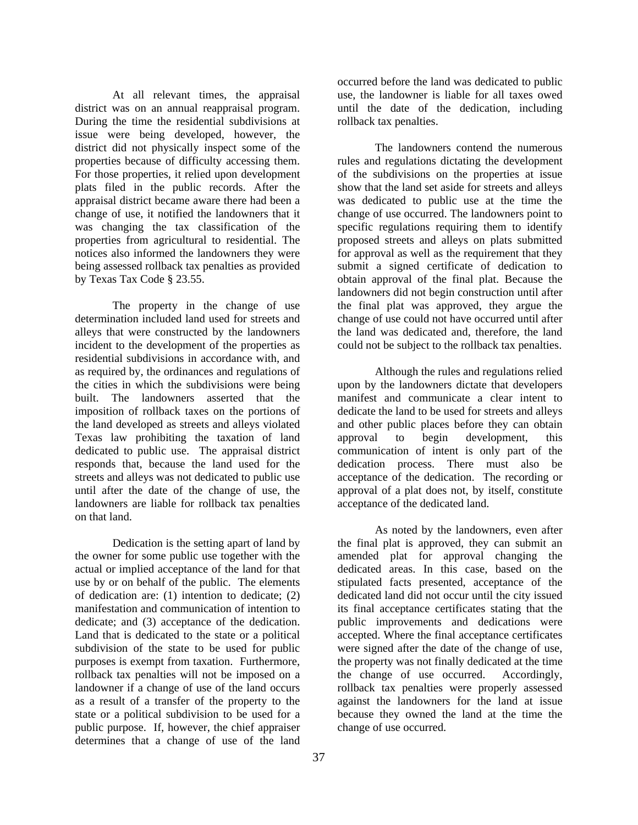At all relevant times, the appraisal district was on an annual reappraisal program. During the time the residential subdivisions at issue were being developed, however, the district did not physically inspect some of the properties because of difficulty accessing them. For those properties, it relied upon development plats filed in the public records. After the appraisal district became aware there had been a change of use, it notified the landowners that it was changing the tax classification of the properties from agricultural to residential. The notices also informed the landowners they were being assessed rollback tax penalties as provided by Texas Tax Code § 23.55.

 The property in the change of use determination included land used for streets and alleys that were constructed by the landowners incident to the development of the properties as residential subdivisions in accordance with, and as required by, the ordinances and regulations of the cities in which the subdivisions were being built. The landowners asserted that the imposition of rollback taxes on the portions of the land developed as streets and alleys violated Texas law prohibiting the taxation of land dedicated to public use. The appraisal district responds that, because the land used for the streets and alleys was not dedicated to public use until after the date of the change of use, the landowners are liable for rollback tax penalties on that land.

 Dedication is the setting apart of land by the owner for some public use together with the actual or implied acceptance of the land for that use by or on behalf of the public. The elements of dedication are: (1) intention to dedicate; (2) manifestation and communication of intention to dedicate; and (3) acceptance of the dedication. Land that is dedicated to the state or a political subdivision of the state to be used for public purposes is exempt from taxation. Furthermore, rollback tax penalties will not be imposed on a landowner if a change of use of the land occurs as a result of a transfer of the property to the state or a political subdivision to be used for a public purpose. If, however, the chief appraiser determines that a change of use of the land

occurred before the land was dedicated to public use, the landowner is liable for all taxes owed until the date of the dedication, including rollback tax penalties.

 The landowners contend the numerous rules and regulations dictating the development of the subdivisions on the properties at issue show that the land set aside for streets and alleys was dedicated to public use at the time the change of use occurred. The landowners point to specific regulations requiring them to identify proposed streets and alleys on plats submitted for approval as well as the requirement that they submit a signed certificate of dedication to obtain approval of the final plat. Because the landowners did not begin construction until after the final plat was approved, they argue the change of use could not have occurred until after the land was dedicated and, therefore, the land could not be subject to the rollback tax penalties.

 Although the rules and regulations relied upon by the landowners dictate that developers manifest and communicate a clear intent to dedicate the land to be used for streets and alleys and other public places before they can obtain approval to begin development, this communication of intent is only part of the dedication process. There must also be acceptance of the dedication. The recording or approval of a plat does not, by itself, constitute acceptance of the dedicated land.

 As noted by the landowners, even after the final plat is approved, they can submit an amended plat for approval changing the dedicated areas. In this case, based on the stipulated facts presented, acceptance of the dedicated land did not occur until the city issued its final acceptance certificates stating that the public improvements and dedications were accepted. Where the final acceptance certificates were signed after the date of the change of use, the property was not finally dedicated at the time the change of use occurred. Accordingly, rollback tax penalties were properly assessed against the landowners for the land at issue because they owned the land at the time the change of use occurred.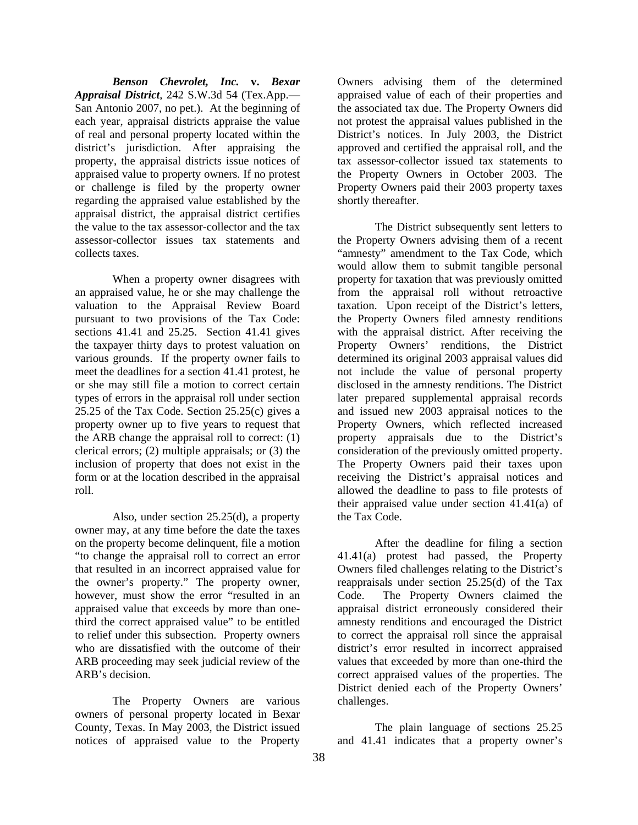*Benson Chevrolet, Inc.* **v.** *Bexar Appraisal District*, 242 S.W.3d 54 (Tex.App.— San Antonio 2007, no pet.). At the beginning of each year, appraisal districts appraise the value of real and personal property located within the district's jurisdiction. After appraising the property, the appraisal districts issue notices of appraised value to property owners. If no protest or challenge is filed by the property owner regarding the appraised value established by the appraisal district, the appraisal district certifies the value to the tax assessor-collector and the tax assessor-collector issues tax statements and collects taxes.

 When a property owner disagrees with an appraised value, he or she may challenge the valuation to the Appraisal Review Board pursuant to two provisions of the Tax Code: sections 41.41 and 25.25. Section 41.41 gives the taxpayer thirty days to protest valuation on various grounds. If the property owner fails to meet the deadlines for a section 41.41 protest, he or she may still file a motion to correct certain types of errors in the appraisal roll under section 25.25 of the Tax Code. Section 25.25(c) gives a property owner up to five years to request that the ARB change the appraisal roll to correct: (1) clerical errors; (2) multiple appraisals; or (3) the inclusion of property that does not exist in the form or at the location described in the appraisal roll.

 Also, under section 25.25(d), a property owner may, at any time before the date the taxes on the property become delinquent, file a motion "to change the appraisal roll to correct an error that resulted in an incorrect appraised value for the owner's property." The property owner, however, must show the error "resulted in an appraised value that exceeds by more than onethird the correct appraised value" to be entitled to relief under this subsection. Property owners who are dissatisfied with the outcome of their ARB proceeding may seek judicial review of the ARB's decision.

 The Property Owners are various owners of personal property located in Bexar County, Texas. In May 2003, the District issued notices of appraised value to the Property

Owners advising them of the determined appraised value of each of their properties and the associated tax due. The Property Owners did not protest the appraisal values published in the District's notices. In July 2003, the District approved and certified the appraisal roll, and the tax assessor-collector issued tax statements to the Property Owners in October 2003. The Property Owners paid their 2003 property taxes shortly thereafter.

 The District subsequently sent letters to the Property Owners advising them of a recent "amnesty" amendment to the Tax Code, which would allow them to submit tangible personal property for taxation that was previously omitted from the appraisal roll without retroactive taxation. Upon receipt of the District's letters, the Property Owners filed amnesty renditions with the appraisal district. After receiving the Property Owners' renditions, the District determined its original 2003 appraisal values did not include the value of personal property disclosed in the amnesty renditions. The District later prepared supplemental appraisal records and issued new 2003 appraisal notices to the Property Owners, which reflected increased property appraisals due to the District's consideration of the previously omitted property. The Property Owners paid their taxes upon receiving the District's appraisal notices and allowed the deadline to pass to file protests of their appraised value under section 41.41(a) of the Tax Code.

 After the deadline for filing a section 41.41(a) protest had passed, the Property Owners filed challenges relating to the District's reappraisals under section 25.25(d) of the Tax Code. The Property Owners claimed the appraisal district erroneously considered their amnesty renditions and encouraged the District to correct the appraisal roll since the appraisal district's error resulted in incorrect appraised values that exceeded by more than one-third the correct appraised values of the properties. The District denied each of the Property Owners' challenges.

 The plain language of sections 25.25 and 41.41 indicates that a property owner's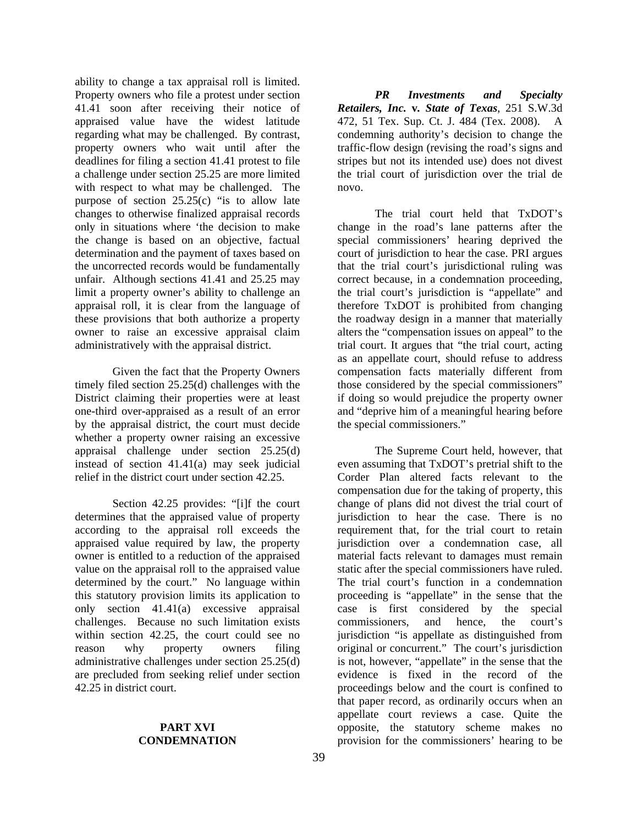ability to change a tax appraisal roll is limited. Property owners who file a protest under section 41.41 soon after receiving their notice of appraised value have the widest latitude regarding what may be challenged. By contrast, property owners who wait until after the deadlines for filing a section 41.41 protest to file a challenge under section 25.25 are more limited with respect to what may be challenged. The purpose of section  $25.25(c)$  "is to allow late changes to otherwise finalized appraisal records only in situations where 'the decision to make the change is based on an objective, factual determination and the payment of taxes based on the uncorrected records would be fundamentally unfair. Although sections 41.41 and 25.25 may limit a property owner's ability to challenge an appraisal roll, it is clear from the language of these provisions that both authorize a property owner to raise an excessive appraisal claim administratively with the appraisal district.

 Given the fact that the Property Owners timely filed section 25.25(d) challenges with the District claiming their properties were at least one-third over-appraised as a result of an error by the appraisal district, the court must decide whether a property owner raising an excessive appraisal challenge under section 25.25(d) instead of section 41.41(a) may seek judicial relief in the district court under section 42.25.

 Section 42.25 provides: "[i]f the court determines that the appraised value of property according to the appraisal roll exceeds the appraised value required by law, the property owner is entitled to a reduction of the appraised value on the appraisal roll to the appraised value determined by the court." No language within this statutory provision limits its application to only section 41.41(a) excessive appraisal challenges. Because no such limitation exists within section 42.25, the court could see no reason why property owners filing administrative challenges under section 25.25(d) are precluded from seeking relief under section 42.25 in district court.

#### **PART XVI CONDEMNATION**

*PR Investments and Specialty Retailers, Inc.* **v***. State of Texas*, 251 S.W.3d 472, 51 Tex. Sup. Ct. J. 484 (Tex. 2008). A condemning authority's decision to change the traffic-flow design (revising the road's signs and stripes but not its intended use) does not divest the trial court of jurisdiction over the trial de novo.

 The trial court held that TxDOT's change in the road's lane patterns after the special commissioners' hearing deprived the court of jurisdiction to hear the case. PRI argues that the trial court's jurisdictional ruling was correct because, in a condemnation proceeding, the trial court's jurisdiction is "appellate" and therefore TxDOT is prohibited from changing the roadway design in a manner that materially alters the "compensation issues on appeal" to the trial court. It argues that "the trial court, acting as an appellate court, should refuse to address compensation facts materially different from those considered by the special commissioners" if doing so would prejudice the property owner and "deprive him of a meaningful hearing before the special commissioners."

 The Supreme Court held, however, that even assuming that TxDOT's pretrial shift to the Corder Plan altered facts relevant to the compensation due for the taking of property, this change of plans did not divest the trial court of jurisdiction to hear the case. There is no requirement that, for the trial court to retain jurisdiction over a condemnation case, all material facts relevant to damages must remain static after the special commissioners have ruled. The trial court's function in a condemnation proceeding is "appellate" in the sense that the case is first considered by the special commissioners, and hence, the court's jurisdiction "is appellate as distinguished from original or concurrent." The court's jurisdiction is not, however, "appellate" in the sense that the evidence is fixed in the record of the proceedings below and the court is confined to that paper record, as ordinarily occurs when an appellate court reviews a case. Quite the opposite, the statutory scheme makes no provision for the commissioners' hearing to be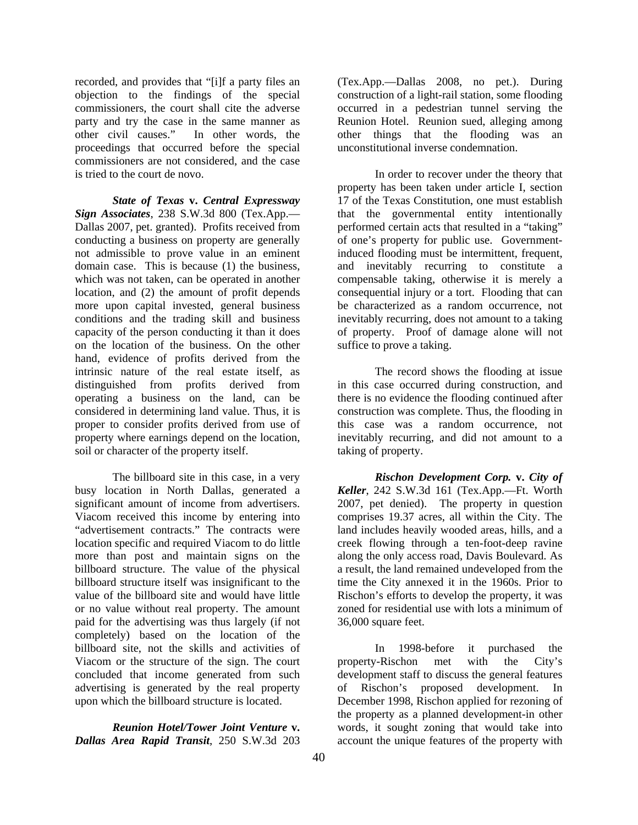recorded, and provides that "[i]f a party files an objection to the findings of the special commissioners, the court shall cite the adverse party and try the case in the same manner as other civil causes." In other words, the proceedings that occurred before the special commissioners are not considered, and the case is tried to the court de novo.

*State of Texas* **v.** *Central Expressway Sign Associates*, 238 S.W.3d 800 (Tex.App.— Dallas 2007, pet. granted). Profits received from conducting a business on property are generally not admissible to prove value in an eminent domain case. This is because (1) the business, which was not taken, can be operated in another location, and (2) the amount of profit depends more upon capital invested, general business conditions and the trading skill and business capacity of the person conducting it than it does on the location of the business. On the other hand, evidence of profits derived from the intrinsic nature of the real estate itself, as distinguished from profits derived from operating a business on the land, can be considered in determining land value. Thus, it is proper to consider profits derived from use of property where earnings depend on the location, soil or character of the property itself.

 The billboard site in this case, in a very busy location in North Dallas, generated a significant amount of income from advertisers. Viacom received this income by entering into "advertisement contracts." The contracts were location specific and required Viacom to do little more than post and maintain signs on the billboard structure. The value of the physical billboard structure itself was insignificant to the value of the billboard site and would have little or no value without real property. The amount paid for the advertising was thus largely (if not completely) based on the location of the billboard site, not the skills and activities of Viacom or the structure of the sign. The court concluded that income generated from such advertising is generated by the real property upon which the billboard structure is located.

*Reunion Hotel/Tower Joint Venture* **v.**  *Dallas Area Rapid Transit*, 250 S.W.3d 203 (Tex.App.—Dallas 2008, no pet.). During construction of a light-rail station, some flooding occurred in a pedestrian tunnel serving the Reunion Hotel. Reunion sued, alleging among other things that the flooding was an unconstitutional inverse condemnation.

 In order to recover under the theory that property has been taken under article I, section 17 of the Texas Constitution, one must establish that the governmental entity intentionally performed certain acts that resulted in a "taking" of one's property for public use. Governmentinduced flooding must be intermittent, frequent, and inevitably recurring to constitute a compensable taking, otherwise it is merely a consequential injury or a tort. Flooding that can be characterized as a random occurrence, not inevitably recurring, does not amount to a taking of property. Proof of damage alone will not suffice to prove a taking.

 The record shows the flooding at issue in this case occurred during construction, and there is no evidence the flooding continued after construction was complete. Thus, the flooding in this case was a random occurrence, not inevitably recurring, and did not amount to a taking of property.

*Rischon Development Corp.* **v.** *City of Keller*, 242 S.W.3d 161 (Tex.App.—Ft. Worth 2007, pet denied). The property in question comprises 19.37 acres, all within the City. The land includes heavily wooded areas, hills, and a creek flowing through a ten-foot-deep ravine along the only access road, Davis Boulevard. As a result, the land remained undeveloped from the time the City annexed it in the 1960s. Prior to Rischon's efforts to develop the property, it was zoned for residential use with lots a minimum of 36,000 square feet.

 In 1998-before it purchased the property-Rischon met with the City's development staff to discuss the general features of Rischon's proposed development. In December 1998, Rischon applied for rezoning of the property as a planned development-in other words, it sought zoning that would take into account the unique features of the property with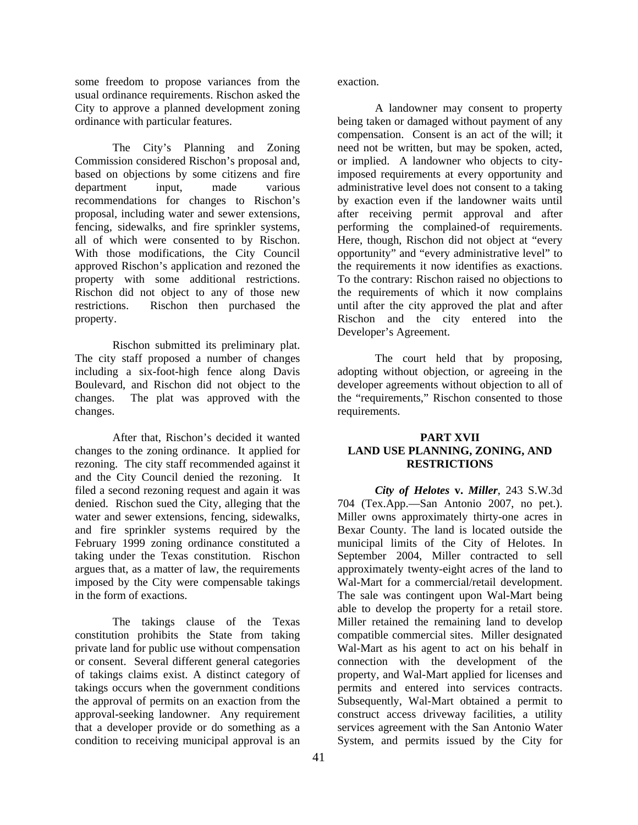some freedom to propose variances from the usual ordinance requirements. Rischon asked the City to approve a planned development zoning ordinance with particular features.

 The City's Planning and Zoning Commission considered Rischon's proposal and, based on objections by some citizens and fire department input, made various recommendations for changes to Rischon's proposal, including water and sewer extensions, fencing, sidewalks, and fire sprinkler systems, all of which were consented to by Rischon. With those modifications, the City Council approved Rischon's application and rezoned the property with some additional restrictions. Rischon did not object to any of those new restrictions. Rischon then purchased the property.

 Rischon submitted its preliminary plat. The city staff proposed a number of changes including a six-foot-high fence along Davis Boulevard, and Rischon did not object to the changes. The plat was approved with the changes.

 After that, Rischon's decided it wanted changes to the zoning ordinance. It applied for rezoning. The city staff recommended against it and the City Council denied the rezoning. It filed a second rezoning request and again it was denied. Rischon sued the City, alleging that the water and sewer extensions, fencing, sidewalks, and fire sprinkler systems required by the February 1999 zoning ordinance constituted a taking under the Texas constitution. Rischon argues that, as a matter of law, the requirements imposed by the City were compensable takings in the form of exactions.

 The takings clause of the Texas constitution prohibits the State from taking private land for public use without compensation or consent. Several different general categories of takings claims exist. A distinct category of takings occurs when the government conditions the approval of permits on an exaction from the approval-seeking landowner. Any requirement that a developer provide or do something as a condition to receiving municipal approval is an

exaction.

 A landowner may consent to property being taken or damaged without payment of any compensation. Consent is an act of the will; it need not be written, but may be spoken, acted, or implied. A landowner who objects to cityimposed requirements at every opportunity and administrative level does not consent to a taking by exaction even if the landowner waits until after receiving permit approval and after performing the complained-of requirements. Here, though, Rischon did not object at "every opportunity" and "every administrative level" to the requirements it now identifies as exactions. To the contrary: Rischon raised no objections to the requirements of which it now complains until after the city approved the plat and after Rischon and the city entered into the Developer's Agreement.

 The court held that by proposing, adopting without objection, or agreeing in the developer agreements without objection to all of the "requirements," Rischon consented to those requirements.

#### **PART XVII LAND USE PLANNING, ZONING, AND RESTRICTIONS**

*City of Helotes* **v.** *Miller*, 243 S.W.3d 704 (Tex.App.—San Antonio 2007, no pet.). Miller owns approximately thirty-one acres in Bexar County. The land is located outside the municipal limits of the City of Helotes. In September 2004, Miller contracted to sell approximately twenty-eight acres of the land to Wal-Mart for a commercial/retail development. The sale was contingent upon Wal-Mart being able to develop the property for a retail store. Miller retained the remaining land to develop compatible commercial sites. Miller designated Wal-Mart as his agent to act on his behalf in connection with the development of the property, and Wal-Mart applied for licenses and permits and entered into services contracts. Subsequently, Wal-Mart obtained a permit to construct access driveway facilities, a utility services agreement with the San Antonio Water System, and permits issued by the City for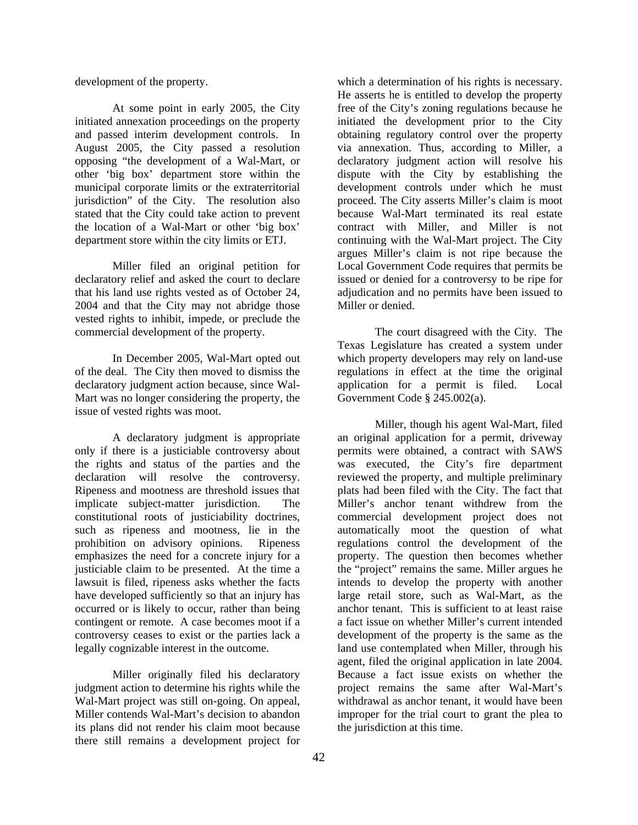development of the property.

 At some point in early 2005, the City initiated annexation proceedings on the property and passed interim development controls. In August 2005, the City passed a resolution opposing "the development of a Wal-Mart, or other 'big box' department store within the municipal corporate limits or the extraterritorial jurisdiction" of the City. The resolution also stated that the City could take action to prevent the location of a Wal-Mart or other 'big box' department store within the city limits or ETJ.

 Miller filed an original petition for declaratory relief and asked the court to declare that his land use rights vested as of October 24, 2004 and that the City may not abridge those vested rights to inhibit, impede, or preclude the commercial development of the property.

 In December 2005, Wal-Mart opted out of the deal. The City then moved to dismiss the declaratory judgment action because, since Wal-Mart was no longer considering the property, the issue of vested rights was moot.

 A declaratory judgment is appropriate only if there is a justiciable controversy about the rights and status of the parties and the declaration will resolve the controversy. Ripeness and mootness are threshold issues that implicate subject-matter jurisdiction. The constitutional roots of justiciability doctrines, such as ripeness and mootness, lie in the prohibition on advisory opinions. Ripeness emphasizes the need for a concrete injury for a justiciable claim to be presented. At the time a lawsuit is filed, ripeness asks whether the facts have developed sufficiently so that an injury has occurred or is likely to occur, rather than being contingent or remote. A case becomes moot if a controversy ceases to exist or the parties lack a legally cognizable interest in the outcome.

 Miller originally filed his declaratory judgment action to determine his rights while the Wal-Mart project was still on-going. On appeal, Miller contends Wal-Mart's decision to abandon its plans did not render his claim moot because there still remains a development project for

which a determination of his rights is necessary. He asserts he is entitled to develop the property free of the City's zoning regulations because he initiated the development prior to the City obtaining regulatory control over the property via annexation. Thus, according to Miller, a declaratory judgment action will resolve his dispute with the City by establishing the development controls under which he must proceed. The City asserts Miller's claim is moot because Wal-Mart terminated its real estate contract with Miller, and Miller is not continuing with the Wal-Mart project. The City argues Miller's claim is not ripe because the Local Government Code requires that permits be issued or denied for a controversy to be ripe for adjudication and no permits have been issued to Miller or denied.

 The court disagreed with the City. The Texas Legislature has created a system under which property developers may rely on land-use regulations in effect at the time the original application for a permit is filed. Local Government Code § 245.002(a).

 Miller, though his agent Wal-Mart, filed an original application for a permit, driveway permits were obtained, a contract with SAWS was executed, the City's fire department reviewed the property, and multiple preliminary plats had been filed with the City. The fact that Miller's anchor tenant withdrew from the commercial development project does not automatically moot the question of what regulations control the development of the property. The question then becomes whether the "project" remains the same. Miller argues he intends to develop the property with another large retail store, such as Wal-Mart, as the anchor tenant. This is sufficient to at least raise a fact issue on whether Miller's current intended development of the property is the same as the land use contemplated when Miller, through his agent, filed the original application in late 2004. Because a fact issue exists on whether the project remains the same after Wal-Mart's withdrawal as anchor tenant, it would have been improper for the trial court to grant the plea to the jurisdiction at this time.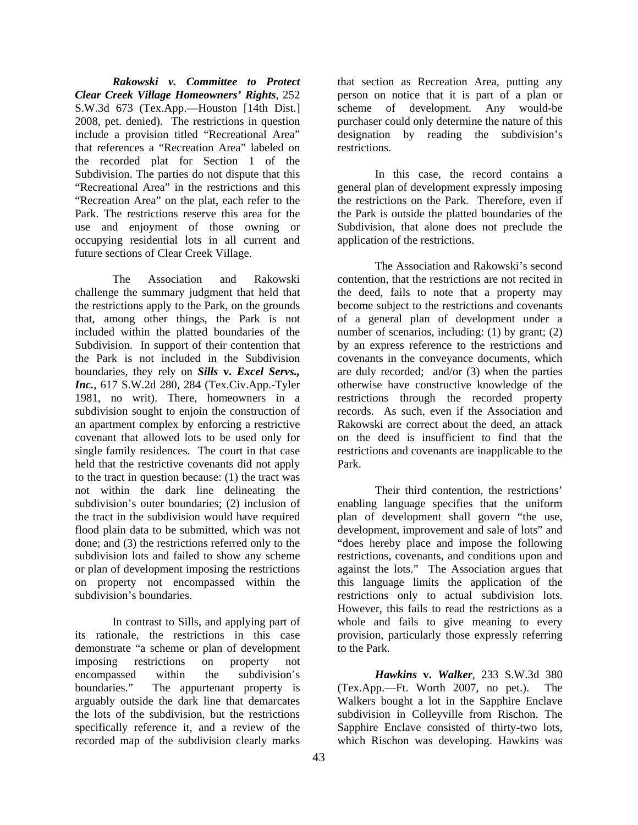*Rakowski v. Committee to Protect Clear Creek Village Homeowners' Rights*, 252 S.W.3d 673 (Tex.App.—Houston [14th Dist.] 2008, pet. denied). The restrictions in question include a provision titled "Recreational Area" that references a "Recreation Area" labeled on the recorded plat for Section 1 of the Subdivision. The parties do not dispute that this "Recreational Area" in the restrictions and this "Recreation Area" on the plat, each refer to the Park. The restrictions reserve this area for the use and enjoyment of those owning or occupying residential lots in all current and future sections of Clear Creek Village.

 The Association and Rakowski challenge the summary judgment that held that the restrictions apply to the Park, on the grounds that, among other things, the Park is not included within the platted boundaries of the Subdivision. In support of their contention that the Park is not included in the Subdivision boundaries, they rely on *Sills* **v.** *Excel Servs., Inc.*, 617 S.W.2d 280, 284 (Tex.Civ.App.-Tyler 1981, no writ). There, homeowners in a subdivision sought to enjoin the construction of an apartment complex by enforcing a restrictive covenant that allowed lots to be used only for single family residences. The court in that case held that the restrictive covenants did not apply to the tract in question because: (1) the tract was not within the dark line delineating the subdivision's outer boundaries; (2) inclusion of the tract in the subdivision would have required flood plain data to be submitted, which was not done; and (3) the restrictions referred only to the subdivision lots and failed to show any scheme or plan of development imposing the restrictions on property not encompassed within the subdivision's boundaries.

 In contrast to Sills, and applying part of its rationale, the restrictions in this case demonstrate "a scheme or plan of development imposing restrictions on property not encompassed within the subdivision's boundaries." The appurtenant property is arguably outside the dark line that demarcates the lots of the subdivision, but the restrictions specifically reference it, and a review of the recorded map of the subdivision clearly marks

that section as Recreation Area, putting any person on notice that it is part of a plan or scheme of development. Any would-be purchaser could only determine the nature of this designation by reading the subdivision's restrictions.

 In this case, the record contains a general plan of development expressly imposing the restrictions on the Park. Therefore, even if the Park is outside the platted boundaries of the Subdivision, that alone does not preclude the application of the restrictions.

 The Association and Rakowski's second contention, that the restrictions are not recited in the deed, fails to note that a property may become subject to the restrictions and covenants of a general plan of development under a number of scenarios, including: (1) by grant; (2) by an express reference to the restrictions and covenants in the conveyance documents, which are duly recorded; and/or (3) when the parties otherwise have constructive knowledge of the restrictions through the recorded property records. As such, even if the Association and Rakowski are correct about the deed, an attack on the deed is insufficient to find that the restrictions and covenants are inapplicable to the Park.

 Their third contention, the restrictions' enabling language specifies that the uniform plan of development shall govern "the use, development, improvement and sale of lots" and "does hereby place and impose the following restrictions, covenants, and conditions upon and against the lots." The Association argues that this language limits the application of the restrictions only to actual subdivision lots. However, this fails to read the restrictions as a whole and fails to give meaning to every provision, particularly those expressly referring to the Park.

*Hawkins* **v.** *Walker*, 233 S.W.3d 380 (Tex.App.—Ft. Worth 2007, no pet.). The Walkers bought a lot in the Sapphire Enclave subdivision in Colleyville from Rischon. The Sapphire Enclave consisted of thirty-two lots, which Rischon was developing. Hawkins was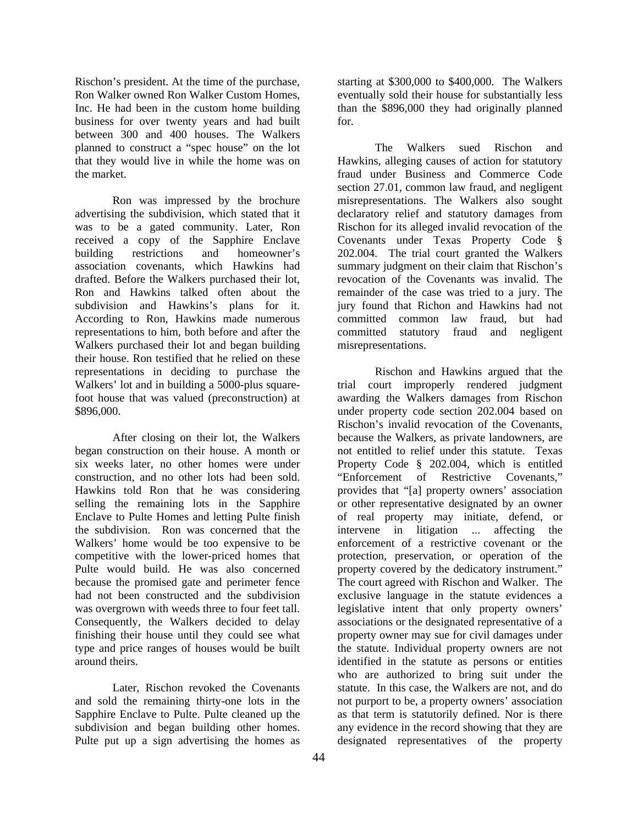Rischon's president. At the time of the purchase, Ron Walker owned Ron Walker Custom Homes, Inc. He had been in the custom home building business for over twenty years and had built between 300 and 400 houses. The Walkers planned to construct a "spec house" on the lot that they would live in while the home was on the market.

 Ron was impressed by the brochure advertising the subdivision, which stated that it was to be a gated community. Later, Ron received a copy of the Sapphire Enclave building restrictions and homeowner's association covenants, which Hawkins had drafted. Before the Walkers purchased their lot, Ron and Hawkins talked often about the subdivision and Hawkins's plans for it. According to Ron, Hawkins made numerous representations to him, both before and after the Walkers purchased their lot and began building their house. Ron testified that he relied on these representations in deciding to purchase the Walkers' lot and in building a 5000-plus squarefoot house that was valued (preconstruction) at \$896,000.

 After closing on their lot, the Walkers began construction on their house. A month or six weeks later, no other homes were under construction, and no other lots had been sold. Hawkins told Ron that he was considering selling the remaining lots in the Sapphire Enclave to Pulte Homes and letting Pulte finish the subdivision. Ron was concerned that the Walkers' home would be too expensive to be competitive with the lower-priced homes that Pulte would build. He was also concerned because the promised gate and perimeter fence had not been constructed and the subdivision was overgrown with weeds three to four feet tall. Consequently, the Walkers decided to delay finishing their house until they could see what type and price ranges of houses would be built around theirs.

 Later, Rischon revoked the Covenants and sold the remaining thirty-one lots in the Sapphire Enclave to Pulte. Pulte cleaned up the subdivision and began building other homes. Pulte put up a sign advertising the homes as

starting at \$300,000 to \$400,000. The Walkers eventually sold their house for substantially less than the \$896,000 they had originally planned for.

 The Walkers sued Rischon and Hawkins, alleging causes of action for statutory fraud under Business and Commerce Code section 27.01, common law fraud, and negligent misrepresentations. The Walkers also sought declaratory relief and statutory damages from Rischon for its alleged invalid revocation of the Covenants under Texas Property Code § 202.004. The trial court granted the Walkers summary judgment on their claim that Rischon's revocation of the Covenants was invalid. The remainder of the case was tried to a jury. The jury found that Richon and Hawkins had not committed common law fraud, but had committed statutory fraud and negligent misrepresentations.

 Rischon and Hawkins argued that the trial court improperly rendered judgment awarding the Walkers damages from Rischon under property code section 202.004 based on Rischon's invalid revocation of the Covenants, because the Walkers, as private landowners, are not entitled to relief under this statute. Texas Property Code § 202.004, which is entitled "Enforcement of Restrictive Covenants," provides that "[a] property owners' association or other representative designated by an owner of real property may initiate, defend, or intervene in litigation ... affecting the enforcement of a restrictive covenant or the protection, preservation, or operation of the property covered by the dedicatory instrument." The court agreed with Rischon and Walker. The exclusive language in the statute evidences a legislative intent that only property owners' associations or the designated representative of a property owner may sue for civil damages under the statute. Individual property owners are not identified in the statute as persons or entities who are authorized to bring suit under the statute. In this case, the Walkers are not, and do not purport to be, a property owners' association as that term is statutorily defined. Nor is there any evidence in the record showing that they are designated representatives of the property